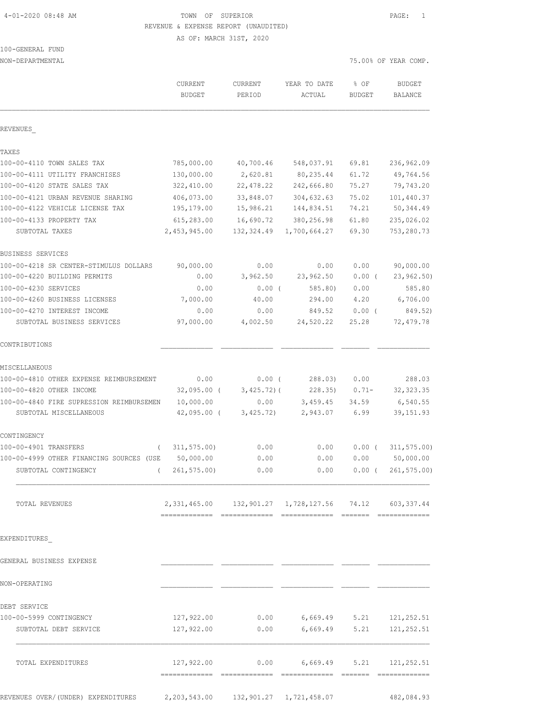# 4-01-2020 08:48 AM TOWN OF SUPERIOR PAGE: 1 REVENUE & EXPENSE REPORT (UNAUDITED)

AS OF: MARCH 31ST, 2020

# 100-GENERAL FUND

| NON-DEPARTMENTAL                           |                                                             |                         |                                 |                | 75.00% OF YEAR COMP.     |
|--------------------------------------------|-------------------------------------------------------------|-------------------------|---------------------------------|----------------|--------------------------|
|                                            | CURRENT<br><b>BUDGET</b>                                    | CURRENT<br>PERIOD       | YEAR TO DATE<br>ACTUAL          | % OF<br>BUDGET | <b>BUDGET</b><br>BALANCE |
| REVENUES                                   |                                                             |                         |                                 |                |                          |
| TAXES                                      |                                                             |                         |                                 |                |                          |
| 100-00-4110 TOWN SALES TAX                 | 785,000.00                                                  | 40,700.46               | 548,037.91                      | 69.81          | 236,962.09               |
| 100-00-4111 UTILITY FRANCHISES             | 130,000.00                                                  | 2,620.81                | 80,235.44                       | 61.72          | 49,764.56                |
| 100-00-4120 STATE SALES TAX                | 322,410.00                                                  | 22,478.22               | 242,666.80                      | 75.27          | 79,743.20                |
| 100-00-4121 URBAN REVENUE SHARING          | 406,073.00                                                  | 33,848.07               | 304,632.63                      | 75.02          | 101,440.37               |
| 100-00-4122 VEHICLE LICENSE TAX            | 195,179.00                                                  | 15,986.21               | 144,834.51                      | 74.21          | 50, 344.49               |
| 100-00-4133 PROPERTY TAX<br>SUBTOTAL TAXES | 615,283.00<br>2,453,945.00                                  | 16,690.72<br>132,324.49 | 380,256.98<br>1,700,664.27      | 61.80<br>69.30 | 235,026.02<br>753,280.73 |
| BUSINESS SERVICES                          |                                                             |                         |                                 |                |                          |
| 100-00-4218 SR CENTER-STIMULUS DOLLARS     | 90,000.00                                                   | 0.00                    | 0.00                            | 0.00           | 90,000.00                |
| 100-00-4220 BUILDING PERMITS               | 0.00                                                        | 3,962.50                | 23,962.50                       | $0.00$ (       | 23, 962.50               |
| 100-00-4230 SERVICES                       | 0.00                                                        | $0.00$ (                | 585.80)                         | 0.00           | 585.80                   |
| 100-00-4260 BUSINESS LICENSES              | 7,000.00                                                    | 40.00                   | 294.00                          | 4.20           | 6,706.00                 |
| 100-00-4270 INTEREST INCOME                | 0.00                                                        | 0.00                    | 849.52                          | 0.00(          | 849.52)                  |
| SUBTOTAL BUSINESS SERVICES                 | 97,000.00                                                   | 4,002.50                | 24,520.22                       | 25.28          | 72,479.78                |
| CONTRIBUTIONS                              |                                                             |                         |                                 |                |                          |
| MISCELLANEOUS                              |                                                             |                         |                                 |                |                          |
| 100-00-4810 OTHER EXPENSE REIMBURSEMENT    | 0.00                                                        | $0.00$ (                | 288.03)                         | 0.00           | 288.03                   |
| 100-00-4820 OTHER INCOME                   | $32,095.00$ (                                               | $3,425.72$ ) (          | 228.35                          | $0.71 -$       | 32, 323.35               |
| 100-00-4840 FIRE SUPRESSION REIMBURSEMEN   | 10,000.00                                                   | 0.00                    | 3,459.45                        | 34.59          | 6,540.55                 |
| SUBTOTAL MISCELLANEOUS                     | $42,095.00$ (                                               | 3,425.72)               | 2,943.07                        | 6.99           | 39, 151.93               |
| CONTINGENCY                                |                                                             |                         |                                 |                |                          |
| 100-00-4901 TRANSFERS<br>$\left($          | 311, 575.00                                                 | 0.00                    | 0.00                            | $0.00$ (       | 311, 575.00              |
| 100-00-4999 OTHER FINANCING SOURCES (USE   | 50,000.00                                                   | 0.00                    | 0.00                            | 0.00           | 50,000.00                |
| SUBTOTAL CONTINGENCY                       | (261, 575.00)                                               | 0.00                    | 0.00                            |                | $0.00$ ( $261,575.00$ )  |
| TOTAL REVENUES                             | 2, 331, 465.00 132, 901.27 1, 728, 127.56 74.12 603, 337.44 |                         |                                 |                |                          |
| EXPENDITURES                               |                                                             |                         |                                 |                |                          |
| GENERAL BUSINESS EXPENSE                   |                                                             |                         |                                 |                |                          |
| NON-OPERATING                              |                                                             |                         |                                 |                |                          |
| DEBT SERVICE                               |                                                             |                         |                                 |                |                          |
| 100-00-5999 CONTINGENCY                    | 127,922.00                                                  | 0.00                    |                                 |                | 6,669.49 5.21 121,252.51 |
| SUBTOTAL DEBT SERVICE                      | 127,922.00                                                  | 0.00                    | 6,669.49 5.21                   |                | 121, 252.51              |
| TOTAL EXPENDITURES                         | 127,922.00                                                  |                         | $0.00$ 6,669.49 5.21 121,252.51 |                |                          |
|                                            |                                                             |                         |                                 |                |                          |

REVENUES OVER/(UNDER) EXPENDITURES 2,203,543.00 132,901.27 1,721,458.07 482,084.93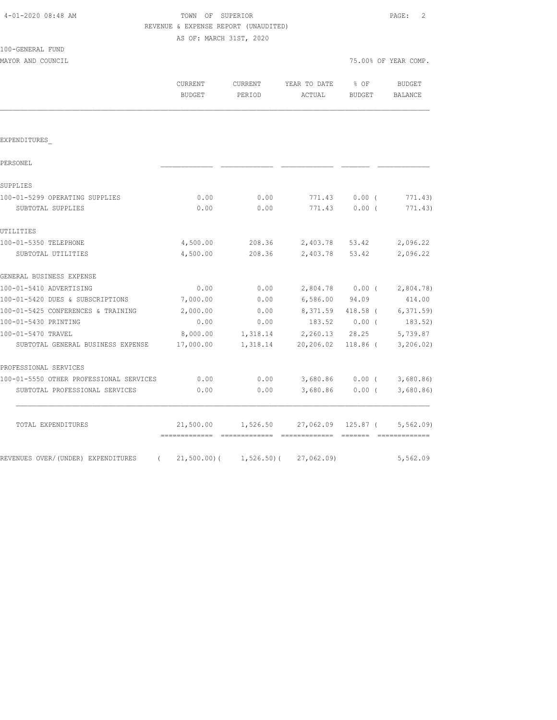| REVENUE & EXPENSE REPORT (UNAUDITED)           |                          |                            |                        |                      |                      |
|------------------------------------------------|--------------------------|----------------------------|------------------------|----------------------|----------------------|
|                                                | AS OF: MARCH 31ST, 2020  |                            |                        |                      |                      |
| 100-GENERAL FUND                               |                          |                            |                        |                      |                      |
| MAYOR AND COUNCIL                              |                          |                            |                        |                      | 75.00% OF YEAR COMP. |
|                                                | CURRENT<br><b>BUDGET</b> | CURRENT<br>PERIOD          | YEAR TO DATE<br>ACTUAL | % OF<br>BUDGET       | BUDGET<br>BALANCE    |
|                                                |                          |                            |                        |                      |                      |
| EXPENDITURES                                   |                          |                            |                        |                      |                      |
| PERSONEL                                       |                          |                            |                        |                      |                      |
| SUPPLIES                                       |                          |                            |                        |                      |                      |
| 100-01-5299 OPERATING SUPPLIES                 | 0.00                     | 0.00                       | 771.43                 | $0.00$ (             | 771.43)              |
| SUBTOTAL SUPPLIES                              | 0.00                     | 0.00                       | 771.43                 | $0.00$ (             | 771.43)              |
| UTILITIES                                      |                          |                            |                        |                      |                      |
| 100-01-5350 TELEPHONE                          | 4,500.00                 | 208.36                     | 2,403.78               | 53.42                | 2,096.22             |
| SUBTOTAL UTILITIES                             | 4,500.00                 | 208.36                     | 2,403.78               | 53.42                | 2,096.22             |
| GENERAL BUSINESS EXPENSE                       |                          |                            |                        |                      |                      |
| 100-01-5410 ADVERTISING                        | 0.00                     | 0.00                       | 2,804.78 0.00 (        |                      | 2,804.78)            |
| 100-01-5420 DUES & SUBSCRIPTIONS               | 7,000.00                 | 0.00                       | 6,586.00 94.09         |                      | 414.00               |
| 100-01-5425 CONFERENCES & TRAINING             | 2,000.00                 | 0.00                       | 8,371.59 418.58 (      |                      | 6, 371.59            |
| 100-01-5430 PRINTING                           | 0.00                     | 0.00                       | 183.52                 | $0.00$ (             | 183.52)              |
| 100-01-5470 TRAVEL                             | 8,000.00                 | 1,318.14                   | 2,260.13 28.25         |                      | 5,739.87             |
| SUBTOTAL GENERAL BUSINESS EXPENSE              | 17,000.00                | 1,318.14                   | 20,206.02 118.86 (     |                      | 3, 206.02)           |
| PROFESSIONAL SERVICES                          |                          |                            |                        |                      |                      |
| 100-01-5550 OTHER PROFESSIONAL SERVICES        | 0.00                     | 0.00                       | 3,680.86               | $0.00$ (             | 3,680.86             |
| SUBTOTAL PROFESSIONAL SERVICES                 | 0.00                     | 0.00                       | 3,680.86               | $0.00$ (             | 3,680.86             |
| TOTAL EXPENDITURES                             | 21,500.00                | 1,526.50<br>-------------- | 27,062.09              | 125.87 (<br>-------- | 5, 562, 09           |
| REVENUES OVER/(UNDER) EXPENDITURES<br>$\left($ | $21,500.00)$ (           | $1,526.50$ ) (             | 27,062.09              |                      | 5,562.09             |

4-01-2020 08:48 AM TOWN OF SUPERIOR PAGE: 2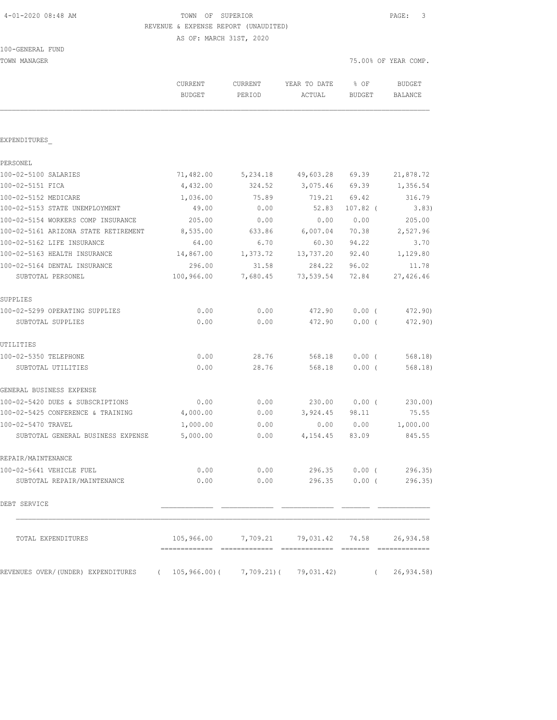| 4-01-2020 08:48 AM |  |  |  |
|--------------------|--|--|--|
|--------------------|--|--|--|

# TOWN OF SUPERIOR **Example 2010** PAGE: 3 REVENUE & EXPENSE REPORT (UNAUDITED)

AS OF: MARCH 31ST, 2020

| TOWN MANAGER                                                                     |                          |                   |                                               |                       | 75.00% OF YEAR COMP.     |  |
|----------------------------------------------------------------------------------|--------------------------|-------------------|-----------------------------------------------|-----------------------|--------------------------|--|
|                                                                                  | CURRENT<br><b>BUDGET</b> | CURRENT<br>PERIOD | YEAR TO DATE<br>ACTUAL                        | % OF<br><b>BUDGET</b> | <b>BUDGET</b><br>BALANCE |  |
|                                                                                  |                          |                   |                                               |                       |                          |  |
| EXPENDITURES                                                                     |                          |                   |                                               |                       |                          |  |
| PERSONEL                                                                         |                          |                   |                                               |                       |                          |  |
| 100-02-5100 SALARIES                                                             | 71,482.00                | 5,234.18          | 49,603.28                                     | 69.39                 | 21,878.72                |  |
| 100-02-5151 FICA                                                                 | 4,432.00                 | 324.52            | 3,075.46                                      | 69.39                 | 1,356.54                 |  |
| 100-02-5152 MEDICARE                                                             | 1,036.00                 | 75.89             | 719.21                                        | 69.42                 | 316.79                   |  |
| 100-02-5153 STATE UNEMPLOYMENT                                                   | 49.00                    | 0.00              | 52.83                                         | $107.82$ (            | 3.83)                    |  |
| 100-02-5154 WORKERS COMP INSURANCE                                               | 205.00                   | 0.00              | 0.00                                          | 0.00                  | 205.00                   |  |
| 100-02-5161 ARIZONA STATE RETIREMENT                                             | 8,535.00                 | 633.86            | 6,007.04                                      | 70.38                 | 2,527.96                 |  |
| 100-02-5162 LIFE INSURANCE                                                       | 64.00                    | 6.70              | 60.30                                         | 94.22                 | 3.70                     |  |
| 100-02-5163 HEALTH INSURANCE                                                     | 14,867.00                | 1,373.72          | 13,737.20                                     | 92.40                 | 1,129.80                 |  |
| 100-02-5164 DENTAL INSURANCE                                                     | 296.00                   | 31.58             | 284.22                                        | 96.02                 | 11.78                    |  |
| SUBTOTAL PERSONEL                                                                | 100,966.00               | 7,680.45          | 73,539.54                                     | 72.84                 | 27,426.46                |  |
| SUPPLIES                                                                         |                          |                   |                                               |                       |                          |  |
| 100-02-5299 OPERATING SUPPLIES                                                   | 0.00                     | 0.00              | 472.90                                        | $0.00$ (              | 472.90)                  |  |
| SUBTOTAL SUPPLIES                                                                | 0.00                     | 0.00              | 472.90                                        | 0.00(                 | 472.90)                  |  |
| UTILITIES                                                                        |                          |                   |                                               |                       |                          |  |
| 100-02-5350 TELEPHONE                                                            | 0.00                     | 28.76             | 568.18                                        | $0.00$ (              | 568.18                   |  |
| SUBTOTAL UTILITIES                                                               | 0.00                     | 28.76             | 568.18                                        | 0.00(                 | 568.18)                  |  |
| GENERAL BUSINESS EXPENSE                                                         |                          |                   |                                               |                       |                          |  |
| 100-02-5420 DUES & SUBSCRIPTIONS                                                 | 0.00                     | 0.00              | 230.00                                        | $0.00$ (              | 230.00)                  |  |
| 100-02-5425 CONFERENCE & TRAINING                                                | 4,000.00                 | 0.00              | 3,924.45                                      | 98.11                 | 75.55                    |  |
| 100-02-5470 TRAVEL                                                               | 1,000.00                 | 0.00              | 0.00                                          | 0.00                  | 1,000.00                 |  |
| SUBTOTAL GENERAL BUSINESS EXPENSE                                                | 5,000.00                 | 0.00              | 4,154.45                                      | 83.09                 | 845.55                   |  |
| REPAIR/MAINTENANCE                                                               |                          |                   |                                               |                       |                          |  |
| 100-02-5641 VEHICLE FUEL                                                         | 0.00                     |                   | $0.00$ 296.35 $0.00$ ( 296.35)                |                       |                          |  |
| SUBTOTAL REPAIR/MAINTENANCE                                                      | 0.00                     |                   | $0.00$ 296.35 0.00 (                          |                       | 296.35                   |  |
| DEBT SERVICE                                                                     |                          |                   |                                               |                       |                          |  |
| TOTAL EXPENDITURES                                                               |                          |                   | 105,966.00 7,709.21 79,031.42 74.58 26,934.58 |                       |                          |  |
| REVENUES OVER/(UNDER) EXPENDITURES (105,966.00)(7,709.21)(79,031.42) (26,934.58) |                          |                   |                                               |                       |                          |  |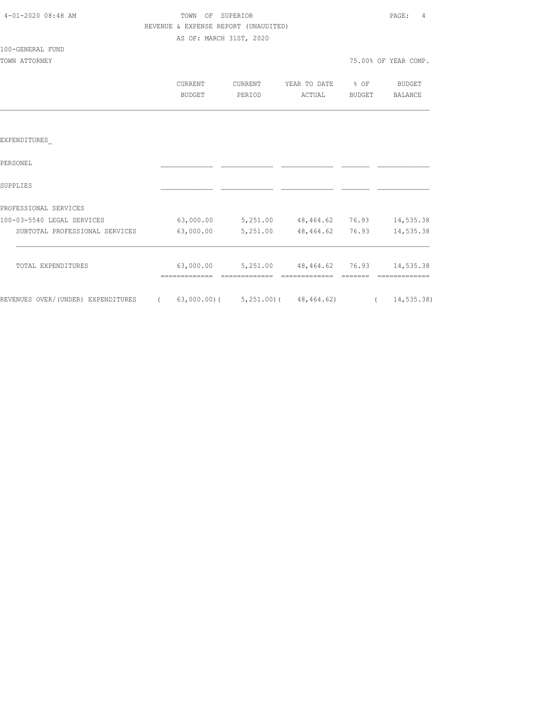| 4-01-2020 08:48 AM                                                              | TOWN OF SUPERIOR<br>REVENUE & EXPENSE REPORT (UNAUDITED) |                    |                                              |        | PAGE:<br>4           |
|---------------------------------------------------------------------------------|----------------------------------------------------------|--------------------|----------------------------------------------|--------|----------------------|
|                                                                                 | AS OF: MARCH 31ST, 2020                                  |                    |                                              |        |                      |
| 100-GENERAL FUND                                                                |                                                          |                    |                                              |        |                      |
| TOWN ATTORNEY                                                                   |                                                          |                    |                                              |        | 75.00% OF YEAR COMP. |
|                                                                                 | CURRENT<br>BUDGET                                        | CURRENT<br>PERIOD  | YEAR TO DATE % OF<br>ACTUAL                  | BUDGET | BUDGET<br>BALANCE    |
|                                                                                 |                                                          |                    |                                              |        |                      |
| EXPENDITURES                                                                    |                                                          |                    |                                              |        |                      |
| PERSONEL                                                                        |                                                          |                    |                                              |        |                      |
| SUPPLIES                                                                        |                                                          |                    |                                              |        |                      |
| PROFESSIONAL SERVICES                                                           |                                                          |                    |                                              |        |                      |
| 100-03-5540 LEGAL SERVICES                                                      |                                                          |                    | 63,000.00 5,251.00 48,464.62 76.93 14,535.38 |        |                      |
| SUBTOTAL PROFESSIONAL SERVICES                                                  |                                                          | 63,000.00 5,251.00 | 48,464.62 76.93                              |        | 14,535.38            |
| TOTAL EXPENDITURES                                                              |                                                          |                    | 63,000.00 5,251.00 48,464.62 76.93 14,535.38 |        | =============        |
| REVENUES OVER/(UNDER) EXPENDITURES (63,000.00)(5,251.00)(48,464.62) (14,535.38) |                                                          |                    |                                              |        |                      |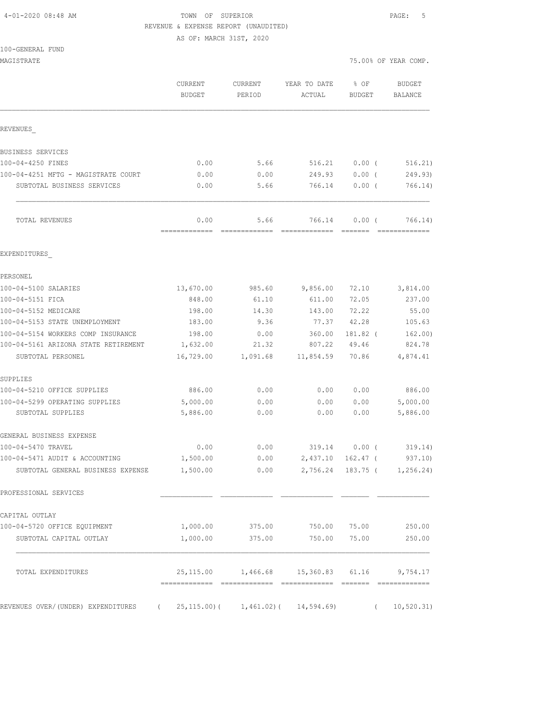### 4-01-2020 08:48 AM TOWN OF SUPERIOR PAGE: 5 REVENUE & EXPENSE REPORT (UNAUDITED)

AS OF: MARCH 31ST, 2020

| MAGISTRATE                                                          |                          |                                                                                                                                                                                                                                                                                                                                                                                                                                                                                                |                                                                                                                                                                                                                                                                                                                                                                                                                                                                                                  |                       | 75.00% OF YEAR COMP.     |
|---------------------------------------------------------------------|--------------------------|------------------------------------------------------------------------------------------------------------------------------------------------------------------------------------------------------------------------------------------------------------------------------------------------------------------------------------------------------------------------------------------------------------------------------------------------------------------------------------------------|--------------------------------------------------------------------------------------------------------------------------------------------------------------------------------------------------------------------------------------------------------------------------------------------------------------------------------------------------------------------------------------------------------------------------------------------------------------------------------------------------|-----------------------|--------------------------|
|                                                                     | CURRENT<br><b>BUDGET</b> | CURRENT<br>PERIOD                                                                                                                                                                                                                                                                                                                                                                                                                                                                              | YEAR TO DATE<br>ACTUAL                                                                                                                                                                                                                                                                                                                                                                                                                                                                           | % OF<br><b>BUDGET</b> | <b>BUDGET</b><br>BALANCE |
| REVENUES                                                            |                          |                                                                                                                                                                                                                                                                                                                                                                                                                                                                                                |                                                                                                                                                                                                                                                                                                                                                                                                                                                                                                  |                       |                          |
| BUSINESS SERVICES                                                   |                          |                                                                                                                                                                                                                                                                                                                                                                                                                                                                                                |                                                                                                                                                                                                                                                                                                                                                                                                                                                                                                  |                       |                          |
| 100-04-4250 FINES                                                   | 0.00                     | 5.66                                                                                                                                                                                                                                                                                                                                                                                                                                                                                           | 516.21                                                                                                                                                                                                                                                                                                                                                                                                                                                                                           | $0.00$ (              | 516.21)                  |
| 100-04-4251 MFTG - MAGISTRATE COURT                                 | 0.00                     | 0.00                                                                                                                                                                                                                                                                                                                                                                                                                                                                                           | 249.93                                                                                                                                                                                                                                                                                                                                                                                                                                                                                           | $0.00$ (              | 249.93)                  |
| SUBTOTAL BUSINESS SERVICES                                          | 0.00                     | 5.66                                                                                                                                                                                                                                                                                                                                                                                                                                                                                           | 766.14                                                                                                                                                                                                                                                                                                                                                                                                                                                                                           | $0.00$ (              | 766.14)                  |
| TOTAL REVENUES                                                      | 0.00<br>-------------    | 5.66<br>$\begin{array}{cccccccccccccc} \multicolumn{2}{c}{} & \multicolumn{2}{c}{} & \multicolumn{2}{c}{} & \multicolumn{2}{c}{} & \multicolumn{2}{c}{} & \multicolumn{2}{c}{} & \multicolumn{2}{c}{} & \multicolumn{2}{c}{} & \multicolumn{2}{c}{} & \multicolumn{2}{c}{} & \multicolumn{2}{c}{} & \multicolumn{2}{c}{} & \multicolumn{2}{c}{} & \multicolumn{2}{c}{} & \multicolumn{2}{c}{} & \multicolumn{2}{c}{} & \multicolumn{2}{c}{} & \multicolumn{2}{c}{} & \multicolumn{2}{c}{} & \$ | 766.14<br>$\begin{array}{cccccccccc} \multicolumn{2}{c}{} & \multicolumn{2}{c}{} & \multicolumn{2}{c}{} & \multicolumn{2}{c}{} & \multicolumn{2}{c}{} & \multicolumn{2}{c}{} & \multicolumn{2}{c}{} & \multicolumn{2}{c}{} & \multicolumn{2}{c}{} & \multicolumn{2}{c}{} & \multicolumn{2}{c}{} & \multicolumn{2}{c}{} & \multicolumn{2}{c}{} & \multicolumn{2}{c}{} & \multicolumn{2}{c}{} & \multicolumn{2}{c}{} & \multicolumn{2}{c}{} & \multicolumn{2}{c}{} & \multicolumn{2}{c}{} & \mult$ | $0.00$ (<br>--------  | 766.14)<br>============= |
| EXPENDITURES                                                        |                          |                                                                                                                                                                                                                                                                                                                                                                                                                                                                                                |                                                                                                                                                                                                                                                                                                                                                                                                                                                                                                  |                       |                          |
| PERSONEL                                                            |                          |                                                                                                                                                                                                                                                                                                                                                                                                                                                                                                |                                                                                                                                                                                                                                                                                                                                                                                                                                                                                                  |                       |                          |
| 100-04-5100 SALARIES                                                | 13,670.00                | 985.60                                                                                                                                                                                                                                                                                                                                                                                                                                                                                         | 9,856.00                                                                                                                                                                                                                                                                                                                                                                                                                                                                                         | 72.10                 | 3,814.00                 |
| 100-04-5151 FICA                                                    | 848.00                   | 61.10                                                                                                                                                                                                                                                                                                                                                                                                                                                                                          | 611.00                                                                                                                                                                                                                                                                                                                                                                                                                                                                                           | 72.05                 | 237.00                   |
| 100-04-5152 MEDICARE                                                | 198.00                   | 14.30                                                                                                                                                                                                                                                                                                                                                                                                                                                                                          | 143.00                                                                                                                                                                                                                                                                                                                                                                                                                                                                                           | 72.22                 | 55.00                    |
| 100-04-5153 STATE UNEMPLOYMENT                                      | 183.00                   | 9.36                                                                                                                                                                                                                                                                                                                                                                                                                                                                                           | 77.37                                                                                                                                                                                                                                                                                                                                                                                                                                                                                            | 42.28                 | 105.63                   |
| 100-04-5154 WORKERS COMP INSURANCE                                  | 198.00                   | 0.00                                                                                                                                                                                                                                                                                                                                                                                                                                                                                           | 360.00                                                                                                                                                                                                                                                                                                                                                                                                                                                                                           | 181.82 (              | 162.00)                  |
| 100-04-5161 ARIZONA STATE RETIREMENT                                | 1,632.00                 | 21.32                                                                                                                                                                                                                                                                                                                                                                                                                                                                                          | 807.22                                                                                                                                                                                                                                                                                                                                                                                                                                                                                           | 49.46                 | 824.78                   |
| SUBTOTAL PERSONEL                                                   | 16,729.00                | 1,091.68                                                                                                                                                                                                                                                                                                                                                                                                                                                                                       | 11,854.59                                                                                                                                                                                                                                                                                                                                                                                                                                                                                        | 70.86                 | 4,874.41                 |
| SUPPLIES                                                            |                          |                                                                                                                                                                                                                                                                                                                                                                                                                                                                                                |                                                                                                                                                                                                                                                                                                                                                                                                                                                                                                  |                       |                          |
| 100-04-5210 OFFICE SUPPLIES                                         | 886.00                   | 0.00                                                                                                                                                                                                                                                                                                                                                                                                                                                                                           | 0.00                                                                                                                                                                                                                                                                                                                                                                                                                                                                                             | 0.00                  | 886.00                   |
| 100-04-5299 OPERATING SUPPLIES                                      | 5,000.00                 | 0.00                                                                                                                                                                                                                                                                                                                                                                                                                                                                                           | 0.00                                                                                                                                                                                                                                                                                                                                                                                                                                                                                             | 0.00                  | 5,000.00                 |
| SUBTOTAL SUPPLIES                                                   | 5,886.00                 | 0.00                                                                                                                                                                                                                                                                                                                                                                                                                                                                                           | 0.00                                                                                                                                                                                                                                                                                                                                                                                                                                                                                             | 0.00                  | 5,886.00                 |
| GENERAL BUSINESS EXPENSE                                            |                          |                                                                                                                                                                                                                                                                                                                                                                                                                                                                                                |                                                                                                                                                                                                                                                                                                                                                                                                                                                                                                  |                       |                          |
| 100-04-5470 TRAVEL                                                  | 0.00                     | 0.00                                                                                                                                                                                                                                                                                                                                                                                                                                                                                           | 319.14                                                                                                                                                                                                                                                                                                                                                                                                                                                                                           | $0.00$ (              | 319.14)                  |
| 100-04-5471 AUDIT & ACCOUNTING<br>SUBTOTAL GENERAL BUSINESS EXPENSE | 1,500.00<br>1,500.00     | 0.00                                                                                                                                                                                                                                                                                                                                                                                                                                                                                           | 2,437.10<br>$0.00$ 2,756.24 183.75 ( 1,256.24)                                                                                                                                                                                                                                                                                                                                                                                                                                                   | $162.47$ (            | 937.10)                  |
| PROFESSIONAL SERVICES                                               |                          |                                                                                                                                                                                                                                                                                                                                                                                                                                                                                                |                                                                                                                                                                                                                                                                                                                                                                                                                                                                                                  |                       |                          |
| CAPITAL OUTLAY                                                      |                          |                                                                                                                                                                                                                                                                                                                                                                                                                                                                                                |                                                                                                                                                                                                                                                                                                                                                                                                                                                                                                  |                       |                          |
| 100-04-5720 OFFICE EQUIPMENT                                        |                          | 1,000.00 375.00 750.00 75.00                                                                                                                                                                                                                                                                                                                                                                                                                                                                   |                                                                                                                                                                                                                                                                                                                                                                                                                                                                                                  |                       | 250.00                   |
| SUBTOTAL CAPITAL OUTLAY                                             | 1,000.00                 | 375.00                                                                                                                                                                                                                                                                                                                                                                                                                                                                                         | 750.00                                                                                                                                                                                                                                                                                                                                                                                                                                                                                           | 75.00                 | 250.00                   |
| TOTAL EXPENDITURES                                                  |                          | 25, 115.00 1, 466.68 15, 360.83 61.16 9, 754.17                                                                                                                                                                                                                                                                                                                                                                                                                                                |                                                                                                                                                                                                                                                                                                                                                                                                                                                                                                  |                       |                          |
| REVENUES OVER/(UNDER) EXPENDITURES (                                |                          | $25, 115.00$ ( 1, 461.02) ( 14, 594.69)                                                                                                                                                                                                                                                                                                                                                                                                                                                        |                                                                                                                                                                                                                                                                                                                                                                                                                                                                                                  |                       | 10, 520.31)<br>$\left($  |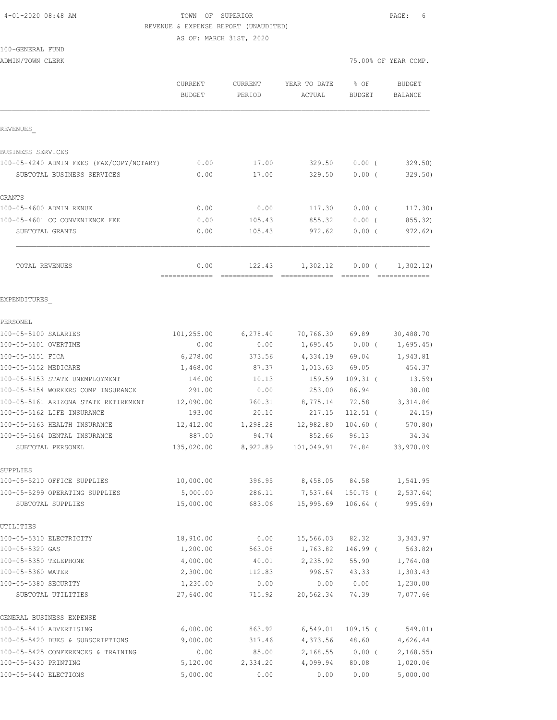#### 4-01-2020 08:48 AM TOWN OF SUPERIOR PAGE: 6 REVENUE & EXPENSE REPORT (UNAUDITED) AS OF: MARCH 31ST, 2020

100-GENERAL FUND

ADMIN/TOWN CLERK COMP.

|                                          | <b>CURRENT</b><br><b>BUDGET</b> | CURRENT<br>PERIOD | YEAR TO DATE<br>ACTUAL | % OF<br><b>BUDGET</b> | <b>BUDGET</b><br>BALANCE    |
|------------------------------------------|---------------------------------|-------------------|------------------------|-----------------------|-----------------------------|
| REVENUES                                 |                                 |                   |                        |                       |                             |
| BUSINESS SERVICES                        |                                 |                   |                        |                       |                             |
| 100-05-4240 ADMIN FEES (FAX/COPY/NOTARY) | 0.00                            | 17.00             | 329.50                 | $0.00$ (              | 329.50                      |
| SUBTOTAL BUSINESS SERVICES               | 0.00                            | 17.00             | 329.50                 | 0.00(                 | 329.50)                     |
| <b>GRANTS</b>                            |                                 |                   |                        |                       |                             |
| 100-05-4600 ADMIN RENUE                  | 0.00                            | 0.00              | 117.30                 | 0.00(                 | 117.30)                     |
| 100-05-4601 CC CONVENIENCE FEE           | 0.00                            | 105.43            | 855.32                 | $0.00$ (              | 855.32)                     |
| SUBTOTAL GRANTS                          | 0.00                            | 105.43            | 972.62                 | $0.00$ (              | 972.62)                     |
| TOTAL REVENUES                           | 0.00                            | 122.43            | 1,302.12               | 0.00(                 | 1,302.12)                   |
| EXPENDITURES                             |                                 |                   |                        |                       |                             |
| PERSONEL                                 |                                 |                   |                        |                       |                             |
| 100-05-5100 SALARIES                     | 101,255.00                      | 6,278.40          | 70,766.30 69.89        |                       | 30,488.70                   |
| 100-05-5101 OVERTIME                     | 0.00                            | 0.00              |                        |                       | $1,695.45$ 0.00 ( 1,695.45) |
| 100-05-5151 FICA                         | 6,278.00                        | 373.56            |                        | 4,334.19 69.04        | 1,943.81                    |
| 100-05-5152 MEDICARE                     | 1,468.00                        | 87.37             | $1,013.63$ 69.05       |                       | 454.37                      |
| 100-05-5153 STATE UNEMPLOYMENT           | 146.00                          | 10.13             | 159.59                 | $109.31$ (            | 13.59)                      |
| 100-05-5154 WORKERS COMP INSURANCE       | 291.00                          | 0.00              | 253.00                 | 86.94                 | 38.00                       |
| 100-05-5161 ARIZONA STATE RETIREMENT     | 12,090.00                       | 760.31            | 8,775.14               | 72.58                 | 3,314.86                    |
| 100-05-5162 LIFE INSURANCE               | 193.00                          | 20.10             | 217.15                 | $112.51$ (            | 24.15)                      |
| 100-05-5163 HEALTH INSURANCE             | 12,412.00                       | 1,298.28          | 12,982.80              | $104.60$ (            | 570.80)                     |
| 100-05-5164 DENTAL INSURANCE             | 887.00                          | 94.74             | 852.66                 | 96.13                 | 34.34                       |
| SUBTOTAL PERSONEL                        | 135,020.00                      | 8,922.89          | 101,049.91 74.84       |                       | 33,970.09                   |
| SUPPLIES                                 |                                 |                   |                        |                       |                             |
| 100-05-5210 OFFICE SUPPLIES              | 10,000.00                       | 396.95            | 8,458.05               | 84.58                 | 1,541.95                    |
| 100-05-5299 OPERATING SUPPLIES           | 5,000.00                        | 286.11            | 7,537.64               |                       | $150.75$ ( 2,537.64)        |
| SUBTOTAL SUPPLIES                        | 15,000.00                       | 683.06            | 15,995.69              | $106.64$ (            | 995.69                      |
| UTILITIES                                |                                 |                   |                        |                       |                             |
| 100-05-5310 ELECTRICITY                  | 18,910.00                       | 0.00              | 15,566.03<br>1,763.82  | 82.32                 | 3, 343.97                   |
| 100-05-5320 GAS<br>100-05-5350 TELEPHONE | 1,200.00<br>4,000.00            | 563.08            | 2,235.92               | 146.99 (              | 563.82)                     |
| 100-05-5360 WATER                        | 2,300.00                        | 40.01<br>112.83   | 996.57                 | 55.90<br>43.33        | 1,764.08<br>1,303.43        |
| 100-05-5380 SECURITY                     | 1,230.00                        | 0.00              | 0.00                   | 0.00                  | 1,230.00                    |
| SUBTOTAL UTILITIES                       | 27,640.00                       | 715.92            | 20,562.34              | 74.39                 | 7,077.66                    |
| GENERAL BUSINESS EXPENSE                 |                                 |                   |                        |                       |                             |
| 100-05-5410 ADVERTISING                  | 6,000.00                        | 863.92            | 6,549.01               | $109.15$ (            | 549.01)                     |
| 100-05-5420 DUES & SUBSCRIPTIONS         | 9,000.00                        | 317.46            | 4,373.56               | 48.60                 | 4,626.44                    |
| 100-05-5425 CONFERENCES & TRAINING       | 0.00                            | 85.00             | 2,168.55               | $0.00$ (              | 2,168.55                    |
| 100-05-5430 PRINTING                     | 5,120.00                        | 2,334.20          | 4,099.94               | 80.08                 | 1,020.06                    |
| 100-05-5440 ELECTIONS                    | 5,000.00                        | 0.00              | 0.00                   | 0.00                  | 5,000.00                    |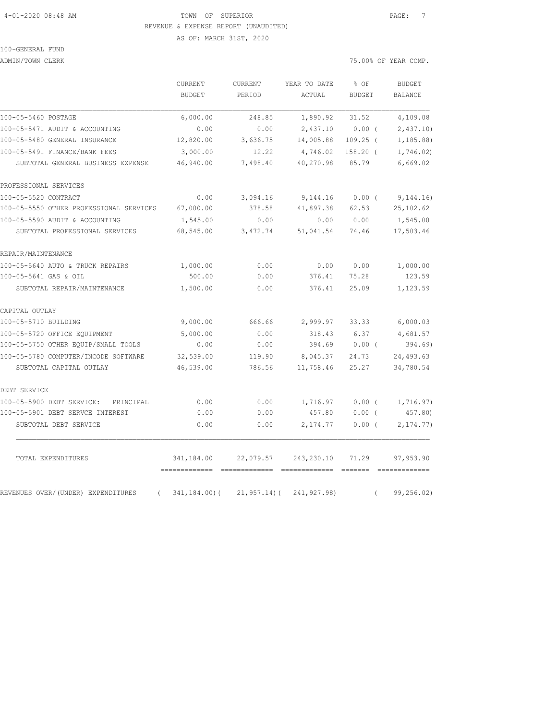# 4-01-2020 08:48 AM TOWN OF SUPERIOR PAGE: 7 REVENUE & EXPENSE REPORT (UNAUDITED)

AS OF: MARCH 31ST, 2020

# 100-GENERAL FUND

ADMIN/TOWN CLERK COMP.

|                                                | CURRENT<br><b>BUDGET</b>    | CURRENT<br>PERIOD | YEAR TO DATE<br>ACTUAL      | % OF<br><b>BUDGET</b> | <b>BUDGET</b><br><b>BALANCE</b> |
|------------------------------------------------|-----------------------------|-------------------|-----------------------------|-----------------------|---------------------------------|
| 100-05-5460 POSTAGE                            | 6,000.00                    | 248.85            | 1,890.92                    | 31.52                 | 4,109.08                        |
| 100-05-5471 AUDIT & ACCOUNTING                 | 0.00                        | 0.00              | 2,437.10                    | 0.00(                 | 2,437.10                        |
| 100-05-5480 GENERAL INSURANCE                  | 12,820.00                   | 3,636.75          | 14,005.88                   | $109.25$ (            | 1, 185.88                       |
| 100-05-5491 FINANCE/BANK FEES                  | 3,000.00                    | 12.22             | 4,746.02                    | $158.20$ (            | 1,746.02)                       |
| SUBTOTAL GENERAL BUSINESS EXPENSE              | 46,940.00                   | 7,498.40          | 40,270.98                   | 85.79                 | 6,669.02                        |
| PROFESSIONAL SERVICES                          |                             |                   |                             |                       |                                 |
| 100-05-5520 CONTRACT                           | 0.00                        | 3,094.16          | 9,144.16                    | $0.00$ (              | 9,144.16)                       |
| 100-05-5550 OTHER PROFESSIONAL SERVICES        | 67,000.00                   | 378.58            | 41,897.38                   | 62.53                 | 25, 102.62                      |
| 100-05-5590 AUDIT & ACCOUNTING                 | 1,545.00                    | 0.00              | 0.00                        | 0.00                  | 1,545.00                        |
| SUBTOTAL PROFESSIONAL SERVICES                 | 68,545.00                   | 3,472.74          | 51,041.54                   | 74.46                 | 17,503.46                       |
| REPAIR/MAINTENANCE                             |                             |                   |                             |                       |                                 |
| 100-05-5640 AUTO & TRUCK REPAIRS               | 1,000.00                    | 0.00              | 0.00                        | 0.00                  | 1,000.00                        |
| 100-05-5641 GAS & OIL                          | 500.00                      | 0.00              | 376.41                      | 75.28                 | 123.59                          |
| SUBTOTAL REPAIR/MAINTENANCE                    | 1,500.00                    | 0.00              | 376.41                      | 25.09                 | 1,123.59                        |
| CAPITAL OUTLAY                                 |                             |                   |                             |                       |                                 |
| 100-05-5710 BUILDING                           | 9,000.00                    | 666.66            | 2,999.97                    | 33.33                 | 6,000.03                        |
| 100-05-5720 OFFICE EQUIPMENT                   | 5,000.00                    | 0.00              | 318.43                      | 6.37                  | 4,681.57                        |
| 100-05-5750 OTHER EQUIP/SMALL TOOLS            | 0.00                        | 0.00              | 394.69                      | $0.00$ (              | 394.69)                         |
| 100-05-5780 COMPUTER/INCODE SOFTWARE           | 32,539.00                   | 119.90            | 8,045.37                    | 24.73                 | 24,493.63                       |
| SUBTOTAL CAPITAL OUTLAY                        | 46,539.00                   | 786.56            | 11,758.46                   | 25.27                 | 34,780.54                       |
| DEBT SERVICE                                   |                             |                   |                             |                       |                                 |
| 100-05-5900 DEBT SERVICE:<br>PRINCIPAL         | 0.00                        | 0.00              | 1,716.97                    | 0.00(                 | 1,716.97)                       |
| 100-05-5901 DEBT SERVCE INTEREST               | 0.00                        | 0.00              | 457.80                      | $0.00$ (              | 457.80)                         |
| SUBTOTAL DEBT SERVICE                          | 0.00                        | 0.00              | 2,174.77                    | 0.00(                 | 2, 174.77                       |
| TOTAL EXPENDITURES                             | 341,184.00<br>============= | 22,079.57         | 243,230.10<br>============= | 71.29                 | 97,953.90                       |
| REVENUES OVER/(UNDER) EXPENDITURES<br>$\left($ | $341, 184.00$ (             | $21, 957.14$ ) (  | 241,927.98)                 | $\left($              | 99, 256.02)                     |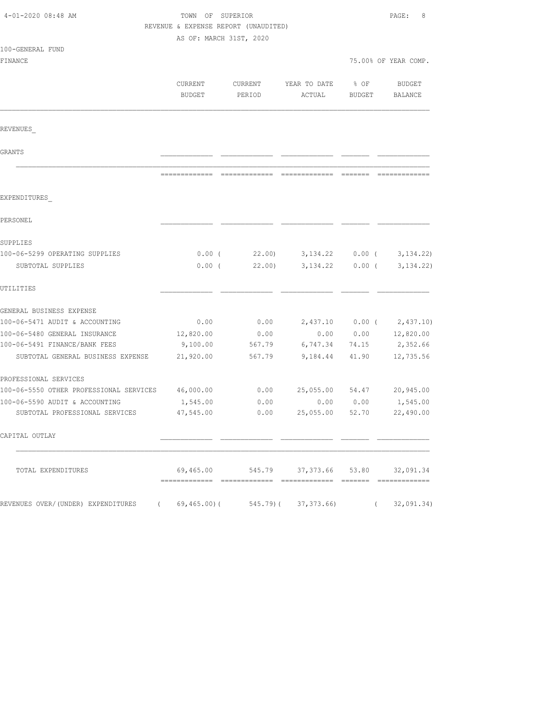| 4-01-2020 08:48 AM                      |                         | TOWN OF SUPERIOR<br>REVENUE & EXPENSE REPORT (UNAUDITED) |                                            |               |                      |  |
|-----------------------------------------|-------------------------|----------------------------------------------------------|--------------------------------------------|---------------|----------------------|--|
|                                         |                         |                                                          |                                            |               |                      |  |
| 100-GENERAL FUND                        | AS OF: MARCH 31ST, 2020 |                                                          |                                            |               |                      |  |
| FINANCE                                 |                         |                                                          |                                            |               | 75.00% OF YEAR COMP. |  |
|                                         |                         |                                                          |                                            |               |                      |  |
|                                         | CURRENT                 | CURRENT                                                  | YEAR TO DATE                               | % OF          | <b>BUDGET</b>        |  |
|                                         | <b>BUDGET</b>           | PERIOD                                                   | ACTUAL                                     | <b>BUDGET</b> | <b>BALANCE</b>       |  |
| REVENUES                                |                         |                                                          |                                            |               |                      |  |
| GRANTS                                  |                         |                                                          |                                            |               |                      |  |
|                                         |                         |                                                          |                                            |               |                      |  |
| EXPENDITURES                            |                         |                                                          |                                            |               |                      |  |
| PERSONEL                                |                         |                                                          |                                            |               |                      |  |
| SUPPLIES                                |                         |                                                          |                                            |               |                      |  |
| 100-06-5299 OPERATING SUPPLIES          | $0.00$ (                | 22.00                                                    | 3, 134. 22                                 | $0.00$ (      | 3, 134.22)           |  |
| SUBTOTAL SUPPLIES                       | $0.00$ (                | 22.00                                                    | 3, 134.22                                  | $0.00$ (      | 3, 134.22)           |  |
| UTILITIES                               |                         |                                                          |                                            |               |                      |  |
| GENERAL BUSINESS EXPENSE                |                         |                                                          |                                            |               |                      |  |
| 100-06-5471 AUDIT & ACCOUNTING          | 0.00                    | 0.00                                                     | 2,437.10                                   | $0.00$ (      | 2,437.10)            |  |
| 100-06-5480 GENERAL INSURANCE           | 12,820.00               | 0.00                                                     | 0.00                                       | 0.00          | 12,820.00            |  |
| 100-06-5491 FINANCE/BANK FEES           | 9,100.00                | 567.79                                                   | 6,747.34                                   | 74.15         | 2,352.66             |  |
| SUBTOTAL GENERAL BUSINESS EXPENSE       | 21,920.00               | 567.79                                                   | 9,184.44                                   | 41.90         | 12,735.56            |  |
| PROFESSIONAL SERVICES                   |                         |                                                          |                                            |               |                      |  |
| 100-06-5550 OTHER PROFESSIONAL SERVICES | 46,000.00               | 0.00                                                     | 25,055.00                                  | 54.47         | 20,945.00            |  |
| 100-06-5590 AUDIT & ACCOUNTING          | 1,545.00                | 0.00                                                     | 0.00                                       | 0.00          | 1,545.00             |  |
| SUBTOTAL PROFESSIONAL SERVICES          | 47,545.00               | 0.00                                                     | 25,055.00                                  | 52.70         | 22,490.00            |  |
| CAPITAL OUTLAY                          |                         |                                                          |                                            |               |                      |  |
| TOTAL EXPENDITURES                      |                         |                                                          | 69,465.00 545.79 37,373.66 53.80 32,091.34 |               |                      |  |
| REVENUES OVER/(UNDER) EXPENDITURES      | (69, 465.00)            |                                                          | $545.79$ ( $37,373.66$ )                   | $\left($      | 32,091.34)           |  |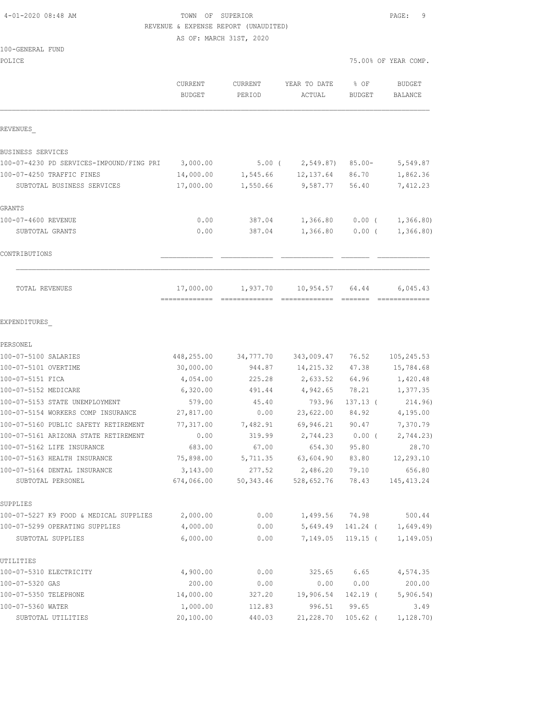4-01-2020 08:48 AM TOWN OF SUPERIOR PAGE: 9 REVENUE & EXPENSE REPORT (UNAUDITED)

AS OF: MARCH 31ST, 2020

100-GENERAL FUND

| POLICE                                            |                                          |                    |                        |                       | 75.00% OF YEAR COMP.     |
|---------------------------------------------------|------------------------------------------|--------------------|------------------------|-----------------------|--------------------------|
|                                                   | CURRENT<br><b>BUDGET</b>                 | CURRENT<br>PERIOD  | YEAR TO DATE<br>ACTUAL | % OF<br><b>BUDGET</b> | <b>BUDGET</b><br>BALANCE |
| REVENUES                                          |                                          |                    |                        |                       |                          |
| BUSINESS SERVICES                                 |                                          |                    |                        |                       |                          |
| 100-07-4230 PD SERVICES-IMPOUND/FING PRI          | 3,000.00                                 | $5.00$ (           | 2,549.87)              | $85.00 -$             | 5,549.87                 |
| 100-07-4250 TRAFFIC FINES                         | 14,000.00                                | 1,545.66           | 12,137.64              | 86.70                 | 1,862.36                 |
| SUBTOTAL BUSINESS SERVICES                        | 17,000.00                                | 1,550.66           | 9,587.77               | 56.40                 | 7,412.23                 |
| GRANTS                                            |                                          |                    |                        |                       |                          |
| 100-07-4600 REVENUE                               | 0.00                                     | 387.04             | 1,366.80               | $0.00$ (              | 1,366.80                 |
| SUBTOTAL GRANTS                                   | 0.00                                     | 387.04             | 1,366.80               | 0.00(                 | 1,366.80)                |
| CONTRIBUTIONS                                     |                                          |                    |                        |                       |                          |
| TOTAL REVENUES                                    | 17,000.00<br>------------- ------------- | 1,937.70           | 10,954.57              | 64.44                 | 6,045.43                 |
| EXPENDITURES                                      |                                          |                    |                        |                       |                          |
| PERSONEL                                          |                                          |                    |                        |                       |                          |
| 100-07-5100 SALARIES                              | 448,255.00                               | 34,777.70          | 343,009.47             | 76.52                 | 105, 245.53              |
| 100-07-5101 OVERTIME                              | 30,000.00                                | 944.87             | 14,215.32              | 47.38                 | 15,784.68                |
| 100-07-5151 FICA                                  | 4,054.00                                 | 225.28             | 2,633.52               | 64.96                 | 1,420.48                 |
| 100-07-5152 MEDICARE                              | 6,320.00                                 | 491.44             | 4,942.65               | 78.21                 | 1,377.35                 |
| 100-07-5153 STATE UNEMPLOYMENT                    | 579.00                                   | 45.40              | 793.96                 | $137.13$ (            | 214.96)                  |
| 100-07-5154 WORKERS COMP INSURANCE                | 27,817.00                                | 0.00               | 23,622.00              | 84.92                 | 4,195.00                 |
| 100-07-5160 PUBLIC SAFETY RETIREMENT              | 77,317.00                                | 7,482.91           | 69,946.21              | 90.47                 | 7,370.79                 |
| 100-07-5161 ARIZONA STATE RETIREMENT              | 0.00                                     | 319.99             | 2,744.23               | $0.00$ (              | 2,744.23)                |
| 100-07-5162 LIFE INSURANCE                        | 683.00                                   | 67.00              | 654.30                 | 95.80                 | 28.70                    |
| 100-07-5163 HEALTH INSURANCE                      | 75,898.00                                | 5,711.35<br>277.52 | 63,604.90              | 83.80                 | 12,293.10                |
| 100-07-5164 DENTAL INSURANCE<br>SUBTOTAL PERSONEL | 3,143.00<br>674,066.00                   | 50, 343.46         | 2,486.20<br>528,652.76 | 79.10<br>78.43        | 656.80<br>145, 413.24    |
| SUPPLIES                                          |                                          |                    |                        |                       |                          |
| 100-07-5227 K9 FOOD & MEDICAL SUPPLIES            | 2,000.00                                 | 0.00               | 1,499.56               | 74.98                 | 500.44                   |
| 100-07-5299 OPERATING SUPPLIES                    | 4,000.00                                 | 0.00               | 5,649.49               | 141.24 (              | 1,649.49)                |
| SUBTOTAL SUPPLIES                                 | 6,000.00                                 | 0.00               | 7,149.05               | $119.15$ (            | 1, 149.05)               |
| UTILITIES                                         |                                          |                    |                        |                       |                          |
| 100-07-5310 ELECTRICITY                           | 4,900.00                                 | 0.00               | 325.65                 | 6.65                  | 4,574.35                 |
| 100-07-5320 GAS                                   | 200.00                                   | 0.00               | 0.00                   | 0.00                  | 200.00                   |
| 100-07-5350 TELEPHONE                             | 14,000.00                                | 327.20             | 19,906.54              | 142.19 (              | 5,906.54)                |
| 100-07-5360 WATER                                 | 1,000.00                                 | 112.83             | 996.51                 | 99.65                 | 3.49                     |
| SUBTOTAL UTILITIES                                | 20,100.00                                | 440.03             | 21,228.70              | $105.62$ (            | 1, 128.70                |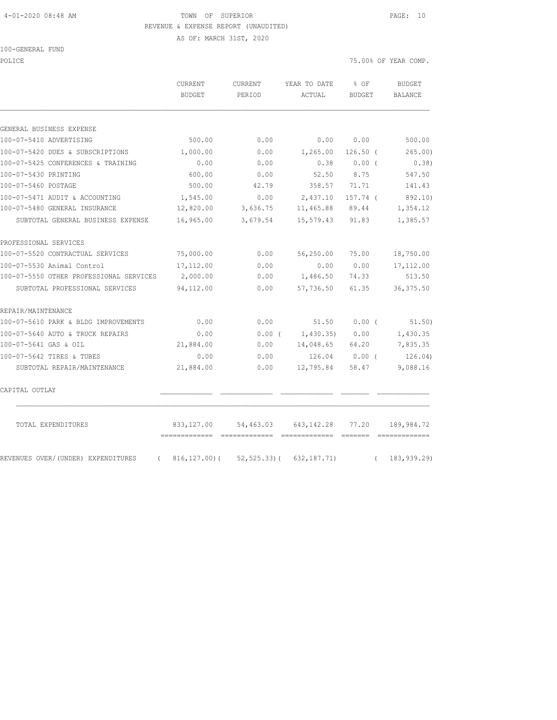#### 4-01-2020 08:48 AM TOWN OF SUPERIOR PAGE: 10 REVENUE & EXPENSE REPORT (UNAUDITED)

AS OF: MARCH 31ST, 2020

100-GENERAL FUND

| POLICE                                         |                            |                   |                                                                                                                                                                                                                                                                                                                                                                                                                                                                                                                                                                                 |                       | 75.00% OF YEAR COMP.     |
|------------------------------------------------|----------------------------|-------------------|---------------------------------------------------------------------------------------------------------------------------------------------------------------------------------------------------------------------------------------------------------------------------------------------------------------------------------------------------------------------------------------------------------------------------------------------------------------------------------------------------------------------------------------------------------------------------------|-----------------------|--------------------------|
|                                                | CURRENT<br><b>BUDGET</b>   | CURRENT<br>PERIOD | YEAR TO DATE<br>ACTUAL                                                                                                                                                                                                                                                                                                                                                                                                                                                                                                                                                          | % OF<br><b>BUDGET</b> | <b>BUDGET</b><br>BALANCE |
|                                                |                            |                   |                                                                                                                                                                                                                                                                                                                                                                                                                                                                                                                                                                                 |                       |                          |
| GENERAL BUSINESS EXPENSE                       |                            |                   |                                                                                                                                                                                                                                                                                                                                                                                                                                                                                                                                                                                 |                       |                          |
| 100-07-5410 ADVERTISING                        | 500.00                     | 0.00              | 0.00                                                                                                                                                                                                                                                                                                                                                                                                                                                                                                                                                                            | 0.00                  | 500.00                   |
| 100-07-5420 DUES & SUBSCRIPTIONS               | 1,000.00                   | 0.00              | 1,265.00                                                                                                                                                                                                                                                                                                                                                                                                                                                                                                                                                                        | $126.50$ (            | 265.00)                  |
| 100-07-5425 CONFERENCES & TRAINING             | 0.00                       | 0.00              | 0.38                                                                                                                                                                                                                                                                                                                                                                                                                                                                                                                                                                            | $0.00$ (              | 0.38)                    |
| 100-07-5430 PRINTING                           | 600.00                     | 0.00              | 52.50                                                                                                                                                                                                                                                                                                                                                                                                                                                                                                                                                                           | 8.75                  | 547.50                   |
| 100-07-5460 POSTAGE                            | 500.00                     | 42.79             | 358.57                                                                                                                                                                                                                                                                                                                                                                                                                                                                                                                                                                          | 71.71                 | 141.43                   |
| 100-07-5471 AUDIT & ACCOUNTING                 | 1,545.00                   | 0.00              | 2,437.10                                                                                                                                                                                                                                                                                                                                                                                                                                                                                                                                                                        | 157.74 (              | 892.10)                  |
| 100-07-5480 GENERAL INSURANCE                  | 12,820.00                  | 3,636.75          | 11,465.88                                                                                                                                                                                                                                                                                                                                                                                                                                                                                                                                                                       | 89.44                 | 1,354.12                 |
| SUBTOTAL GENERAL BUSINESS EXPENSE              | 16,965.00                  | 3,679.54          | 15,579.43                                                                                                                                                                                                                                                                                                                                                                                                                                                                                                                                                                       | 91.83                 | 1,385.57                 |
| PROFESSIONAL SERVICES                          |                            |                   |                                                                                                                                                                                                                                                                                                                                                                                                                                                                                                                                                                                 |                       |                          |
| 100-07-5520 CONTRACTUAL SERVICES               | 75,000.00                  | 0.00              | 56,250.00                                                                                                                                                                                                                                                                                                                                                                                                                                                                                                                                                                       | 75.00                 | 18,750.00                |
| 100-07-5530 Animal Control                     | 17,112.00                  | 0.00              | 0.00                                                                                                                                                                                                                                                                                                                                                                                                                                                                                                                                                                            | 0.00                  | 17, 112.00               |
| 100-07-5550 OTHER PROFESSIONAL SERVICES        | 2,000.00                   | 0.00              | 1,486.50                                                                                                                                                                                                                                                                                                                                                                                                                                                                                                                                                                        | 74.33                 | 513.50                   |
| SUBTOTAL PROFESSIONAL SERVICES                 | 94,112.00                  | 0.00              | 57,736.50                                                                                                                                                                                                                                                                                                                                                                                                                                                                                                                                                                       | 61.35                 | 36, 375.50               |
| REPAIR/MAINTENANCE                             |                            |                   |                                                                                                                                                                                                                                                                                                                                                                                                                                                                                                                                                                                 |                       |                          |
| 100-07-5610 PARK & BLDG IMPROVEMENTS           | 0.00                       | 0.00              | 51.50                                                                                                                                                                                                                                                                                                                                                                                                                                                                                                                                                                           | $0.00$ (              | 51.50)                   |
| 100-07-5640 AUTO & TRUCK REPAIRS               | 0.00                       | $0.00$ (          | 1,430.35)                                                                                                                                                                                                                                                                                                                                                                                                                                                                                                                                                                       | 0.00                  | 1,430.35                 |
| 100-07-5641 GAS & OIL                          | 21,884.00                  | 0.00              | 14,048.65                                                                                                                                                                                                                                                                                                                                                                                                                                                                                                                                                                       | 64.20                 | 7,835.35                 |
| 100-07-5642 TIRES & TUBES                      | 0.00                       | 0.00              | 126.04                                                                                                                                                                                                                                                                                                                                                                                                                                                                                                                                                                          | $0.00$ (              | 126.04)                  |
| SUBTOTAL REPAIR/MAINTENANCE                    | 21,884.00                  | 0.00              | 12,795.84                                                                                                                                                                                                                                                                                                                                                                                                                                                                                                                                                                       | 58.47                 | 9,088.16                 |
| CAPITAL OUTLAY                                 |                            |                   |                                                                                                                                                                                                                                                                                                                                                                                                                                                                                                                                                                                 |                       |                          |
| TOTAL EXPENDITURES                             | 833,127.00                 | 54,463.03         | 643,142.28<br>$\begin{array}{cccccc} \multicolumn{2}{c}{{\color{red}{{\color{magenta}\boldsymbol{\mathsf{G}}}}}{{\color{magenta}\boldsymbol{\mathsf{G}}}}} & \multicolumn{2}{c}{{\color{magenta}\boldsymbol{\mathsf{G}}}}} & \multicolumn{2}{c}{{\color{magenta}\boldsymbol{\mathsf{G}}}}} & \multicolumn{2}{c}{{\color{magenta}\boldsymbol{\mathsf{G}}}}} & \multicolumn{2}{c}{{\color{magenta}\boldsymbol{\mathsf{G}}}}} & \multicolumn{2}{c}{{\color{magenta}\boldsymbol{\mathsf{G}}}}} & \multicolumn{2}{c}{{\color{magenta}\boldsymbol{\mathsf{G}}}}} & \multicolumn{2}{c$ | 77.20                 | 189,984.72               |
| REVENUES OVER/(UNDER) EXPENDITURES<br>$\left($ | ------------- ------------ |                   | $816, 127.00$ ( $52, 525.33$ ( $632, 187.71$ )                                                                                                                                                                                                                                                                                                                                                                                                                                                                                                                                  | $\left($              | 183, 939.29)             |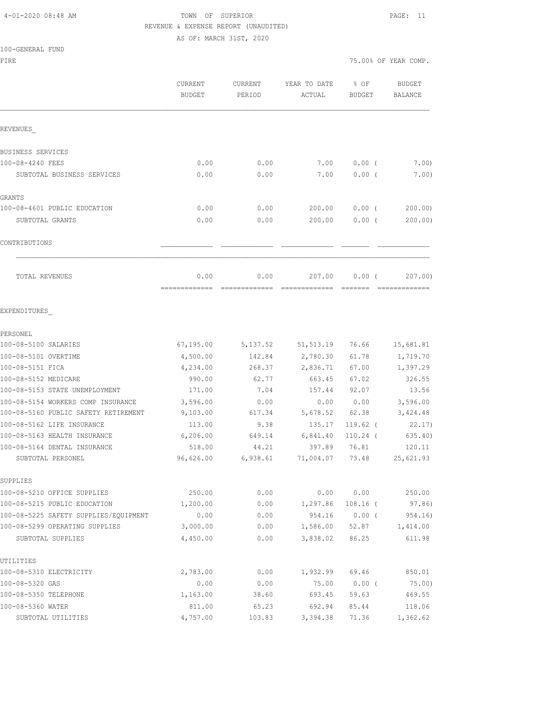## 4-01-2020 08:48 AM TOWN OF SUPERIOR PAGE: 11 REVENUE & EXPENSE REPORT (UNAUDITED)

AS OF: MARCH 31ST, 2020

|  | 100-GENERAL FUND |  |
|--|------------------|--|
|  |                  |  |

| FIRE                                              |                                 |                   |                        |                       | 75.00% OF YEAR COMP.     |
|---------------------------------------------------|---------------------------------|-------------------|------------------------|-----------------------|--------------------------|
|                                                   | <b>CURRENT</b><br><b>BUDGET</b> | CURRENT<br>PERIOD | YEAR TO DATE<br>ACTUAL | % OF<br><b>BUDGET</b> | <b>BUDGET</b><br>BALANCE |
| REVENUES                                          |                                 |                   |                        |                       |                          |
| BUSINESS SERVICES                                 |                                 |                   |                        |                       |                          |
| 100-08-4240 FEES                                  | 0.00                            | 0.00              | 7.00                   | 0.00(                 | 7.00                     |
| SUBTOTAL BUSINESS SERVICES                        | 0.00                            | 0.00              | 7.00                   | $0.00$ (              | 7.00)                    |
| GRANTS                                            |                                 |                   |                        |                       |                          |
| 100-08-4601 PUBLIC EDUCATION                      | 0.00                            | 0.00              | 200.00                 | $0.00$ (              | 200.00)                  |
| SUBTOTAL GRANTS                                   | 0.00                            | 0.00              | 200.00                 | $0.00$ (              | 200.00)                  |
| CONTRIBUTIONS                                     |                                 |                   |                        |                       |                          |
| TOTAL REVENUES                                    | 0.00                            | 0.00              | 207.00                 | $0.00$ (              | 207.00)                  |
| EXPENDITURES                                      |                                 |                   |                        |                       |                          |
| PERSONEL                                          |                                 |                   |                        |                       |                          |
| 100-08-5100 SALARIES                              | 67,195.00                       | 5, 137.52         | 51, 513.19             | 76.66                 | 15,681.81                |
| 100-08-5101 OVERTIME                              | 4,500.00                        | 142.84            | 2,780.30               | 61.78                 | 1,719.70                 |
| 100-08-5151 FICA                                  | 4,234.00                        | 268.37            | 2,836.71               | 67.00                 | 1,397.29                 |
| 100-08-5152 MEDICARE                              | 990.00                          | 62.77             | 663.45                 | 67.02                 | 326.55                   |
| 100-08-5153 STATE UNEMPLOYMENT                    | 171.00                          | 7.04              | 157.44                 | 92.07                 | 13.56                    |
| 100-08-5154 WORKERS COMP INSURANCE                | 3,596.00                        | 0.00              | 0.00                   | 0.00                  | 3,596.00                 |
| 100-08-5160 PUBLIC SAFETY RETIREMENT              | 9,103.00                        | 617.34            | 5,678.52               | 62.38                 | 3,424.48                 |
| 100-08-5162 LIFE INSURANCE                        | 113.00                          | 9.38              | 135.17                 | 119.62 (              | 22.17)                   |
| 100-08-5163 HEALTH INSURANCE                      | 6,206.00                        | 649.14            | 6,841.40               | $110.24$ (            | 635.40)                  |
| 100-08-5164 DENTAL INSURANCE<br>SUBTOTAL PERSONEL | 518.00<br>96,626.00             | 44.21<br>6,938.61 | 397.89<br>71,004.07    | 76.81<br>73.48        | 120.11<br>25,621.93      |
| SUPPLIES                                          |                                 |                   |                        |                       |                          |
| 100-08-5210 OFFICE SUPPLIES                       | 250.00                          | 0.00              |                        | 0.000000              | 250.00                   |
| 100-08-5215 PUBLIC EDUCATION                      | 1,200.00                        | 0.00              | 1,297.86 108.16 (      |                       | 97.86)                   |
| 100-08-5225 SAFETY SUPPLIES/EQUIPMENT             | 0.00                            | 0.00              |                        |                       | 954.16  0.00  (954.16)   |
| 100-08-5299 OPERATING SUPPLIES                    | 3,000.00                        | 0.00              |                        |                       | 1,586.00 52.87 1,414.00  |
| SUBTOTAL SUPPLIES                                 | 4,450.00                        | 0.00              |                        | 3,838.02 86.25        | 611.98                   |
| UTILITIES                                         |                                 |                   |                        |                       |                          |
| 100-08-5310 ELECTRICITY                           | 2,783.00                        | 0.00              | 1,932.99 69.46         |                       | 850.01                   |
| 100-08-5320 GAS                                   | 0.00                            | 0.00              | 75.00                  | $0.00$ (              | 75.00)                   |
| 100-08-5350 TELEPHONE                             | 1,163.00                        | 38.60             | 693.45                 | 59.63                 | 469.55                   |
| 100-08-5360 WATER                                 | 811.00                          | 65.23             | 692.94                 | 85.44                 | 118.06                   |
| SUBTOTAL UTILITIES                                | 4,757.00                        | 103.83            | 3,394.38               | 71.36                 | 1,362.62                 |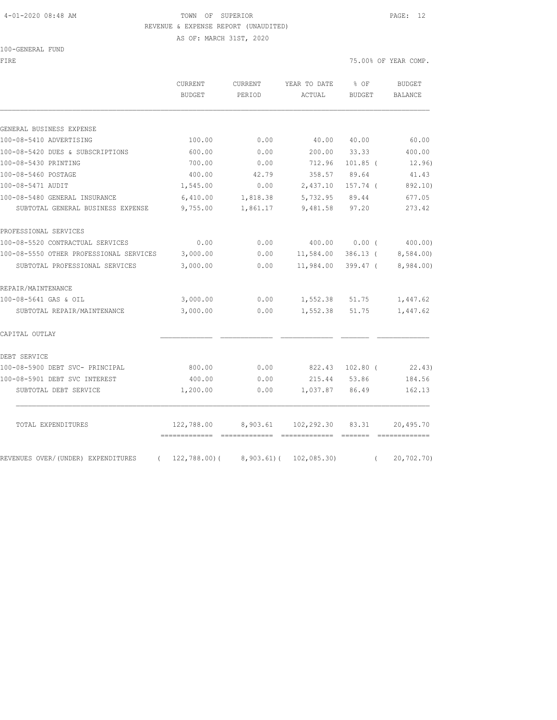#### 4-01-2020 08:48 AM TOWN OF SUPERIOR PAGE: 12 REVENUE & EXPENSE REPORT (UNAUDITED)

AS OF: MARCH 31ST, 2020

100-GENERAL FUND FIRE THE SERIES OF YEAR COMP.

|                                                  | CURRENT<br><b>BUDGET</b>           | <b>CURRENT</b><br>PERIOD | YEAR TO DATE<br>ACTUAL      | % OF<br><b>BUDGET</b> | <b>BUDGET</b><br><b>BALANCE</b> |
|--------------------------------------------------|------------------------------------|--------------------------|-----------------------------|-----------------------|---------------------------------|
| GENERAL BUSINESS EXPENSE                         |                                    |                          |                             |                       |                                 |
| 100-08-5410 ADVERTISING                          | 100.00                             | 0.00                     | 40.00                       | 40.00                 | 60.00                           |
| 100-08-5420 DUES & SUBSCRIPTIONS                 | 600.00                             | 0.00                     | 200.00                      | 33.33                 | 400.00                          |
| 100-08-5430 PRINTING                             | 700.00                             | 0.00                     | 712.96                      | $101.85$ (            | 12.96)                          |
| 100-08-5460 POSTAGE                              | 400.00                             | 42.79                    | 358.57                      | 89.64                 | 41.43                           |
| 100-08-5471 AUDIT                                | 1,545.00                           | 0.00                     | 2,437.10                    | 157.74 (              | 892.10)                         |
| 100-08-5480 GENERAL INSURANCE                    | 6,410.00                           | 1,818.38                 | 5,732.95                    | 89.44                 | 677.05                          |
| SUBTOTAL GENERAL BUSINESS EXPENSE                | 9,755.00                           | 1,861.17                 | 9,481.58                    | 97.20                 | 273.42                          |
| PROFESSIONAL SERVICES                            |                                    |                          |                             |                       |                                 |
| 100-08-5520 CONTRACTUAL SERVICES                 | 0.00                               | 0.00                     | 400.00                      | 0.00(                 | 400.00)                         |
| 100-08-5550 OTHER PROFESSIONAL SERVICES          | 3,000.00                           | 0.00                     | 11,584.00                   | $386.13$ (            | 8,584.00)                       |
| SUBTOTAL PROFESSIONAL SERVICES                   | 3,000.00                           | 0.00                     | 11,984.00                   | $399.47$ (            | 8,984.00)                       |
| REPAIR/MAINTENANCE                               |                                    |                          |                             |                       |                                 |
| 100-08-5641 GAS & OIL                            | 3,000.00                           | 0.00                     | 1,552.38                    | 51.75                 | 1,447.62                        |
| SUBTOTAL REPAIR/MAINTENANCE                      | 3,000.00                           | 0.00                     | 1,552.38                    | 51.75                 | 1,447.62                        |
| CAPITAL OUTLAY                                   |                                    |                          |                             |                       |                                 |
| DEBT SERVICE                                     |                                    |                          |                             |                       |                                 |
| 100-08-5900 DEBT SVC- PRINCIPAL                  | 800.00                             | 0.00                     | 822.43                      | $102.80$ (            | 22.43)                          |
| 100-08-5901 DEBT SVC INTEREST                    | 400.00                             | 0.00                     | 215.44                      | 53.86                 | 184.56                          |
| SUBTOTAL DEBT SERVICE                            | 1,200.00                           | 0.00                     | 1,037.87                    | 86.49                 | 162.13                          |
| TOTAL EXPENDITURES                               | 122,788.00<br>-------------- ----- | 8,903.61                 | 102,292.30<br>------------- | 83.31                 | 20,495.70                       |
| REVENUES OVER/(UNDER) EXPENDITURES<br>$\sqrt{2}$ | $122,788.00$ (                     |                          | $8,903.61$ ( $102,085.30$ ) | $\left($              | 20,702.70)                      |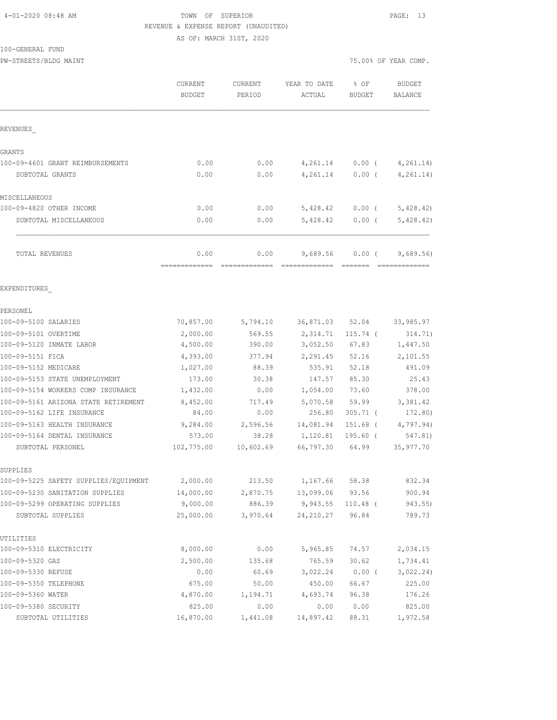#### 4-01-2020 08:48 AM TOWN OF SUPERIOR PAGE: 13 REVENUE & EXPENSE REPORT (UNAUDITED) AS OF: MARCH 31ST, 2020

100-GENERAL FUND

PW-STREETS/BLDG MAINT 75.00% OF YEAR COMP.

|                                       | CURRENT<br><b>BUDGET</b> | <b>CURRENT</b><br>PERIOD | YEAR TO DATE<br>ACTUAL | % OF<br><b>BUDGET</b> | <b>BUDGET</b><br><b>BALANCE</b> |
|---------------------------------------|--------------------------|--------------------------|------------------------|-----------------------|---------------------------------|
| REVENUES                              |                          |                          |                        |                       |                                 |
| GRANTS                                |                          |                          |                        |                       |                                 |
| 100-09-4601 GRANT REIMBURSEMENTS      | 0.00                     | 0.00                     | 4,261.14               | $0.00$ (              | 4, 261.14)                      |
| SUBTOTAL GRANTS                       | 0.00                     | 0.00                     | 4,261.14               | $0.00$ (              | 4, 261.14)                      |
| MISCELLANEOUS                         |                          |                          |                        |                       |                                 |
| 100-09-4820 OTHER INCOME              | 0.00                     | 0.00                     | 5,428.42               | $0.00$ (              | 5,428.42                        |
| SUBTOTAL MISCELLANEOUS                | 0.00                     | 0.00                     | 5,428.42               | 0.00(                 | 5,428.42)                       |
| TOTAL REVENUES                        | 0.00                     | 0.00                     | 9,689.56               | 0.00(                 | 9,689.56                        |
|                                       |                          |                          |                        |                       |                                 |
| EXPENDITURES                          |                          |                          |                        |                       |                                 |
| PERSONEL                              |                          |                          |                        |                       |                                 |
| 100-09-5100 SALARIES                  | 70,857.00                | 5,794.10                 | 36,871.03              | 52.04                 | 33,985.97                       |
| 100-09-5101 OVERTIME                  | 2,000.00                 | 569.55                   | 2,314.71               | $115.74$ (            | 314.71)                         |
| 100-09-5120 INMATE LABOR              | 4,500.00                 | 390.00                   | 3,052.50               | 67.83                 | 1,447.50                        |
| 100-09-5151 FICA                      | 4,393.00                 | 377.94                   | 2,291.45               | 52.16                 | 2,101.55                        |
| 100-09-5152 MEDICARE                  | 1,027.00                 | 88.39                    | 535.91                 | 52.18                 | 491.09                          |
| 100-09-5153 STATE UNEMPLOYMENT        | 173.00                   | 30.38                    | 147.57                 | 85.30                 | 25.43                           |
| 100-09-5154 WORKERS COMP INSURANCE    | 1,432.00                 | 0.00                     | 1,054.00               | 73.60                 | 378.00                          |
| 100-09-5161 ARIZONA STATE RETIREMENT  | 8,452.00                 | 717.49                   | 5,070.58               | 59.99                 | 3,381.42                        |
| 100-09-5162 LIFE INSURANCE            | 84.00                    | 0.00                     | 256.80                 | $305.71$ (            | 172.80)                         |
| 100-09-5163 HEALTH INSURANCE          | 9,284.00                 | 2,596.56                 | 14,081.94              | 151.68 (              | 4,797.94)                       |
| 100-09-5164 DENTAL INSURANCE          | 573.00                   | 38.28                    | 1,120.81               | 195.60 (              | 547.81)                         |
| SUBTOTAL PERSONEL                     | 102,775.00               | 10,602.69                | 66,797.30              | 64.99                 | 35,977.70                       |
| SUPPLIES                              |                          |                          |                        |                       |                                 |
| 100-09-5225 SAFETY SUPPLIES/EQUIPMENT | 2,000.00                 | 213.50                   | 1,167.66               | 58.38                 | 832.34                          |
| 100-09-5230 SANITATION SUPPLIES       | 14,000.00                | 2,870.75                 | 13,099.06              | 93.56                 | 900.94                          |
| 100-09-5299 OPERATING SUPPLIES        | 9,000.00                 | 886.39                   | 9,943.55               | $110.48$ (            | 943.55)                         |
| SUBTOTAL SUPPLIES                     | 25,000.00                | 3,970.64                 | 24, 210.27             | 96.84                 | 789.73                          |
| UTILITIES                             |                          |                          |                        |                       |                                 |
| 100-09-5310 ELECTRICITY               | 8,000.00                 | 0.00                     | 5,965.85               | 74.57                 | 2,034.15                        |
| 100-09-5320 GAS                       | 2,500.00                 | 135.68                   | 765.59                 | 30.62                 | 1,734.41                        |
| 100-09-5330 REFUSE                    | 0.00                     | 60.69                    | 3,022.24               | $0.00$ (              | 3,022.24)                       |
| 100-09-5350 TELEPHONE                 | 675.00                   | 50.00                    | 450.00                 | 66.67                 | 225.00                          |
| 100-09-5360 WATER                     | 4,870.00                 | 1,194.71                 | 4,693.74               | 96.38                 | 176.26                          |
| 100-09-5380 SECURITY                  | 825.00                   | 0.00                     | 0.00                   | 0.00                  | 825.00                          |
| SUBTOTAL UTILITIES                    | 16,870.00                | 1,441.08                 | 14,897.42              | 88.31                 | 1,972.58                        |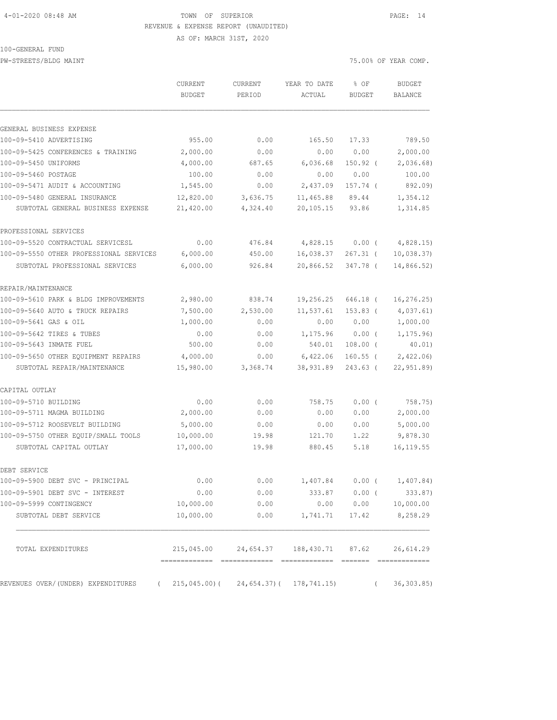#### 4-01-2020 08:48 AM TOWN OF SUPERIOR PAGE: 14 REVENUE & EXPENSE REPORT (UNAUDITED)

100-GENERAL FUND

PW-STREETS/BLDG MAINT **2000** MAINT 25.00% OF YEAR COMP.

AS OF: MARCH 31ST, 2020

| GENERAL BUSINESS EXPENSE<br>100-09-5410 ADVERTISING<br>955.00<br>100-09-5425 CONFERENCES & TRAINING<br>2,000.00<br>100-09-5450 UNIFORMS<br>4,000.00<br>100-09-5460 POSTAGE<br>100.00<br>100-09-5471 AUDIT & ACCOUNTING<br>1,545.00<br>100-09-5480 GENERAL INSURANCE<br>12,820.00<br>21,420.00<br>SUBTOTAL GENERAL BUSINESS EXPENSE<br>PROFESSIONAL SERVICES<br>100-09-5520 CONTRACTUAL SERVICESL<br>0.00<br>100-09-5550 OTHER PROFESSIONAL SERVICES<br>6,000.00<br>6,000.00<br>SUBTOTAL PROFESSIONAL SERVICES<br>REPAIR/MAINTENANCE<br>100-09-5610 PARK & BLDG IMPROVEMENTS<br>2,980.00<br>100-09-5640 AUTO & TRUCK REPAIRS<br>7,500.00<br>100-09-5641 GAS & OIL<br>1,000.00<br>100-09-5642 TIRES & TUBES<br>0.00<br>100-09-5643 INMATE FUEL<br>500.00<br>4,000.00<br>100-09-5650 OTHER EQUIPMENT REPAIRS<br>15,980.00<br>SUBTOTAL REPAIR/MAINTENANCE<br>CAPITAL OUTLAY<br>100-09-5710 BUILDING<br>0.00<br>2,000.00<br>100-09-5711 MAGMA BUILDING<br>100-09-5712 ROOSEVELT BUILDING<br>5,000.00<br>100-09-5750 OTHER EQUIP/SMALL TOOLS<br>10,000.00<br>17,000.00<br>SUBTOTAL CAPITAL OUTLAY | 0.00<br>0.00<br>687.65<br>0.00 | 165.50<br>0.00                           | 17.33          |            |
|---------------------------------------------------------------------------------------------------------------------------------------------------------------------------------------------------------------------------------------------------------------------------------------------------------------------------------------------------------------------------------------------------------------------------------------------------------------------------------------------------------------------------------------------------------------------------------------------------------------------------------------------------------------------------------------------------------------------------------------------------------------------------------------------------------------------------------------------------------------------------------------------------------------------------------------------------------------------------------------------------------------------------------------------------------------------------------------------|--------------------------------|------------------------------------------|----------------|------------|
|                                                                                                                                                                                                                                                                                                                                                                                                                                                                                                                                                                                                                                                                                                                                                                                                                                                                                                                                                                                                                                                                                             |                                |                                          |                |            |
|                                                                                                                                                                                                                                                                                                                                                                                                                                                                                                                                                                                                                                                                                                                                                                                                                                                                                                                                                                                                                                                                                             |                                |                                          |                | 789.50     |
|                                                                                                                                                                                                                                                                                                                                                                                                                                                                                                                                                                                                                                                                                                                                                                                                                                                                                                                                                                                                                                                                                             |                                |                                          | 0.00           | 2,000.00   |
|                                                                                                                                                                                                                                                                                                                                                                                                                                                                                                                                                                                                                                                                                                                                                                                                                                                                                                                                                                                                                                                                                             |                                | 6,036.68                                 | 150.92 (       | 2,036.68   |
|                                                                                                                                                                                                                                                                                                                                                                                                                                                                                                                                                                                                                                                                                                                                                                                                                                                                                                                                                                                                                                                                                             |                                | 0.00                                     | 0.00           | 100.00     |
|                                                                                                                                                                                                                                                                                                                                                                                                                                                                                                                                                                                                                                                                                                                                                                                                                                                                                                                                                                                                                                                                                             | 0.00                           | 2,437.09                                 | 157.74 (       | 892.09)    |
|                                                                                                                                                                                                                                                                                                                                                                                                                                                                                                                                                                                                                                                                                                                                                                                                                                                                                                                                                                                                                                                                                             | 3,636.75                       | 11,465.88                                | 89.44          | 1,354.12   |
|                                                                                                                                                                                                                                                                                                                                                                                                                                                                                                                                                                                                                                                                                                                                                                                                                                                                                                                                                                                                                                                                                             | 4,324.40                       | 20,105.15                                | 93.86          | 1,314.85   |
|                                                                                                                                                                                                                                                                                                                                                                                                                                                                                                                                                                                                                                                                                                                                                                                                                                                                                                                                                                                                                                                                                             |                                |                                          |                |            |
|                                                                                                                                                                                                                                                                                                                                                                                                                                                                                                                                                                                                                                                                                                                                                                                                                                                                                                                                                                                                                                                                                             | 476.84                         | 4,828.15                                 | $0.00$ (       | 4,828.15   |
|                                                                                                                                                                                                                                                                                                                                                                                                                                                                                                                                                                                                                                                                                                                                                                                                                                                                                                                                                                                                                                                                                             | 450.00                         | 16,038.37                                | $267.31$ (     | 10,038.37  |
|                                                                                                                                                                                                                                                                                                                                                                                                                                                                                                                                                                                                                                                                                                                                                                                                                                                                                                                                                                                                                                                                                             | 926.84                         | 20,866.52                                | 347.78 (       | 14,866.52) |
|                                                                                                                                                                                                                                                                                                                                                                                                                                                                                                                                                                                                                                                                                                                                                                                                                                                                                                                                                                                                                                                                                             |                                |                                          |                |            |
|                                                                                                                                                                                                                                                                                                                                                                                                                                                                                                                                                                                                                                                                                                                                                                                                                                                                                                                                                                                                                                                                                             | 838.74                         | 19,256.25                                | 646.18 (       | 16, 276.25 |
|                                                                                                                                                                                                                                                                                                                                                                                                                                                                                                                                                                                                                                                                                                                                                                                                                                                                                                                                                                                                                                                                                             | 2,530.00                       | 11,537.61                                | $153.83$ (     | 4,037.61)  |
|                                                                                                                                                                                                                                                                                                                                                                                                                                                                                                                                                                                                                                                                                                                                                                                                                                                                                                                                                                                                                                                                                             | 0.00                           | 0.00                                     | 0.00           | 1,000.00   |
|                                                                                                                                                                                                                                                                                                                                                                                                                                                                                                                                                                                                                                                                                                                                                                                                                                                                                                                                                                                                                                                                                             | 0.00                           | 1,175.96                                 | 0.00(          | 1, 175.96  |
|                                                                                                                                                                                                                                                                                                                                                                                                                                                                                                                                                                                                                                                                                                                                                                                                                                                                                                                                                                                                                                                                                             | 0.00                           | 540.01                                   | $108.00$ (     | 40.01)     |
|                                                                                                                                                                                                                                                                                                                                                                                                                                                                                                                                                                                                                                                                                                                                                                                                                                                                                                                                                                                                                                                                                             | 0.00                           | 6,422.06                                 | $160.55$ (     | 2,422.06   |
|                                                                                                                                                                                                                                                                                                                                                                                                                                                                                                                                                                                                                                                                                                                                                                                                                                                                                                                                                                                                                                                                                             | 3,368.74                       | 38,931.89                                | $243.63$ (     | 22,951.89) |
|                                                                                                                                                                                                                                                                                                                                                                                                                                                                                                                                                                                                                                                                                                                                                                                                                                                                                                                                                                                                                                                                                             |                                |                                          |                |            |
|                                                                                                                                                                                                                                                                                                                                                                                                                                                                                                                                                                                                                                                                                                                                                                                                                                                                                                                                                                                                                                                                                             | 0.00                           | 758.75                                   | 0.00(          | 758.75)    |
|                                                                                                                                                                                                                                                                                                                                                                                                                                                                                                                                                                                                                                                                                                                                                                                                                                                                                                                                                                                                                                                                                             | 0.00                           | 0.00                                     | 0.00           | 2,000.00   |
|                                                                                                                                                                                                                                                                                                                                                                                                                                                                                                                                                                                                                                                                                                                                                                                                                                                                                                                                                                                                                                                                                             | 0.00                           | 0.00                                     | 0.00           | 5,000.00   |
|                                                                                                                                                                                                                                                                                                                                                                                                                                                                                                                                                                                                                                                                                                                                                                                                                                                                                                                                                                                                                                                                                             | 19.98                          | 121.70                                   | 1.22           | 9,878.30   |
|                                                                                                                                                                                                                                                                                                                                                                                                                                                                                                                                                                                                                                                                                                                                                                                                                                                                                                                                                                                                                                                                                             | 19.98                          | 880.45                                   | 5.18           | 16, 119.55 |
| DEBT SERVICE                                                                                                                                                                                                                                                                                                                                                                                                                                                                                                                                                                                                                                                                                                                                                                                                                                                                                                                                                                                                                                                                                |                                |                                          |                |            |
| 100-09-5900 DEBT SVC - PRINCIPAL<br>0.00                                                                                                                                                                                                                                                                                                                                                                                                                                                                                                                                                                                                                                                                                                                                                                                                                                                                                                                                                                                                                                                    | 0.00                           | 1,407.84                                 | 0.00(          | 1,407.84)  |
| 100-09-5901 DEBT SVC - INTEREST<br>0.00                                                                                                                                                                                                                                                                                                                                                                                                                                                                                                                                                                                                                                                                                                                                                                                                                                                                                                                                                                                                                                                     | 0.00                           | 333.87                                   | $0.00$ (       | 333.87)    |
| 100-09-5999 CONTINGENCY<br>10,000.00                                                                                                                                                                                                                                                                                                                                                                                                                                                                                                                                                                                                                                                                                                                                                                                                                                                                                                                                                                                                                                                        | 0.00                           | 0.00                                     | 0.00           | 10,000.00  |
| 10,000.00<br>SUBTOTAL DEBT SERVICE                                                                                                                                                                                                                                                                                                                                                                                                                                                                                                                                                                                                                                                                                                                                                                                                                                                                                                                                                                                                                                                          | 0.00                           |                                          | 1,741.71 17.42 | 8,258.29   |
| TOTAL EXPENDITURES                                                                                                                                                                                                                                                                                                                                                                                                                                                                                                                                                                                                                                                                                                                                                                                                                                                                                                                                                                                                                                                                          |                                | 215,045.00  24,654.37  188,430.71  87.62 |                | 26,614.29  |
| REVENUES OVER/(UNDER) EXPENDITURES (215,045.00)(24,654.37)(178,741.15) (36,303.85)                                                                                                                                                                                                                                                                                                                                                                                                                                                                                                                                                                                                                                                                                                                                                                                                                                                                                                                                                                                                          |                                |                                          |                |            |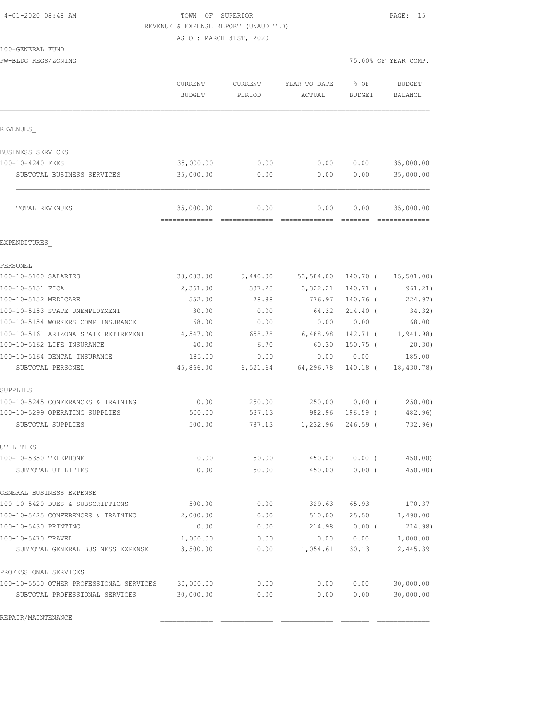|  | 4-01-2020 08:48 AM |  |  |
|--|--------------------|--|--|
|--|--------------------|--|--|

# TOWN OF SUPERIOR **PAGE:** 15 REVENUE & EXPENSE REPORT (UNAUDITED)

100-GENERAL FUND

PW-BLDG REGS/ZONING 75.00% OF YEAR COMP.

|                                         | CURRENT<br><b>BUDGET</b>                   | <b>CURRENT</b><br>PERIOD | YEAR TO DATE<br>ACTUAL | % OF<br><b>BUDGET</b>                                                                                                                                                                                                                                                                                                                                                                                                                                                                          | <b>BUDGET</b><br>BALANCE   |
|-----------------------------------------|--------------------------------------------|--------------------------|------------------------|------------------------------------------------------------------------------------------------------------------------------------------------------------------------------------------------------------------------------------------------------------------------------------------------------------------------------------------------------------------------------------------------------------------------------------------------------------------------------------------------|----------------------------|
| REVENUES                                |                                            |                          |                        |                                                                                                                                                                                                                                                                                                                                                                                                                                                                                                |                            |
| BUSINESS SERVICES                       |                                            |                          |                        |                                                                                                                                                                                                                                                                                                                                                                                                                                                                                                |                            |
| 100-10-4240 FEES                        | 35,000.00                                  | 0.00                     | 0.00                   | 0.00                                                                                                                                                                                                                                                                                                                                                                                                                                                                                           | 35,000.00                  |
| SUBTOTAL BUSINESS SERVICES              | 35,000.00                                  | 0.00                     | 0.00                   | 0.00                                                                                                                                                                                                                                                                                                                                                                                                                                                                                           | 35,000.00                  |
| TOTAL REVENUES                          | 35,000.00<br>-------------- -------------- | 0.00                     | 0.00<br>=============  | 0.00<br>$\begin{array}{cccccccccc} \multicolumn{2}{c}{} & \multicolumn{2}{c}{} & \multicolumn{2}{c}{} & \multicolumn{2}{c}{} & \multicolumn{2}{c}{} & \multicolumn{2}{c}{} & \multicolumn{2}{c}{} & \multicolumn{2}{c}{} & \multicolumn{2}{c}{} & \multicolumn{2}{c}{} & \multicolumn{2}{c}{} & \multicolumn{2}{c}{} & \multicolumn{2}{c}{} & \multicolumn{2}{c}{} & \multicolumn{2}{c}{} & \multicolumn{2}{c}{} & \multicolumn{2}{c}{} & \multicolumn{2}{c}{} & \multicolumn{2}{c}{} & \mult$ | 35,000.00<br>============= |
| EXPENDITURES                            |                                            |                          |                        |                                                                                                                                                                                                                                                                                                                                                                                                                                                                                                |                            |
| PERSONEL                                |                                            |                          |                        |                                                                                                                                                                                                                                                                                                                                                                                                                                                                                                |                            |
| 100-10-5100 SALARIES                    | 38,083.00                                  | 5,440.00                 | 53,584.00              |                                                                                                                                                                                                                                                                                                                                                                                                                                                                                                | 140.70 ( 15,501.00)        |
| 100-10-5151 FICA                        | 2,361.00                                   | 337.28                   | 3,322.21               | $140.71$ (                                                                                                                                                                                                                                                                                                                                                                                                                                                                                     | 961.21)                    |
| 100-10-5152 MEDICARE                    | 552.00                                     | 78.88                    | 776.97                 | 140.76 (                                                                                                                                                                                                                                                                                                                                                                                                                                                                                       | 224.97)                    |
| 100-10-5153 STATE UNEMPLOYMENT          | 30.00                                      | 0.00                     | 64.32                  | $214.40$ (                                                                                                                                                                                                                                                                                                                                                                                                                                                                                     | 34.32)                     |
| 100-10-5154 WORKERS COMP INSURANCE      | 68.00                                      | 0.00                     | 0.00                   | 0.00                                                                                                                                                                                                                                                                                                                                                                                                                                                                                           | 68.00                      |
| 100-10-5161 ARIZONA STATE RETIREMENT    | 4,547.00                                   | 658.78                   | 6,488.98               | 142.71 (                                                                                                                                                                                                                                                                                                                                                                                                                                                                                       | 1,941.98)                  |
| 100-10-5162 LIFE INSURANCE              | 40.00                                      | 6.70                     | 60.30                  | $150.75$ (                                                                                                                                                                                                                                                                                                                                                                                                                                                                                     | 20.30)                     |
| 100-10-5164 DENTAL INSURANCE            | 185.00                                     | 0.00                     | 0.00                   | 0.00                                                                                                                                                                                                                                                                                                                                                                                                                                                                                           | 185.00                     |
| SUBTOTAL PERSONEL                       | 45,866.00                                  | 6,521.64                 | 64,296.78              | 140.18 (                                                                                                                                                                                                                                                                                                                                                                                                                                                                                       | 18,430.78)                 |
| SUPPLIES                                |                                            |                          |                        |                                                                                                                                                                                                                                                                                                                                                                                                                                                                                                |                            |
| 100-10-5245 CONFERANCES & TRAINING      | 0.00                                       | 250.00                   | 250.00                 | $0.00$ (                                                                                                                                                                                                                                                                                                                                                                                                                                                                                       | 250.00                     |
| 100-10-5299 OPERATING SUPPLIES          | 500.00                                     | 537.13                   | 982.96                 | 196.59 (                                                                                                                                                                                                                                                                                                                                                                                                                                                                                       | 482.96)                    |
| SUBTOTAL SUPPLIES                       | 500.00                                     | 787.13                   | 1,232.96               | $246.59$ (                                                                                                                                                                                                                                                                                                                                                                                                                                                                                     | 732.96)                    |
| UTILITIES                               |                                            |                          |                        |                                                                                                                                                                                                                                                                                                                                                                                                                                                                                                |                            |
| 100-10-5350 TELEPHONE                   | 0.00                                       | 50.00                    | 450.00                 | $0.00$ (                                                                                                                                                                                                                                                                                                                                                                                                                                                                                       | 450.00                     |
| SUBTOTAL UTILITIES                      | 0.00                                       | 50.00                    | 450.00                 | $0.00$ (                                                                                                                                                                                                                                                                                                                                                                                                                                                                                       | 450.00)                    |
| GENERAL BUSINESS EXPENSE                |                                            |                          |                        |                                                                                                                                                                                                                                                                                                                                                                                                                                                                                                |                            |
| 100-10-5420 DUES & SUBSCRIPTIONS        | 500.00                                     | 0.00                     | 329.63                 | 65.93                                                                                                                                                                                                                                                                                                                                                                                                                                                                                          | 170.37                     |
| 100-10-5425 CONFERENCES & TRAINING      | 2,000.00                                   | 0.00                     | 510.00                 | 25.50                                                                                                                                                                                                                                                                                                                                                                                                                                                                                          | 1,490.00                   |
| 100-10-5430 PRINTING                    | 0.00                                       | 0.00                     | 214.98                 | $0.00$ (                                                                                                                                                                                                                                                                                                                                                                                                                                                                                       | 214.98)                    |
| 100-10-5470 TRAVEL                      | 1,000.00                                   | 0.00                     | 0.00                   | 0.00                                                                                                                                                                                                                                                                                                                                                                                                                                                                                           | 1,000.00                   |
| SUBTOTAL GENERAL BUSINESS EXPENSE       | 3,500.00                                   | 0.00                     | 1,054.61               | 30.13                                                                                                                                                                                                                                                                                                                                                                                                                                                                                          | 2,445.39                   |
| PROFESSIONAL SERVICES                   |                                            |                          |                        |                                                                                                                                                                                                                                                                                                                                                                                                                                                                                                |                            |
| 100-10-5550 OTHER PROFESSIONAL SERVICES | 30,000.00                                  | 0.00                     | 0.00                   | 0.00                                                                                                                                                                                                                                                                                                                                                                                                                                                                                           | 30,000.00                  |
| SUBTOTAL PROFESSIONAL SERVICES          | 30,000.00                                  | 0.00                     | 0.00                   | 0.00                                                                                                                                                                                                                                                                                                                                                                                                                                                                                           | 30,000.00                  |
| REPAIR/MAINTENANCE                      |                                            |                          |                        |                                                                                                                                                                                                                                                                                                                                                                                                                                                                                                |                            |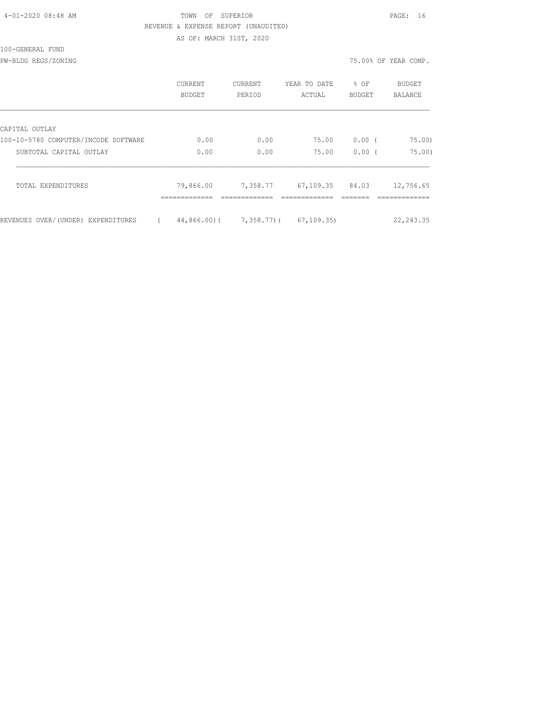#### TOWN OF SUPERIOR **PAGE:** 16 REVENUE & EXPENSE REPORT (UNAUDITED) AS OF: MARCH 31ST, 2020

100-GENERAL FUND

PW-BLDG REGS/ZONING 75.00% OF YEAR COMP.

|                                      | CURRENT<br><b>BUDGET</b> | <b>CURRENT</b><br>PERIOD | YEAR TO DATE<br>ACTUAL | % OF<br>BUDGET | BUDGET<br>BALANCE |
|--------------------------------------|--------------------------|--------------------------|------------------------|----------------|-------------------|
| CAPITAL OUTLAY                       |                          |                          |                        |                |                   |
| 100-10-5780 COMPUTER/INCODE SOFTWARE | 0.00                     | 0.00                     | 75.00                  | 0.00(          | 75.00             |
| SUBTOTAL CAPITAL OUTLAY              | 0.00                     | 0.00                     | 75.00                  | 0.00(          | 75.00             |
| TOTAL EXPENDITURES                   | 79,866.00                | 7,358.77                 | 67,109.35              | 84.03          | 12,756.65         |
| REVENUES OVER/(UNDER) EXPENDITURES   | 44,866,00)(              | 7,358.77)(               | 67, 109.35             |                | 22, 243.35        |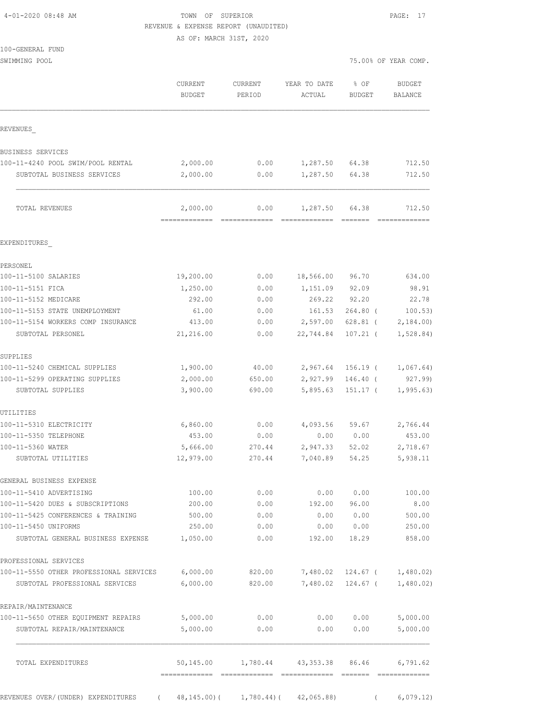| 4-01-2020 08:48 AM |  |
|--------------------|--|
|                    |  |

TOWN OF SUPERIOR **Example 2010** PAGE: 17 REVENUE & EXPENSE REPORT (UNAUDITED)

AS OF: MARCH 31ST, 2020

| 100-GENERAL FUND |  |
|------------------|--|

SWIMMING POOL 75.00% OF YEAR COMP.

|                                                     | CURRENT<br><b>BUDGET</b> | <b>CURRENT</b><br>PERIOD | YEAR TO DATE<br><b>ACTUAL</b> | % OF<br><b>BUDGET</b>    | <b>BUDGET</b><br>BALANCE |
|-----------------------------------------------------|--------------------------|--------------------------|-------------------------------|--------------------------|--------------------------|
| REVENUES                                            |                          |                          |                               |                          |                          |
| BUSINESS SERVICES                                   |                          |                          |                               |                          |                          |
| 100-11-4240 POOL SWIM/POOL RENTAL                   | 2,000.00                 | 0.00                     | 1,287.50                      | 64.38                    | 712.50                   |
| SUBTOTAL BUSINESS SERVICES                          | 2,000.00                 | 0.00                     | 1,287.50                      | 64.38                    | 712.50                   |
| TOTAL REVENUES                                      | 2,000.00                 | 0.00                     | 1,287.50                      | 64.38                    | 712.50                   |
| EXPENDITURES                                        |                          |                          |                               |                          |                          |
| PERSONEL                                            |                          |                          |                               |                          |                          |
| 100-11-5100 SALARIES                                | 19,200.00                | 0.00                     | 18,566.00                     | 96.70                    | 634.00                   |
| 100-11-5151 FICA                                    | 1,250.00                 | 0.00                     | 1,151.09                      | 92.09                    | 98.91                    |
| 100-11-5152 MEDICARE                                | 292.00                   | 0.00                     | 269.22                        | 92.20                    | 22.78                    |
| 100-11-5153 STATE UNEMPLOYMENT                      | 61.00                    | 0.00                     | 161.53                        | $264.80$ (               | 100.53)                  |
| 100-11-5154 WORKERS COMP INSURANCE                  | 413.00                   | 0.00                     | 2,597.00                      | 628.81 (                 | 2,184.00                 |
| SUBTOTAL PERSONEL                                   | 21,216.00                | 0.00                     | 22,744.84                     | $107.21$ (               | 1,528.84)                |
| SUPPLIES                                            |                          |                          |                               |                          |                          |
| 100-11-5240 CHEMICAL SUPPLIES                       | 1,900.00                 | 40.00                    | 2,967.64                      | $156.19$ (               | 1,067.64)                |
| 100-11-5299 OPERATING SUPPLIES<br>SUBTOTAL SUPPLIES | 2,000.00<br>3,900.00     | 650.00<br>690.00         | 2,927.99<br>5,895.63          | $146.40$ (<br>$151.17$ ( | 927.99)<br>1, 995.63     |
| UTILITIES                                           |                          |                          |                               |                          |                          |
| 100-11-5310 ELECTRICITY                             | 6,860.00                 | 0.00                     | 4,093.56                      | 59.67                    | 2,766.44                 |
| 100-11-5350 TELEPHONE                               | 453.00                   | 0.00                     | 0.00                          | 0.00                     | 453.00                   |
| 100-11-5360 WATER                                   | 5,666.00                 | 270.44                   | 2,947.33                      | 52.02                    | 2,718.67                 |
| SUBTOTAL UTILITIES                                  | 12,979.00                | 270.44                   | 7,040.89                      | 54.25                    | 5,938.11                 |
| GENERAL BUSINESS EXPENSE                            |                          |                          |                               |                          |                          |
| 100-11-5410 ADVERTISING                             | 100.00                   | 0.00                     | 0.00                          | 0.00                     | 100.00                   |
| 100-11-5420 DUES & SUBSCRIPTIONS                    | 200.00                   | 0.00                     | 192.00                        | 96.00                    | 8.00                     |
| 100-11-5425 CONFERENCES & TRAINING                  | 500.00                   | 0.00                     | 0.00                          | 0.00                     | 500.00                   |
| 100-11-5450 UNIFORMS                                | 250.00                   | 0.00                     | 0.00                          | 0.00                     | 250.00                   |
| SUBTOTAL GENERAL BUSINESS EXPENSE                   | 1,050.00                 | 0.00                     | 192.00                        | 18.29                    | 858.00                   |
| PROFESSIONAL SERVICES                               |                          |                          |                               |                          |                          |
| 100-11-5550 OTHER PROFESSIONAL SERVICES             | 6,000.00                 | 820.00                   | 7,480.02                      | 124.67 (                 | 1,480.02)                |
| SUBTOTAL PROFESSIONAL SERVICES                      | 6,000.00                 | 820.00                   | 7,480.02                      | 124.67 (                 | 1,480.02)                |
| REPAIR/MAINTENANCE                                  |                          |                          |                               |                          |                          |
| 100-11-5650 OTHER EQUIPMENT REPAIRS                 | 5,000.00                 | 0.00                     | 0.00                          | 0.00                     | 5,000.00                 |
| SUBTOTAL REPAIR/MAINTENANCE                         | 5,000.00                 | 0.00                     | 0.00                          | 0.00                     | 5,000.00                 |
| TOTAL EXPENDITURES                                  | 50,145.00                | 1,780.44                 | 43,353.38                     | 86.46                    | 6,791.62                 |
|                                                     |                          |                          |                               |                          |                          |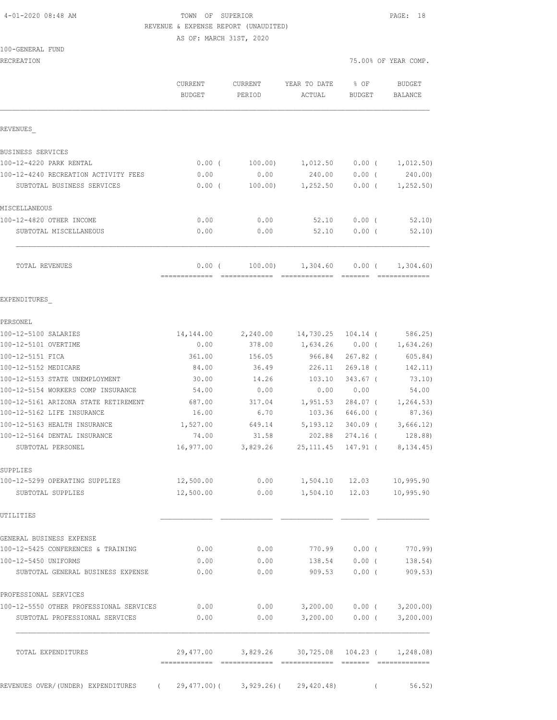# 4-01-2020 08:48 AM TOWN OF SUPERIOR PAGE: 18 REVENUE & EXPENSE REPORT (UNAUDITED)

AS OF: MARCH 31ST, 2020

|  | 100-GENERAL FUND |  |
|--|------------------|--|
|  |                  |  |

| RECREATION                              |                          |                              |                           |                       | 75.00% OF YEAR COMP.     |
|-----------------------------------------|--------------------------|------------------------------|---------------------------|-----------------------|--------------------------|
|                                         | CURRENT<br><b>BUDGET</b> | CURRENT<br>PERIOD            | YEAR TO DATE<br>ACTUAL    | % OF<br><b>BUDGET</b> | <b>BUDGET</b><br>BALANCE |
| REVENUES                                |                          |                              |                           |                       |                          |
| BUSINESS SERVICES                       |                          |                              |                           |                       |                          |
| 100-12-4220 PARK RENTAL                 | 0.00(                    | 100.00)                      | 1,012.50                  | $0.00$ (              | 1,012.50)                |
| 100-12-4240 RECREATION ACTIVITY FEES    | 0.00                     | 0.00                         | 240.00                    | $0.00$ (              | 240.00)                  |
| SUBTOTAL BUSINESS SERVICES              | $0.00$ (                 | 100.00)                      | 1,252.50                  | $0.00$ (              | 1, 252.50)               |
| MISCELLANEOUS                           |                          |                              |                           |                       |                          |
| 100-12-4820 OTHER INCOME                | 0.00                     | 0.00                         | 52.10                     | $0.00$ (              | 52.10                    |
| SUBTOTAL MISCELLANEOUS                  | 0.00                     | 0.00                         | 52.10                     | $0.00$ (              | 52.10                    |
| TOTAL REVENUES                          | 0.00(<br>--------------  | 100.00)<br>$222222222222222$ | 1,304.60<br>============= | $0.00$ (              | 1,304.60)                |
| EXPENDITURES                            |                          |                              |                           |                       |                          |
| PERSONEL                                |                          |                              |                           |                       |                          |
| 100-12-5100 SALARIES                    | 14,144.00                | 2,240.00                     | 14,730.25 104.14 (        |                       | 586.25                   |
| 100-12-5101 OVERTIME                    | 0.00                     | 378.00                       | 1,634.26                  | $0.00$ (              | 1,634.26                 |
| 100-12-5151 FICA                        | 361.00                   | 156.05                       | 966.84                    | $267.82$ (            | 605.84)                  |
| 100-12-5152 MEDICARE                    | 84.00                    | 36.49                        | 226.11                    | $269.18$ (            | 142.11)                  |
| 100-12-5153 STATE UNEMPLOYMENT          | 30.00                    | 14.26                        | 103.10                    | $343.67$ (            | 73.10)                   |
| 100-12-5154 WORKERS COMP INSURANCE      | 54.00                    | 0.00                         | 0.00                      | 0.00                  | 54.00                    |
| 100-12-5161 ARIZONA STATE RETIREMENT    | 687.00                   | 317.04                       | 1,951.53                  | $284.07$ (            | 1, 264.53)               |
| 100-12-5162 LIFE INSURANCE              | 16.00                    | 6.70                         | 103.36                    | 646.00 (              | 87.36)                   |
| 100-12-5163 HEALTH INSURANCE            | 1,527.00                 | 649.14                       | 5,193.12                  | $340.09$ (            | 3,666.12)                |
| 100-12-5164 DENTAL INSURANCE            | 74.00                    | 31.58                        | 202.88                    | 274.16 (              | 128.88)                  |
| SUBTOTAL PERSONEL                       | 16,977.00                | 3,829.26                     | 25, 111.45                | 147.91 (              | 8, 134. 45)              |
| SUPPLIES                                |                          |                              |                           |                       |                          |
| 100-12-5299 OPERATING SUPPLIES          | 12,500.00                | 0.00                         | 1,504.10                  | 12.03                 | 10,995.90                |
| SUBTOTAL SUPPLIES                       | 12,500.00                | 0.00                         | 1,504.10                  | 12.03                 | 10,995.90                |
| UTILITIES                               |                          |                              |                           |                       |                          |
| GENERAL BUSINESS EXPENSE                |                          |                              |                           |                       |                          |
| 100-12-5425 CONFERENCES & TRAINING      | 0.00                     | 0.00                         | 770.99                    | $0.00$ (              | 770.99                   |
| 100-12-5450 UNIFORMS                    | 0.00                     | 0.00                         | 138.54                    | 0.00(                 | 138.54)                  |
| SUBTOTAL GENERAL BUSINESS EXPENSE       | 0.00                     | 0.00                         | 909.53                    | $0.00$ (              | 909.53)                  |
| PROFESSIONAL SERVICES                   |                          |                              |                           |                       |                          |
| 100-12-5550 OTHER PROFESSIONAL SERVICES | 0.00                     | 0.00                         | 3,200.00                  | $0.00$ (              | 3,200.00)                |
| SUBTOTAL PROFESSIONAL SERVICES          | 0.00                     | 0.00                         | 3,200.00                  | $0.00$ (              | 3,200.00)                |
| TOTAL EXPENDITURES                      | 29,477.00                | 3,829.26                     |                           | 30,725.08 104.23 (    | 1,248.08)                |

REVENUES OVER/(UNDER) EXPENDITURES ( 29,477.00)( 3,929.26)( 29,420.48) ( 56.52)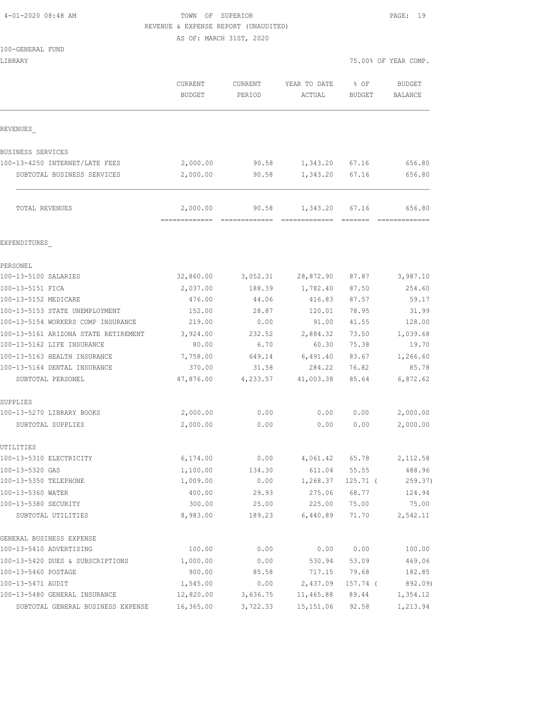| 4-01-2020 08:48 AM |  |
|--------------------|--|
|                    |  |

### TOWN OF SUPERIOR **PAGE: 19** REVENUE & EXPENSE REPORT (UNAUDITED)

AS OF: MARCH 31ST, 2020

|  | 100-GENERAL FUND |  |
|--|------------------|--|
|  |                  |  |

| LIBRARY |          |               |                           |          | 75.00% OF YEAR COMP. |
|---------|----------|---------------|---------------------------|----------|----------------------|
|         | CURRENT  | CURRENT       | YEAR TO DATE              | % OF     | <b>BUDGET</b>        |
|         | ntinomm. | <b>DEDICE</b> | $\pi$ $\cap$ $\pi$ $\tau$ | ntinomm. | DAI AMOR             |

|                                            | <b>CURRENT</b><br><b>BUDGET</b> | <b>CURRENT</b><br>PERIOD | YEAR TO DATE<br>ACTUAL | % OF<br><b>BUDGET</b> | <b>BUDGET</b><br>BALANCE |
|--------------------------------------------|---------------------------------|--------------------------|------------------------|-----------------------|--------------------------|
| REVENUES                                   |                                 |                          |                        |                       |                          |
| BUSINESS SERVICES                          |                                 |                          |                        |                       |                          |
| 100-13-4250 INTERNET/LATE FEES             | 2,000.00                        | 90.58                    | 1,343.20               | 67.16                 | 656.80                   |
| SUBTOTAL BUSINESS SERVICES                 | 2,000.00                        | 90.58                    | 1,343.20               | 67.16                 | 656.80                   |
| TOTAL REVENUES                             | 2,000.00<br>=============       | 90.58                    | 1,343.20               | 67.16<br>=======      | 656.80                   |
| EXPENDITURES                               |                                 |                          |                        |                       |                          |
| PERSONEL                                   |                                 |                          |                        |                       |                          |
| 100-13-5100 SALARIES                       | 32,860.00                       | 3,052.31                 | 28,872.90              | 87.87                 | 3,987.10                 |
| 100-13-5151 FICA                           | 2,037.00                        | 188.39                   | 1,782.40               | 87.50                 | 254.60                   |
| 100-13-5152 MEDICARE                       | 476.00                          | 44.06                    | 416.83                 | 87.57                 | 59.17                    |
| 100-13-5153 STATE UNEMPLOYMENT             | 152.00                          | 28.87                    | 120.01                 | 78.95                 | 31.99                    |
| 100-13-5154 WORKERS COMP INSURANCE         | 219.00                          | 0.00                     | 91.00                  | 41.55                 | 128.00                   |
| 100-13-5161 ARIZONA STATE RETIREMENT       | 3,924.00                        | 232.52                   | 2,884.32               | 73.50                 | 1,039.68                 |
| 100-13-5162 LIFE INSURANCE                 | 80.00                           | 6.70                     | 60.30                  | 75.38                 | 19.70                    |
| 100-13-5163 HEALTH INSURANCE               | 7,758.00                        | 649.14                   | 6,491.40               | 83.67                 | 1,266.60                 |
| 100-13-5164 DENTAL INSURANCE               | 370.00                          | 31.58                    | 284.22                 | 76.82                 | 85.78                    |
| SUBTOTAL PERSONEL                          | 47,876.00                       | 4,233.57                 | 41,003.38              | 85.64                 | 6,872.62                 |
| SUPPLIES                                   |                                 |                          |                        |                       |                          |
| 100-13-5270 LIBRARY BOOKS                  | 2,000.00                        | 0.00                     | 0.00                   | 0.00                  | 2,000.00                 |
| SUBTOTAL SUPPLIES                          | 2,000.00                        | 0.00                     | 0.00                   | 0.00                  | 2,000.00                 |
| UTILITIES                                  |                                 |                          |                        |                       |                          |
| 100-13-5310 ELECTRICITY                    | 6,174.00                        | 0.00                     | 4,061.42               | 65.78                 | 2,112.58                 |
| 100-13-5320 GAS                            | 1,100.00                        | 134.30                   | 611.04                 | 55.55                 | 488.96                   |
| 100-13-5350 TELEPHONE                      | 1,009.00                        | 0.00                     | 1,268.37               | 125.71 (              | 259.37)                  |
| 100-13-5360 WATER                          | 400.00                          | 29.93                    | 275.06                 | 68.77                 | 124.94                   |
| 100-13-5380 SECURITY<br>SUBTOTAL UTILITIES | 300.00<br>8,983.00              | 25.00<br>189.23          | 225.00<br>6,440.89     | 75.00<br>71.70        | 75.00<br>2,542.11        |
| GENERAL BUSINESS EXPENSE                   |                                 |                          |                        |                       |                          |
| 100-13-5410 ADVERTISING                    | 100.00                          | 0.00                     | 0.00                   | 0.00                  | 100.00                   |
| 100-13-5420 DUES & SUBSCRIPTIONS           | 1,000.00                        | 0.00                     | 530.94                 | 53.09                 | 469.06                   |
| 100-13-5460 POSTAGE                        | 900.00                          | 85.58                    | 717.15                 | 79.68                 | 182.85                   |
| 100-13-5471 AUDIT                          | 1,545.00                        | 0.00                     | 2,437.09               | 157.74 (              | 892.09)                  |
| 100-13-5480 GENERAL INSURANCE              | 12,820.00                       | 3,636.75                 | 11,465.88              | 89.44                 | 1,354.12                 |
| SUBTOTAL GENERAL BUSINESS EXPENSE          | 16,365.00                       | 3,722.33                 | 15, 151.06             | 92.58                 | 1,213.94                 |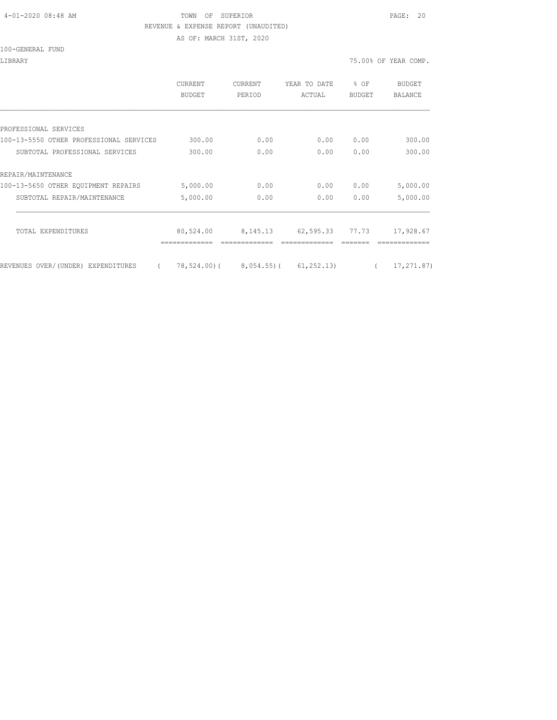#### 4-01-2020 08:48 AM TOWN OF SUPERIOR PAGE: 20 REVENUE & EXPENSE REPORT (UNAUDITED)

AS OF: MARCH 31ST, 2020

100-GENERAL FUND

LIBRARY 75.00% OF YEAR COMP.

|                                                | <b>CURRENT</b><br><b>BUDGET</b> | <b>CURRENT</b><br>PERIOD                      | YEAR TO DATE<br>ACTUAL | % OF<br><b>BUDGET</b> | BUDGET<br><b>BALANCE</b> |
|------------------------------------------------|---------------------------------|-----------------------------------------------|------------------------|-----------------------|--------------------------|
|                                                |                                 |                                               |                        |                       |                          |
| PROFESSIONAL SERVICES                          |                                 |                                               |                        |                       |                          |
| 100-13-5550 OTHER PROFESSIONAL SERVICES        | 300.00                          | 0.00                                          | 0.00                   | 0.00                  | 300.00                   |
| SUBTOTAL PROFESSIONAL SERVICES                 | 300.00                          | 0.00                                          | 0.00                   | 0.00                  | 300.00                   |
| REPAIR/MAINTENANCE                             |                                 |                                               |                        |                       |                          |
| 100-13-5650 OTHER EQUIPMENT REPAIRS            | 5,000.00                        | 0.00                                          | 0.00                   | 0.00                  | 5,000.00                 |
| SUBTOTAL REPAIR/MAINTENANCE                    | 5,000.00                        | 0.00                                          | 0.00                   | 0.00                  | 5,000.00                 |
|                                                |                                 |                                               |                        |                       |                          |
| TOTAL EXPENDITURES                             | 80,524.00                       | 8,145.13                                      | 62,595.33 77.73        |                       | 17,928.67                |
|                                                |                                 |                                               |                        |                       |                          |
| REVENUES OVER/(UNDER) EXPENDITURES<br>$\left($ |                                 | $78, 524.00$ ( $8, 054.55$ ) ( $61, 252.13$ ) |                        |                       | 17, 271.87)              |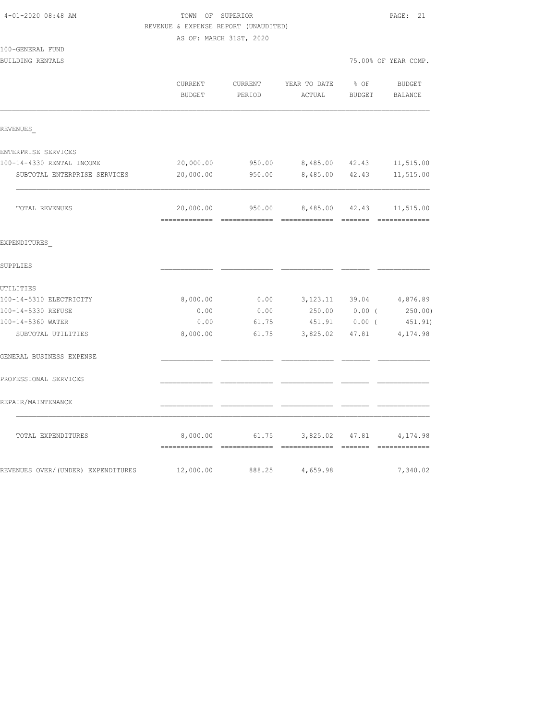| 4-01-2020 08:48 AM                 | TOWN OF SUPERIOR<br>REVENUE & EXPENSE REPORT (UNAUDITED)<br>AS OF: MARCH 31ST, 2020 | PAGE: 21          |                                               |                |                          |
|------------------------------------|-------------------------------------------------------------------------------------|-------------------|-----------------------------------------------|----------------|--------------------------|
| 100-GENERAL FUND                   |                                                                                     |                   |                                               |                |                          |
| BUILDING RENTALS                   |                                                                                     |                   |                                               |                | 75.00% OF YEAR COMP.     |
|                                    | CURRENT<br>BUDGET                                                                   | CURRENT<br>PERIOD | YEAR TO DATE<br>ACTUAL                        | % OF<br>BUDGET | BUDGET<br><b>BALANCE</b> |
| REVENUES                           |                                                                                     |                   |                                               |                |                          |
| ENTERPRISE SERVICES                |                                                                                     |                   |                                               |                |                          |
| 100-14-4330 RENTAL INCOME          | 20,000.00                                                                           |                   | 950.00 8,485.00 42.43                         |                | 11,515.00                |
| SUBTOTAL ENTERPRISE SERVICES       | 20,000.00                                                                           | 950.00            | 8,485.00 42.43                                |                | 11,515.00                |
| TOTAL REVENUES                     |                                                                                     |                   | 20,000.00  950.00  8,485.00  42.43  11,515.00 |                |                          |
| EXPENDITURES                       |                                                                                     |                   |                                               |                |                          |
| SUPPLIES                           |                                                                                     |                   |                                               |                |                          |
| UTILITIES                          |                                                                                     |                   |                                               |                |                          |
| 100-14-5310 ELECTRICITY            | 8,000.00                                                                            |                   | $0.00$ $3,123.11$ $39.04$ $4,876.89$          |                |                          |
| 100-14-5330 REFUSE                 | 0.00                                                                                | 0.00              |                                               |                | 250.00 0.00 (250.00)     |
| 100-14-5360 WATER                  | 0.00                                                                                | 61.75             |                                               | 451.91 0.00 (  | 451.91)                  |
| SUBTOTAL UTILITIES                 | 8,000.00                                                                            | 61.75             |                                               |                | 3,825.02 47.81 4,174.98  |
| GENERAL BUSINESS EXPENSE           |                                                                                     |                   |                                               |                |                          |
| PROFESSIONAL SERVICES              |                                                                                     |                   |                                               |                |                          |
| REPAIR/MAINTENANCE                 |                                                                                     |                   |                                               |                |                          |
| TOTAL EXPENDITURES                 |                                                                                     |                   | 8,000.00 61.75 3,825.02 47.81 4,174.98        |                |                          |
| REVENUES OVER/(UNDER) EXPENDITURES | 12,000.00                                                                           | 888.25            | 4,659.98                                      |                | 7,340.02                 |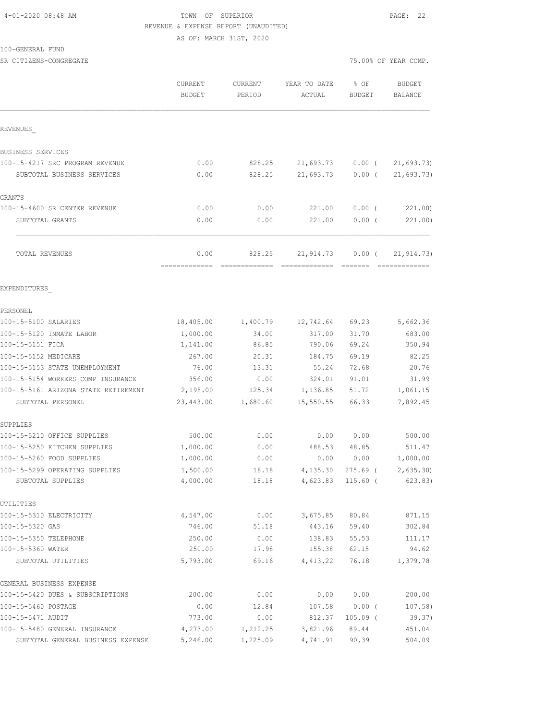# 4-01-2020 08:48 AM TOWN OF SUPERIOR PAGE: 22 REVENUE & EXPENSE REPORT (UNAUDITED)

AS OF: MARCH 31ST, 2020

100-GENERAL FUND

| SR CITIZENS-CONGREGATE               |                          |                   |                        |                       | 75.00% OF YEAR COMP.     |
|--------------------------------------|--------------------------|-------------------|------------------------|-----------------------|--------------------------|
|                                      | CURRENT<br><b>BUDGET</b> | CURRENT<br>PERIOD | YEAR TO DATE<br>ACTUAL | % OF<br><b>BUDGET</b> | <b>BUDGET</b><br>BALANCE |
| REVENUES                             |                          |                   |                        |                       |                          |
| BUSINESS SERVICES                    |                          |                   |                        |                       |                          |
| 100-15-4217 SRC PROGRAM REVENUE      | 0.00                     | 828.25            | 21,693.73              | $0.00$ (              | 21,693.73)               |
| SUBTOTAL BUSINESS SERVICES           | 0.00                     | 828.25            | 21,693.73              | $0.00$ (              | 21,693.73)               |
| GRANTS                               |                          |                   |                        |                       |                          |
| 100-15-4600 SR CENTER REVENUE        | 0.00                     | 0.00              | 221.00                 | $0.00$ (              | 221.00)                  |
| SUBTOTAL GRANTS                      | 0.00                     | 0.00              | 221,00                 | $0.00$ (              | 221.00)                  |
| TOTAL REVENUES                       | 0.00<br>=============    | 828.25            | 21,914.73              | $0.00$ (              | 21, 914.73)              |
| EXPENDITURES                         |                          |                   |                        |                       |                          |
| PERSONEL                             |                          |                   |                        |                       |                          |
| 100-15-5100 SALARIES                 | 18,405.00                | 1,400.79          | 12,742.64              | 69.23                 | 5,662.36                 |
| 100-15-5120 INMATE LABOR             | 1,000.00                 | 34.00             | 317.00                 | 31.70                 | 683.00                   |
| 100-15-5151 FICA                     | 1,141.00                 | 86.85             | 790.06                 | 69.24                 | 350.94                   |
| 100-15-5152 MEDICARE                 | 267.00                   | 20.31             | 184.75                 | 69.19                 | 82.25                    |
| 100-15-5153 STATE UNEMPLOYMENT       | 76.00                    | 13.31             | 55.24                  | 72.68                 | 20.76                    |
| 100-15-5154 WORKERS COMP INSURANCE   | 356.00                   | 0.00              | 324.01                 | 91.01                 | 31.99                    |
| 100-15-5161 ARIZONA STATE RETIREMENT | 2,198.00                 | 125.34            | 1,136.85               | 51.72                 | 1,061.15                 |
| SUBTOTAL PERSONEL                    | 23,443.00                | 1,680.60          | 15,550.55              | 66.33                 | 7,892.45                 |
| SUPPLIES                             |                          |                   |                        |                       |                          |
| 100-15-5210 OFFICE SUPPLIES          | 500.00                   | 0.00              | 0.00                   | 0.00                  | 500.00                   |
| 100-15-5250 KITCHEN SUPPLIES         | 1,000.00                 | 0.00              | 488.53                 | 48.85                 | 511.47                   |
| 100-15-5260 FOOD SUPPLIES            | 1,000.00                 | 0.00              | 0.00                   | 0.00                  | 1,000.00                 |
| 100-15-5299 OPERATING SUPPLIES       | 1,500.00                 | 18.18             | 4,135.30               | 275.69 (              | 2,635.30                 |
| SUBTOTAL SUPPLIES                    | 4,000.00                 | 18.18             | 4,623.83               | 115.60 (              | 623.83)                  |
| UTILITIES                            |                          |                   |                        |                       |                          |
| 100-15-5310 ELECTRICITY              | 4,547.00                 | 0.00              | 3,675.85               | 80.84                 | 871.15                   |
| 100-15-5320 GAS                      | 746.00                   | 51.18             | 443.16                 | 59.40                 | 302.84                   |
| 100-15-5350 TELEPHONE                | 250.00                   | 0.00              | 138.83                 | 55.53                 | 111.17                   |
| 100-15-5360 WATER                    | 250.00                   | 17.98             | 155.38                 | 62.15                 | 94.62                    |
| SUBTOTAL UTILITIES                   | 5,793.00                 | 69.16             | 4,413.22               | 76.18                 | 1,379.78                 |
| GENERAL BUSINESS EXPENSE             |                          |                   |                        |                       |                          |
| 100-15-5420 DUES & SUBSCRIPTIONS     | 200.00                   | 0.00              | 0.00                   | 0.00                  | 200.00                   |
| 100-15-5460 POSTAGE                  | 0.00                     | 12.84             | 107.58                 | $0.00$ (              | 107.58)                  |

100-15-5471 AUDIT 773.00 0.00 812.37 105.09 ( 39.37) 100-15-5480 GENERAL INSURANCE 4,273.00 1,212.25 3,821.96 89.44 451.04 SUBTOTAL GENERAL BUSINESS EXPENSE 5,246.00 1,225.09 4,741.91 90.39 504.09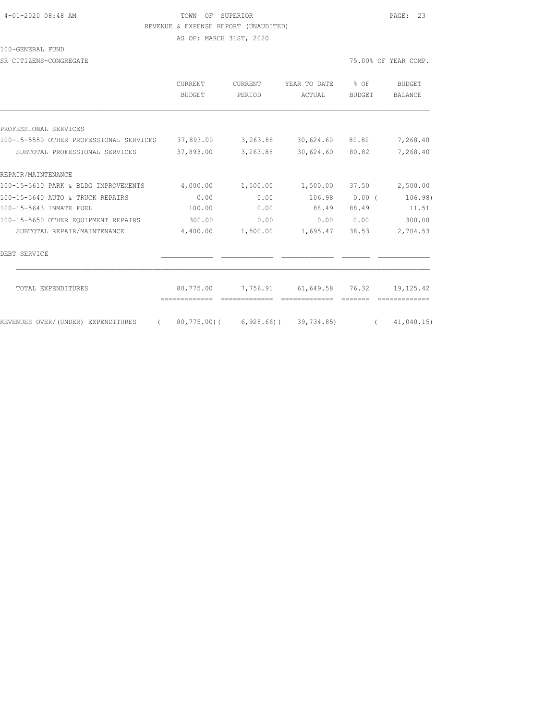#### 4-01-2020 08:48 AM TOWN OF SUPERIOR PAGE: 23 REVENUE & EXPENSE REPORT (UNAUDITED)

AS OF: MARCH 31ST, 2020

100-GENERAL FUND

SR CITIZENS-CONGREGATE SERVICES AND RESOLUTION OF THE SERVICES OF STRAINING OF YEAR COMP.

|                                         | CURRENT<br><b>BUDGET</b> | <b>CURRENT</b><br>PERIOD | YEAR TO DATE<br>ACTUAL     | % OF<br><b>BUDGET</b> | <b>BUDGET</b><br>BALANCE |
|-----------------------------------------|--------------------------|--------------------------|----------------------------|-----------------------|--------------------------|
|                                         |                          |                          |                            |                       |                          |
| PROFESSIONAL SERVICES                   |                          |                          |                            |                       |                          |
| 100-15-5550 OTHER PROFESSIONAL SERVICES | 37,893.00                | 3,263.88                 | 30,624.60                  | 80.82                 | 7,268.40                 |
| SUBTOTAL PROFESSIONAL SERVICES          | 37,893.00                | 3,263.88                 | 30,624.60                  | 80.82                 | 7,268.40                 |
| REPAIR/MAINTENANCE                      |                          |                          |                            |                       |                          |
| 100-15-5610 PARK & BLDG IMPROVEMENTS    | 4,000.00                 | 1,500.00                 | 1,500.00                   | 37.50                 | 2,500.00                 |
| 100-15-5640 AUTO & TRUCK REPAIRS        | 0.00                     | 0.00                     | 106.98                     | $0.00$ (              | 106.98)                  |
| 100-15-5643 INMATE FUEL                 | 100.00                   | 0.00                     | 88.49                      | 88.49                 | 11.51                    |
| 100-15-5650 OTHER EOUIPMENT REPAIRS     | 300.00                   | 0.00                     | 0.00                       | 0.00                  | 300.00                   |
| SUBTOTAL REPAIR/MAINTENANCE             | 4,400.00                 | 1,500.00                 | 1,695.47                   | 38.53                 | 2,704.53                 |
| DEBT SERVICE                            |                          |                          |                            |                       |                          |
| TOTAL EXPENDITURES                      | 80,775.00                | 7,756.91                 | 61,649.58 76.32            |                       | 19,125.42                |
| REVENUES OVER/(UNDER) EXPENDITURES      | 80,775.00)(              |                          | $6,928.66$ ( $39,734.85$ ) | $\left($              | 41,040.15                |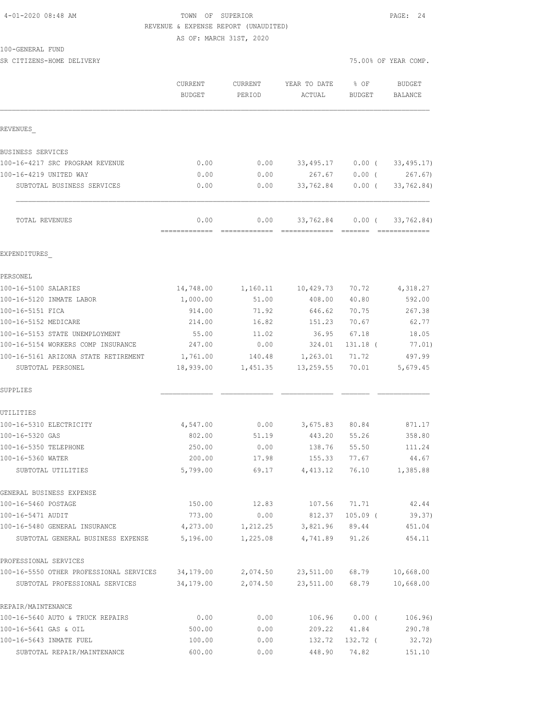#### TOWN OF SUPERIOR **PAGE: 24** REVENUE & EXPENSE REPORT (UNAUDITED)

AS OF: MARCH 31ST, 2020

| SR CITIZENS-HOME DELIVERY                                 |                       |                    |                        | 75.00% OF YEAR COMP. |                    |
|-----------------------------------------------------------|-----------------------|--------------------|------------------------|----------------------|--------------------|
|                                                           | CURRENT<br>BUDGET     | CURRENT<br>PERIOD  | YEAR TO DATE<br>ACTUAL | 8 OF<br>BUDGET       | BUDGET<br>BALANCE  |
|                                                           |                       |                    |                        |                      |                    |
| REVENUES                                                  |                       |                    |                        |                      |                    |
| BUSINESS SERVICES                                         |                       |                    |                        |                      |                    |
| 100-16-4217 SRC PROGRAM REVENUE                           | 0.00                  | 0.00               | 33,495.17              | $0.00$ (             | 33, 495.17)        |
| 100-16-4219 UNITED WAY                                    | 0.00                  | 0.00               | 267.67                 | $0.00$ (             | 267.67)            |
| SUBTOTAL BUSINESS SERVICES                                | 0.00                  | 0.00               | 33,762.84              | $0.00$ (             | 33,762.84)         |
| TOTAL REVENUES                                            | 0.00                  | 0.00               |                        | 33,762.84 0.00 (     | 33,762.84)         |
| EXPENDITURES                                              |                       |                    |                        |                      |                    |
| PERSONEL                                                  |                       |                    |                        |                      |                    |
| 100-16-5100 SALARIES                                      | 14,748.00             |                    | 1,160.11 10,429.73     | 70.72                | 4,318.27           |
| 100-16-5120 INMATE LABOR                                  | 1,000.00              | 51.00              | 408.00                 | 40.80                | 592.00             |
| 100-16-5151 FICA                                          | 914.00                | 71.92              | 646.62                 | 70.75                | 267.38             |
| 100-16-5152 MEDICARE                                      | 214.00                | 16.82              | 151.23                 | 70.67                | 62.77              |
| 100-16-5153 STATE UNEMPLOYMENT                            | 55.00                 | 11.02              | 36.95                  | 67.18                | 18.05              |
| 100-16-5154 WORKERS COMP INSURANCE                        | 247.00                | 0.00               | 324.01                 | 131.18 (             | 77.01)             |
| 100-16-5161 ARIZONA STATE RETIREMENT<br>SUBTOTAL PERSONEL | 1,761.00<br>18,939.00 | 140.48<br>1,451.35 | 1,263.01<br>13,259.55  | 71.72<br>70.01       | 497.99<br>5,679.45 |
| SUPPLIES                                                  |                       |                    |                        |                      |                    |
| UTILITIES                                                 |                       |                    |                        |                      |                    |
| 100-16-5310 ELECTRICITY                                   | 4,547.00              | 0.00               | 3,675.83 80.84         |                      | 871.17             |
| 100-16-5320 GAS                                           | 802.00                | 51.19              | 443.20                 | 55.26                | 358.80             |
| 100-16-5350 TELEPHONE                                     | 250.00                | 0.00               | 138.76                 | 55.50                | 111.24             |
| 100-16-5360 WATER                                         | 200.00                | 17.98              | 155.33                 | 77.67                | 44.67              |
| SUBTOTAL UTILITIES                                        | 5,799.00              | 69.17              |                        | 4, 413.12 76.10      | 1,385.88           |
| GENERAL BUSINESS EXPENSE                                  |                       |                    |                        |                      |                    |
| 100-16-5460 POSTAGE                                       | 150.00                | 12.83              | 107.56                 | 71.71                | 42.44              |
| 100-16-5471 AUDIT<br>100-16-5480 GENERAL INSURANCE        | 773.00                | 0.00<br>1,212.25   | 812.37<br>3,821.96     | $105.09$ (           | 39.37)             |
| SUBTOTAL GENERAL BUSINESS EXPENSE                         | 4,273.00<br>5,196.00  | 1,225.08           | 4,741.89               | 89.44<br>91.26       | 451.04<br>454.11   |
| PROFESSIONAL SERVICES                                     |                       |                    |                        |                      |                    |
| 100-16-5550 OTHER PROFESSIONAL SERVICES                   | 34,179.00             | 2,074.50           | 23,511.00              | 68.79                | 10,668.00          |
| SUBTOTAL PROFESSIONAL SERVICES                            | 34,179.00             | 2,074.50           | 23,511.00              | 68.79                | 10,668.00          |
| REPAIR/MAINTENANCE                                        |                       |                    |                        |                      |                    |
| 100-16-5640 AUTO & TRUCK REPAIRS                          | 0.00                  | 0.00               | 106.96                 | $0.00$ (             | 106.96)            |
| 100-16-5641 GAS & OIL                                     | 500.00                | 0.00               | 209.22                 | 41.84                | 290.78             |

100-16-5643 INMATE FUEL 100.00 0.00 132.72 132.72 ( 32.72) SUBTOTAL REPAIR/MAINTENANCE 600.00 0.00 448.90 74.82 151.10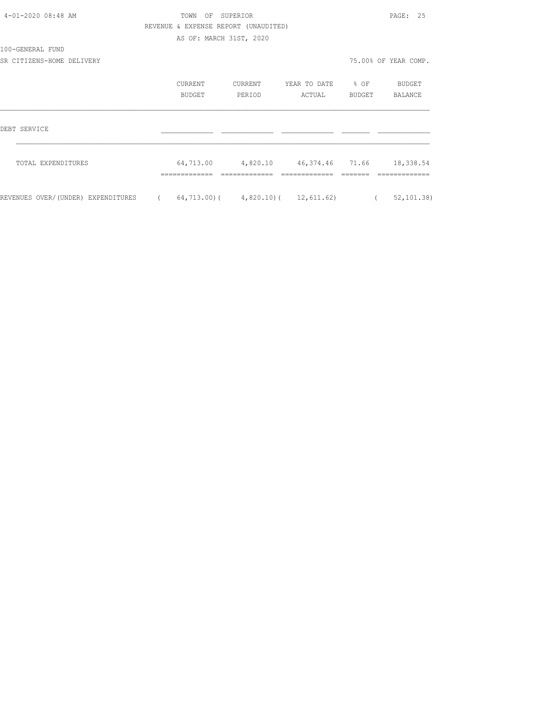| 4-01-2020 08:48 AM                 |            | TOWN                                 | OF SUPERIOR |                                              |            | PAGE: 25             |
|------------------------------------|------------|--------------------------------------|-------------|----------------------------------------------|------------|----------------------|
|                                    |            | REVENUE & EXPENSE REPORT (UNAUDITED) |             |                                              |            |                      |
|                                    |            | AS OF: MARCH 31ST, 2020              |             |                                              |            |                      |
| 100-GENERAL FUND                   |            |                                      |             |                                              |            |                      |
| SR CITIZENS-HOME DELIVERY          |            |                                      |             |                                              |            | 75.00% OF YEAR COMP. |
|                                    |            | CURRENT                              | CURRENT     | YEAR TO DATE % OF                            |            | BUDGET               |
|                                    |            | <b>BUDGET</b>                        | PERIOD      | ACTUAL                                       | BUDGET     | BALANCE              |
| DEBT SERVICE                       |            |                                      |             |                                              |            |                      |
| TOTAL EXPENDITURES                 |            |                                      |             | 64,713.00 4,820.10 46,374.46 71.66 18,338.54 |            |                      |
| REVENUES OVER/(UNDER) EXPENDITURES | $\sqrt{2}$ |                                      |             | $64, 713.00$ ( $4, 820.10$ ( $12, 611.62$ )  | $\sqrt{2}$ | 52, 101.38           |
|                                    |            |                                      |             |                                              |            |                      |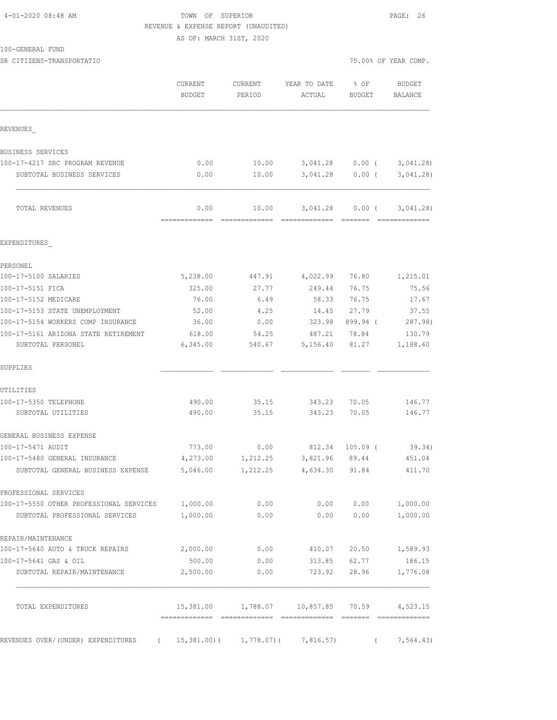### TOWN OF SUPERIOR **PAGE: 26** REVENUE & EXPENSE REPORT (UNAUDITED)

AS OF: MARCH 31ST, 2020

| 100-GENERAL FUND |  |
|------------------|--|
|------------------|--|

| SR CITIZENS-TRANSPORTATIO                                                  |                          |                   |                                             |                           | 75.00% OF YEAR COMP.            |
|----------------------------------------------------------------------------|--------------------------|-------------------|---------------------------------------------|---------------------------|---------------------------------|
|                                                                            | CURRENT<br><b>BUDGET</b> | CURRENT<br>PERIOD | YEAR TO DATE<br>ACTUAL                      | % OF<br><b>BUDGET</b>     | BUDGET<br>BALANCE               |
| REVENUES                                                                   |                          |                   |                                             |                           |                                 |
| BUSINESS SERVICES                                                          |                          |                   |                                             |                           |                                 |
| 100-17-4217 SRC PROGRAM REVENUE                                            | 0.00                     | 10.00             |                                             |                           | 3,041.28 0.00 ( 3,041.28)       |
| SUBTOTAL BUSINESS SERVICES                                                 | 0.00                     | 10.00             |                                             | 3,041.28 0.00 (           | 3,041.28)                       |
| TOTAL REVENUES                                                             | 0.00                     | 10.00             |                                             |                           | $3,041.28$ 0.00 ( 3,041.28)     |
| EXPENDITURES                                                               |                          |                   |                                             |                           |                                 |
| PERSONEL                                                                   |                          |                   |                                             |                           |                                 |
| 100-17-5100 SALARIES                                                       | 5,238.00                 | 447.91            | 4,022.99                                    | 76.80                     | 1,215.01                        |
| 100-17-5151 FICA                                                           | 325.00                   | 27.77             | 249.44                                      | 76.75                     | 75.56                           |
| 100-17-5152 MEDICARE                                                       | 76.00                    | 6.49              | 58.33                                       | 76.75                     | 17.67                           |
| 100-17-5153 STATE UNEMPLOYMENT                                             | 52.00                    | 4.25              | 14.45                                       | 27.79                     | 37.55                           |
| 100-17-5154 WORKERS COMP INSURANCE                                         | 36.00                    | 0.00              | 323.98                                      | 899.94 (                  | 287.98)                         |
| 100-17-5161 ARIZONA STATE RETIREMENT<br>SUBTOTAL PERSONEL                  | 618.00<br>6,345.00       | 54.25<br>540.67   | 487.21<br>5,156.40                          | 78.84<br>81.27            | 130.79<br>1,188.60              |
| SUPPLIES                                                                   |                          |                   |                                             |                           |                                 |
| UTILITIES                                                                  |                          |                   |                                             |                           |                                 |
| 100-17-5350 TELEPHONE                                                      | 490.00                   | 35.15             | 343.23                                      | 70.05                     | 146.77                          |
| SUBTOTAL UTILITIES                                                         | 490.00                   | 35.15             | 343.23                                      | 70.05                     | 146.77                          |
| GENERAL BUSINESS EXPENSE                                                   |                          |                   |                                             |                           |                                 |
| 100-17-5471 AUDIT                                                          | 773.00                   | 0.00              |                                             | 812.34 105.09 (           | 39.34)                          |
| 100-17-5480 GENERAL INSURANCE                                              | 4,273.00                 | 1,212.25          | 3,821.96                                    | 89.44                     | 451.04                          |
| SUBTOTAL GENERAL BUSINESS EXPENSE $5,046.00$ $1,212.25$ $4,634.30$ $91.84$ |                          |                   |                                             |                           | 411.70                          |
| PROFESSIONAL SERVICES                                                      |                          |                   |                                             |                           |                                 |
| 100-17-5550 OTHER PROFESSIONAL SERVICES 1,000.00                           |                          | 0.00              |                                             |                           | $0.00$ $0.00$ $1,000.00$        |
| SUBTOTAL PROFESSIONAL SERVICES                                             | 1,000.00                 | 0.00              | 0.00                                        | 0.00                      | 1,000.00                        |
| REPAIR/MAINTENANCE                                                         |                          |                   |                                             |                           |                                 |
| 100-17-5640 AUTO & TRUCK REPAIRS                                           | 2,000.00                 | 0.00              |                                             | 410.07 20.50              | 1,589.93                        |
| 100-17-5641 GAS & OIL<br>SUBTOTAL REPAIR/MAINTENANCE                       | 500.00<br>2,500.00       | 0.00<br>0.00      |                                             | 313.85 62.77              | 186.15<br>723.92 28.96 1,776.08 |
| TOTAL EXPENDITURES                                                         |                          |                   | 15,381.00 1,788.07 10,857.85 70.59 4,523.15 |                           |                                 |
|                                                                            |                          |                   |                                             | --- ------- ------------- |                                 |

REVENUES OVER/(UNDER) EXPENDITURES ( 15,381.00)( 1,778.07)( 7,816.57) ( 7,564.43)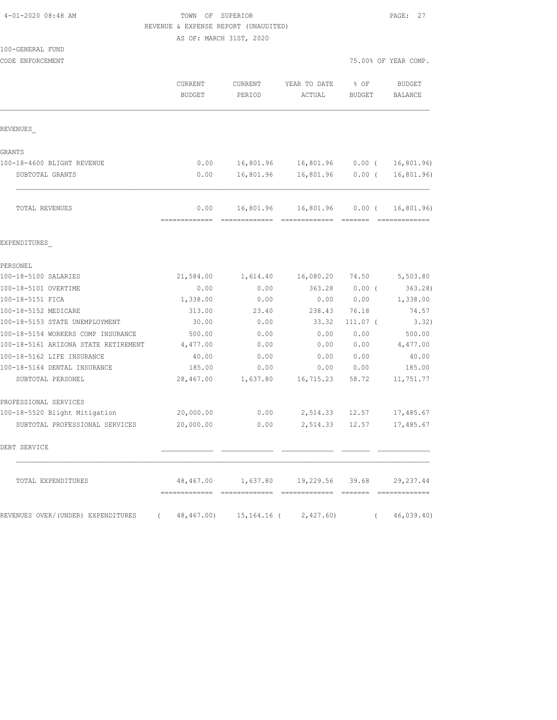#### TOWN OF SUPERIOR **PAGE: 27** REVENUE & EXPENSE REPORT (UNAUDITED)

AS OF: MARCH 31ST, 2020

| 100-GENERAL FUND<br>CODE ENFORCEMENT |                          |                   |                                    |                       | 75.00% OF YEAR COMP.            |
|--------------------------------------|--------------------------|-------------------|------------------------------------|-----------------------|---------------------------------|
|                                      | CURRENT<br><b>BUDGET</b> | CURRENT<br>PERIOD | YEAR TO DATE<br>ACTUAL             | % OF<br><b>BUDGET</b> | <b>BUDGET</b><br><b>BALANCE</b> |
| REVENUES                             |                          |                   |                                    |                       |                                 |
| GRANTS                               |                          |                   |                                    |                       |                                 |
| 100-18-4600 BLIGHT REVENUE           | 0.00                     | 16,801.96         | 16,801.96                          | $0.00$ (              | 16,801.96                       |
| SUBTOTAL GRANTS                      | 0.00                     | 16,801.96         | 16,801.96                          | 0.00(                 | 16, 801.96)                     |
| TOTAL REVENUES                       | 0.00                     |                   | 16,801.96 16,801.96                | $0.00$ (              | 16,801.96                       |
| EXPENDITURES                         |                          |                   |                                    |                       |                                 |
| PERSONEL                             |                          |                   |                                    |                       |                                 |
| 100-18-5100 SALARIES                 | 21,584.00                | 1,614.40          | 16,080.20                          | 74.50                 | 5,503.80                        |
| 100-18-5101 OVERTIME                 | 0.00                     | 0.00              | 363.28                             | $0.00$ (              | 363.28)                         |
| 100-18-5151 FICA                     | 1,338.00                 | 0.00              | 0.00                               | 0.00                  | 1,338.00                        |
| 100-18-5152 MEDICARE                 | 313.00                   | 23.40             | 238.43                             | 76.18                 | 74.57                           |
| 100-18-5153 STATE UNEMPLOYMENT       | 30.00                    | 0.00              | 33.32                              | $111.07$ (            | 3.32)                           |
| 100-18-5154 WORKERS COMP INSURANCE   | 500.00                   | 0.00              | 0.00                               | 0.00                  | 500.00                          |
| 100-18-5161 ARIZONA STATE RETIREMENT | 4,477.00                 | 0.00              | 0.00                               | 0.00                  | 4,477.00                        |
| 100-18-5162 LIFE INSURANCE           | 40.00                    | 0.00              | 0.00                               | 0.00                  | 40.00                           |
| 100-18-5164 DENTAL INSURANCE         | 185.00                   | 0.00              | 0.00                               | 0.00                  | 185.00                          |
| SUBTOTAL PERSONEL                    | 28,467.00                | 1,637.80          | 16,715.23                          | 58.72                 | 11,751.77                       |
| PROFESSIONAL SERVICES                |                          |                   |                                    |                       |                                 |
| 100-18-5520 Blight Mitigation        | 20,000.00                | 0.00              | 2,514.33                           | 12.57                 | 17,485.67                       |
| SUBTOTAL PROFESSIONAL SERVICES       | 20,000.00                | 0.00              | 2,514.33                           | 12.57                 | 17,485.67                       |
| DEBT SERVICE                         |                          |                   |                                    |                       |                                 |
| TOTAL EXPENDITURES                   |                          |                   | 48,467.00 1,637.80 19,229.56 39.68 |                       | 29, 237.44                      |
| REVENUES OVER/(UNDER) EXPENDITURES ( |                          |                   | 48,467.00) 15,164.16 ( 2,427.60)   | $\left($              | 46,039.40                       |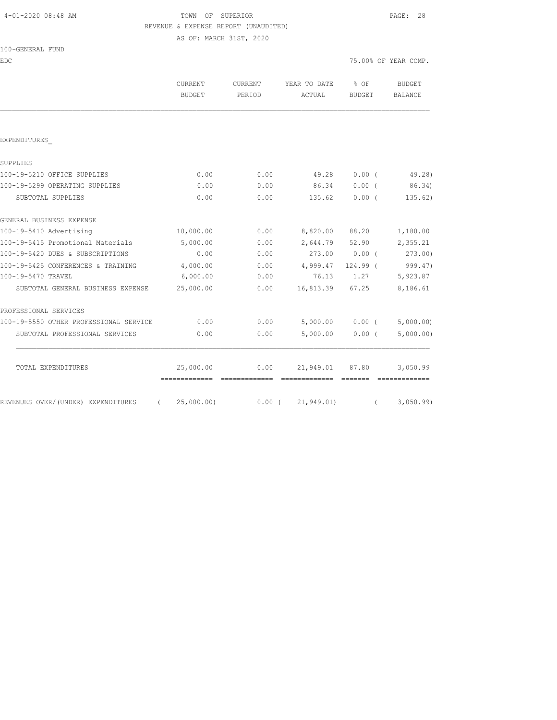# TOWN OF SUPERIOR **Example 28** PAGE: 28 REVENUE & EXPENSE REPORT (UNAUDITED)

AS OF: MARCH 31ST, 2020

|  | 100-GENERAL FUND |  |
|--|------------------|--|
|  |                  |  |

EDC TEAR COMP. THE SECOND OF YEAR COMP.

|                                        | CURRENT<br><b>BUDGET</b>    | CURRENT<br>PERIOD | YEAR TO DATE<br>ACTUAL | % OF<br>BUDGET                                                                                                                                                                                                                                                                                                                                                                                                                                                                       | <b>BUDGET</b><br><b>BALANCE</b> |
|----------------------------------------|-----------------------------|-------------------|------------------------|--------------------------------------------------------------------------------------------------------------------------------------------------------------------------------------------------------------------------------------------------------------------------------------------------------------------------------------------------------------------------------------------------------------------------------------------------------------------------------------|---------------------------------|
|                                        |                             |                   |                        |                                                                                                                                                                                                                                                                                                                                                                                                                                                                                      |                                 |
| EXPENDITURES                           |                             |                   |                        |                                                                                                                                                                                                                                                                                                                                                                                                                                                                                      |                                 |
| SUPPLIES                               |                             |                   |                        |                                                                                                                                                                                                                                                                                                                                                                                                                                                                                      |                                 |
| 100-19-5210 OFFICE SUPPLIES            | 0.00                        | 0.00              | 49.28                  | 0.00(                                                                                                                                                                                                                                                                                                                                                                                                                                                                                | 49.28)                          |
| 100-19-5299 OPERATING SUPPLIES         | 0.00                        | 0.00              | 86.34                  | $0.00$ (                                                                                                                                                                                                                                                                                                                                                                                                                                                                             | 86.34)                          |
| SUBTOTAL SUPPLIES                      | 0.00                        | 0.00              | 135.62                 | $0.00$ (                                                                                                                                                                                                                                                                                                                                                                                                                                                                             | 135.62)                         |
| GENERAL BUSINESS EXPENSE               |                             |                   |                        |                                                                                                                                                                                                                                                                                                                                                                                                                                                                                      |                                 |
| 100-19-5410 Advertising                | 10,000.00                   | 0.00              |                        | 8,820.00 88.20                                                                                                                                                                                                                                                                                                                                                                                                                                                                       | 1,180.00                        |
| 100-19-5415 Promotional Materials      | 5,000.00                    | 0.00              |                        | 2,644.79 52.90                                                                                                                                                                                                                                                                                                                                                                                                                                                                       | 2,355.21                        |
| 100-19-5420 DUES & SUBSCRIPTIONS       | 0.00                        | 0.00              | 273.00 0.00 (273.00)   |                                                                                                                                                                                                                                                                                                                                                                                                                                                                                      |                                 |
| 100-19-5425 CONFERENCES & TRAINING     | 4,000.00                    | 0.00              | 4,999.47               | 124.99 (                                                                                                                                                                                                                                                                                                                                                                                                                                                                             | 999.47)                         |
| 100-19-5470 TRAVEL                     | 6,000.00                    | 0.00              |                        | 76.13 1.27                                                                                                                                                                                                                                                                                                                                                                                                                                                                           | 5,923.87                        |
| SUBTOTAL GENERAL BUSINESS EXPENSE      | 25,000.00                   | 0.00              |                        | 16,813.39 67.25                                                                                                                                                                                                                                                                                                                                                                                                                                                                      | 8,186.61                        |
| PROFESSIONAL SERVICES                  |                             |                   |                        |                                                                                                                                                                                                                                                                                                                                                                                                                                                                                      |                                 |
| 100-19-5550 OTHER PROFESSIONAL SERVICE | 0.00                        | 0.00              |                        |                                                                                                                                                                                                                                                                                                                                                                                                                                                                                      | $5,000.00$ 0.00 ( $5,000.00$ )  |
| SUBTOTAL PROFESSIONAL SERVICES         | 0.00                        | 0.00              | 5,000.00               | $0.00$ (                                                                                                                                                                                                                                                                                                                                                                                                                                                                             | 5,000.00)                       |
| TOTAL EXPENDITURES                     | 25,000.00                   | 0.00              |                        | 21,949.01 87.80                                                                                                                                                                                                                                                                                                                                                                                                                                                                      | 3,050.99                        |
| REVENUES OVER/(UNDER) EXPENDITURES     | -------------<br>25,000.00) | -------------     | $0.00$ ( $21,949.01$ ) | $\begin{array}{cccccc} \multicolumn{2}{c}{} & \multicolumn{2}{c}{} & \multicolumn{2}{c}{} & \multicolumn{2}{c}{} & \multicolumn{2}{c}{} & \multicolumn{2}{c}{} & \multicolumn{2}{c}{} & \multicolumn{2}{c}{} & \multicolumn{2}{c}{} & \multicolumn{2}{c}{} & \multicolumn{2}{c}{} & \multicolumn{2}{c}{} & \multicolumn{2}{c}{} & \multicolumn{2}{c}{} & \multicolumn{2}{c}{} & \multicolumn{2}{c}{} & \multicolumn{2}{c}{} & \multicolumn{2}{c}{} & \multicolumn{2}{c}{} & \multic$ | 3,050.99                        |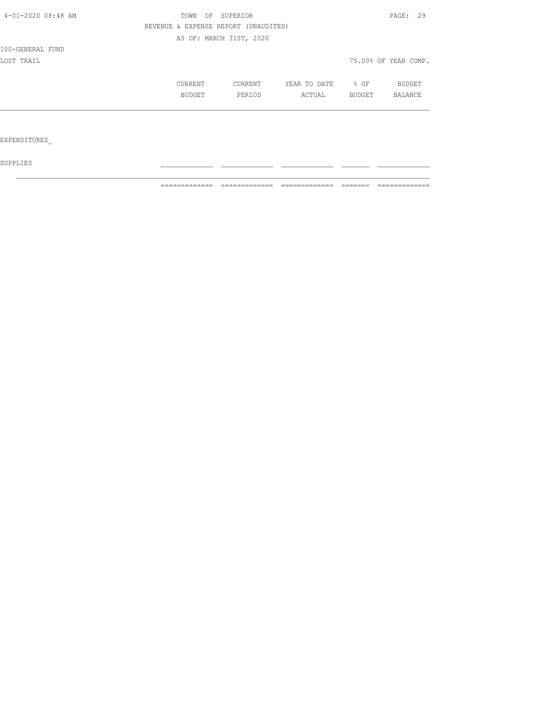| 4-01-2020 08:48 AM | OF SUPERIOR<br>TOWN | PAGE: 29                             |              |        |                      |
|--------------------|---------------------|--------------------------------------|--------------|--------|----------------------|
|                    |                     | REVENUE & EXPENSE REPORT (UNAUDITED) |              |        |                      |
|                    |                     | AS OF: MARCH 31ST, 2020              |              |        |                      |
| 100-GENERAL FUND   |                     |                                      |              |        |                      |
| LOST TRAIL         |                     |                                      |              |        | 75.00% OF YEAR COMP. |
|                    | CURRENT             | CURRENT                              | YEAR TO DATE | % OF   | BUDGET               |
|                    | BUDGET              | PERIOD                               | ACTUAL       | BUDGET | BALANCE              |
|                    |                     |                                      |              |        |                      |
|                    |                     |                                      |              |        |                      |
| EXPENDITURES       |                     |                                      |              |        |                      |

 ${\tt SUPPLIES}$ 

============= ============= ============= ======= =============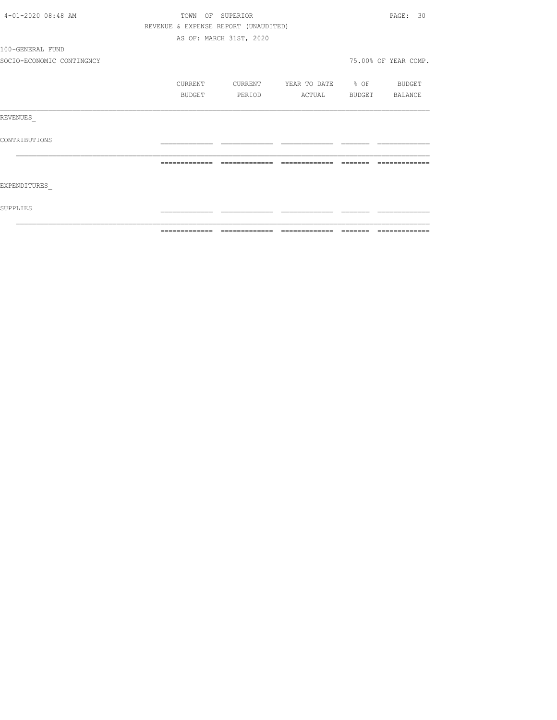| 4-01-2020 08:48 AM        |                | TOWN OF SUPERIOR                     |                          |          | PAGE: 30             |
|---------------------------|----------------|--------------------------------------|--------------------------|----------|----------------------|
|                           |                | REVENUE & EXPENSE REPORT (UNAUDITED) |                          |          |                      |
|                           |                | AS OF: MARCH 31ST, 2020              |                          |          |                      |
| 100-GENERAL FUND          |                |                                      |                          |          |                      |
| SOCIO-ECONOMIC CONTINGNCY |                |                                      |                          |          | 75.00% OF YEAR COMP. |
|                           | CURRENT        | CURRENT                              | YEAR TO DATE % OF BUDGET |          |                      |
|                           | BUDGET         | PERIOD                               | ACTUAL BUDGET BALANCE    |          |                      |
| REVENUES                  |                |                                      |                          |          |                      |
| CONTRIBUTIONS             |                |                                      |                          |          |                      |
|                           | -------------- | --------------                       | --------------           | -------- |                      |
| EXPENDITURES              |                |                                      |                          |          |                      |
| SUPPLIES                  |                |                                      |                          |          |                      |
|                           |                |                                      |                          |          |                      |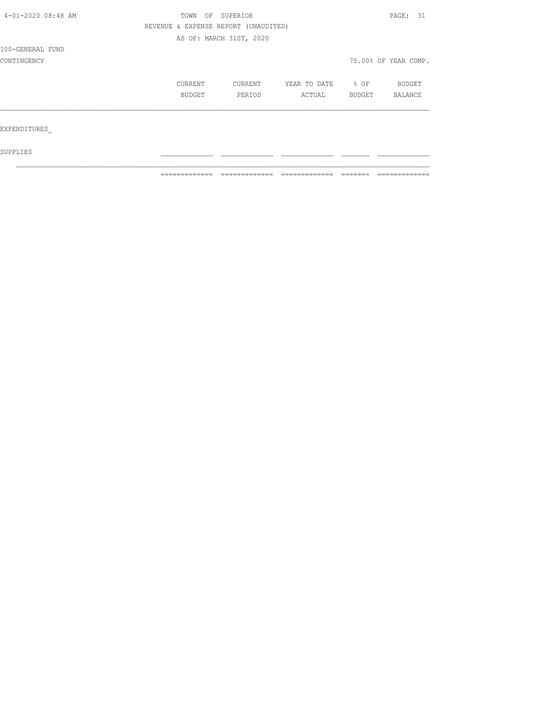| 4-01-2020 08:48 AM | OF<br>TOWN | SUPERIOR                             |              |        | PAGE: 31             |  |
|--------------------|------------|--------------------------------------|--------------|--------|----------------------|--|
|                    |            | REVENUE & EXPENSE REPORT (UNAUDITED) |              |        |                      |  |
|                    |            | AS OF: MARCH 31ST, 2020              |              |        |                      |  |
| 100-GENERAL FUND   |            |                                      |              |        |                      |  |
| CONTINGENCY        |            |                                      |              |        | 75.00% OF YEAR COMP. |  |
|                    | CURRENT    | CURRENT                              | YEAR TO DATE | % OF   | BUDGET               |  |
|                    | BUDGET     | PERIOD                               | ACTUAL       | BUDGET | BALANCE              |  |
|                    |            |                                      |              |        |                      |  |
| EXPENDITURES       |            |                                      |              |        |                      |  |
| SUPPLIES           |            |                                      |              |        |                      |  |

 $\mathcal{L}_\text{max}$ 

============= ============= ============= ======= =============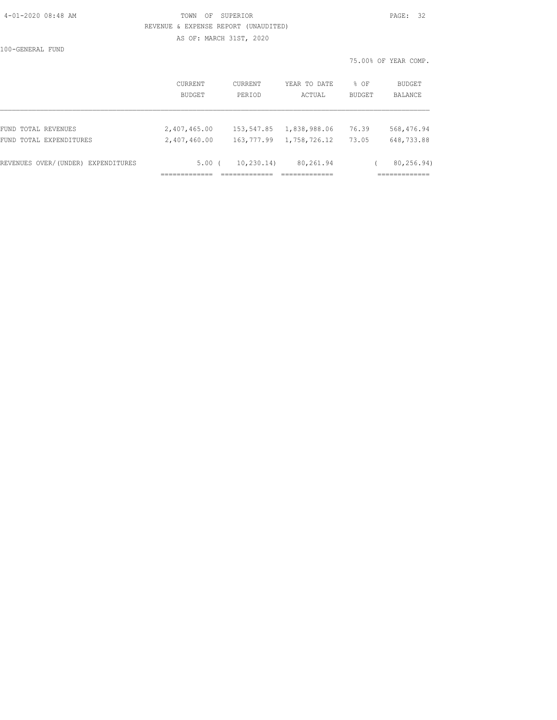#### 4-01-2020 08:48 AM TOWN OF SUPERIOR PAGE: 32 REVENUE & EXPENSE REPORT (UNAUDITED) AS OF: MARCH 31ST, 2020

100-GENERAL FUND

|                                    |                   |                   |                        |                | 75.00% OF YEAR COMP.     |
|------------------------------------|-------------------|-------------------|------------------------|----------------|--------------------------|
|                                    | CURRENT<br>BUDGET | CURRENT<br>PERIOD | YEAR TO DATE<br>ACTUAL | % OF<br>BUDGET | BUDGET<br><b>BALANCE</b> |
| FUND TOTAL REVENUES                | 2,407,465.00      | 153,547.85        | 1,838,988.06           | 76.39          | 568,476.94               |
| FUND TOTAL EXPENDITURES            | 2,407,460.00      | 163,777.99        | 1,758,726.12           | 73.05          | 648,733.88               |
| REVENUES OVER/(UNDER) EXPENDITURES | 5.00(             | 10, 230.14)       | 80,261.94              |                | 80,256.94)               |
|                                    |                   |                   |                        |                | ============             |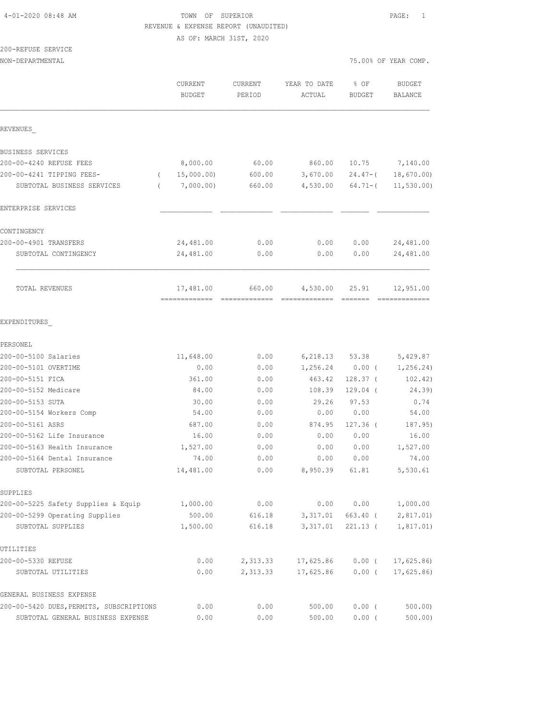# 4-01-2020 08:48 AM TOWN OF SUPERIOR PAGE: 1 REVENUE & EXPENSE REPORT (UNAUDITED)

AS OF: MARCH 31ST, 2020

# 200-REFUSE SERVICE

| NON-DEPARTMENTAL                                  |                                            |                   |                        | 75.00% OF YEAR COMP.  |                                 |
|---------------------------------------------------|--------------------------------------------|-------------------|------------------------|-----------------------|---------------------------------|
|                                                   | CURRENT<br><b>BUDGET</b>                   | CURRENT<br>PERIOD | YEAR TO DATE<br>ACTUAL | % OF<br><b>BUDGET</b> | <b>BUDGET</b><br><b>BALANCE</b> |
| REVENUES                                          |                                            |                   |                        |                       |                                 |
| BUSINESS SERVICES                                 |                                            |                   |                        |                       |                                 |
| 200-00-4240 REFUSE FEES                           | 8,000.00                                   | 60.00             | 860.00                 | 10.75                 | 7,140.00                        |
| 200-00-4241 TIPPING FEES-                         | 15,000.00)                                 | 600.00            | 3,670.00               | $24.47-$ (            | 18,670.00)                      |
| SUBTOTAL BUSINESS SERVICES                        | 7,000.00)                                  | 660.00            | 4,530.00               | $64.71-$ (            | 11, 530.00                      |
| ENTERPRISE SERVICES                               |                                            |                   |                        |                       |                                 |
| CONTINGENCY                                       |                                            |                   |                        |                       |                                 |
| 200-00-4901 TRANSFERS                             | 24,481.00                                  | 0.00              | 0.00                   | 0.00                  | 24,481.00                       |
| SUBTOTAL CONTINGENCY                              | 24,481.00                                  | 0.00              | 0.00                   | 0.00                  | 24,481.00                       |
| TOTAL REVENUES                                    | 17,481.00<br>-------------- -------------- | 660.00            | 4,530.00               | 25.91                 | 12,951.00                       |
| EXPENDITURES                                      |                                            |                   |                        |                       |                                 |
| PERSONEL                                          |                                            |                   |                        |                       |                                 |
| 200-00-5100 Salaries                              | 11,648.00                                  | 0.00              | 6,218.13               | 53.38                 | 5,429.87                        |
| 200-00-5101 OVERTIME                              | 0.00                                       | 0.00              | 1,256.24               | $0.00$ (              | 1,256.24)                       |
| 200-00-5151 FICA                                  | 361.00                                     | 0.00              | 463.42                 | $128.37$ (            | 102.42)                         |
| 200-00-5152 Medicare                              | 84.00                                      | 0.00              | 108.39                 | $129.04$ (            | 24.39)                          |
| 200-00-5153 SUTA                                  | 30.00                                      | 0.00              | 29.26                  | 97.53                 | 0.74                            |
| 200-00-5154 Workers Comp                          | 54.00                                      | 0.00              | 0.00                   | 0.00                  | 54.00                           |
| 200-00-5161 ASRS                                  | 687.00                                     | 0.00              | 874.95                 | $127.36$ (            | 187.95)                         |
| 200-00-5162 Life Insurance                        | 16.00                                      | 0.00              | 0.00                   | 0.00                  | 16.00                           |
| 200-00-5163 Health Insurance                      | 1,527.00                                   | 0.00              | 0.00                   | 0.00                  | 1,527.00                        |
| 200-00-5164 Dental Insurance<br>SUBTOTAL PERSONEL | 74.00<br>14,481.00                         | 0.00<br>0.00      | 0.00<br>8,950.39       | 0.00<br>61.81         | 74.00<br>5,530.61               |
| SUPPLIES                                          |                                            |                   |                        |                       |                                 |
| 200-00-5225 Safety Supplies & Equip               | 1,000.00                                   | 0.00              | 0.00                   | 0.00                  | 1,000.00                        |
| 200-00-5299 Operating Supplies                    | 500.00                                     | 616.18            | 3,317.01               | 663.40 (              | 2,817.01                        |
| SUBTOTAL SUPPLIES                                 | 1,500.00                                   | 616.18            | 3,317.01               | $221.13$ (            | 1,817.01)                       |
| UTILITIES                                         |                                            |                   |                        |                       |                                 |
| 200-00-5330 REFUSE                                | 0.00                                       | 2,313.33          | 17,625.86              | $0.00$ (              | 17,625.86                       |
| SUBTOTAL UTILITIES                                | 0.00                                       | 2,313.33          | 17,625.86              | $0.00$ (              | 17,625.86                       |
| GENERAL BUSINESS EXPENSE                          |                                            |                   |                        |                       |                                 |
| 200-00-5420 DUES, PERMITS, SUBSCRIPTIONS          | 0.00                                       | 0.00              | 500.00                 | $0.00$ (              | 500.00                          |
| SUBTOTAL GENERAL BUSINESS EXPENSE                 | 0.00                                       | 0.00              | 500.00                 | 0.00(                 | 500.00                          |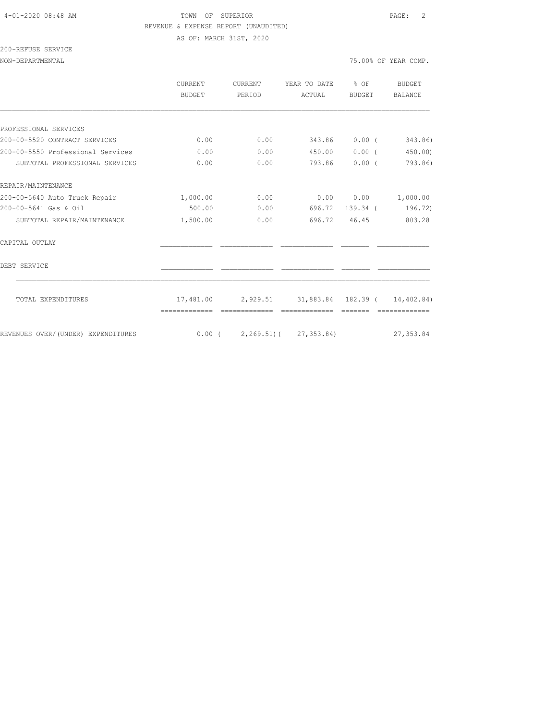#### 4-01-2020 08:48 AM TOWN OF SUPERIOR PAGE: 2 REVENUE & EXPENSE REPORT (UNAUDITED) AS OF: MARCH 31ST, 2020

200-REFUSE SERVICE

|                                    | CURRENT<br><b>BUDGET</b> | CURRENT<br>PERIOD | YEAR TO DATE<br>ACTUAL                 | % OF<br>BUDGET | BUDGET<br><b>BALANCE</b> |
|------------------------------------|--------------------------|-------------------|----------------------------------------|----------------|--------------------------|
|                                    |                          |                   |                                        |                |                          |
| PROFESSIONAL SERVICES              |                          |                   |                                        |                |                          |
| 200-00-5520 CONTRACT SERVICES      | 0.00                     | 0.00              | 343.86                                 | $0.00$ (       | 343.86)                  |
| 200-00-5550 Professional Services  | 0.00                     | 0.00              | 450.00                                 | 0.00(          | 450.00                   |
| SUBTOTAL PROFESSIONAL SERVICES     | 0.00                     | 0.00              |                                        | 793.86 0.00 (  | 793.86)                  |
| REPAIR/MAINTENANCE                 |                          |                   |                                        |                |                          |
| 200-00-5640 Auto Truck Repair      | 1,000.00                 | 0.00              |                                        | 0.00 0.00      | 1,000.00                 |
| 200-00-5641 Gas & Oil              | 500.00                   | 0.00              | 696.72                                 |                | 139.34 ( 196.72)         |
| SUBTOTAL REPAIR/MAINTENANCE        | 1,500.00                 | 0.00              |                                        | 696.72 46.45   | 803.28                   |
| CAPITAL OUTLAY                     |                          |                   |                                        |                |                          |
| DEBT SERVICE                       |                          |                   |                                        |                |                          |
| TOTAL EXPENDITURES                 | 17,481.00                |                   | 2,929.51 31,883.84 182.39 ( 14,402.84) |                |                          |
|                                    |                          |                   |                                        |                |                          |
| REVENUES OVER/(UNDER) EXPENDITURES |                          |                   | $0.00$ ( 2,269.51) ( 27,353.84)        |                | 27, 353.84               |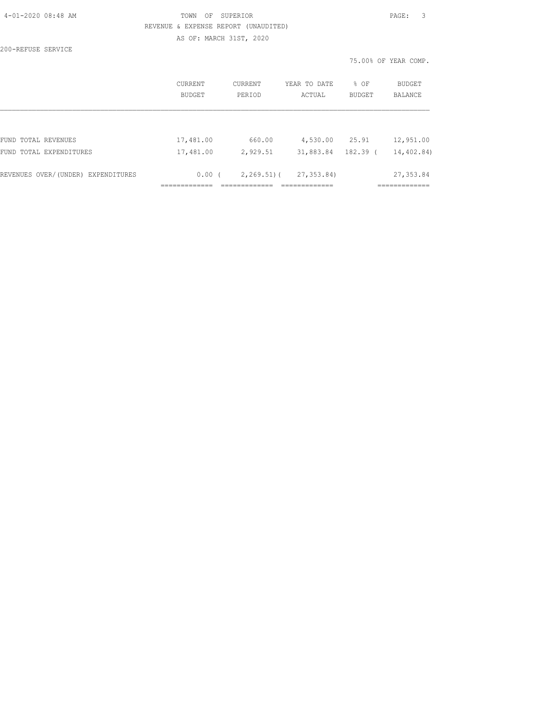| 4-01-2020 08:48 AM |  |  |         |
|--------------------|--|--|---------|
|                    |  |  | REVENUE |
|                    |  |  |         |

#### TOWN OF SUPERIOR **PAGE:** 3 G & EXPENSE REPORT (UNAUDITED) AS OF: MARCH 31ST, 2020

200-REFUSE SERVICE

75.00% OF YEAR COMP.

|                                    | CURRENT<br><b>BUDGET</b> | CURRENT<br>PERIOD | YEAR TO DATE<br>ACTUAL | % OF<br><b>BUDGET</b> | BUDGET<br><b>BALANCE</b> |
|------------------------------------|--------------------------|-------------------|------------------------|-----------------------|--------------------------|
|                                    |                          |                   |                        |                       |                          |
| FUND TOTAL REVENUES                | 17,481.00                | 660.00            | 4,530.00               | 25.91                 | 12,951.00                |
| FUND TOTAL EXPENDITURES            | 17,481.00                | 2,929.51          | 31,883.84              | 182.39 (              | 14,402.84)               |
| REVENUES OVER/(UNDER) EXPENDITURES | 0.00(                    | $2,269.51$ (      | 27, 353.84)            |                       | 27,353.84                |
|                                    |                          |                   |                        |                       |                          |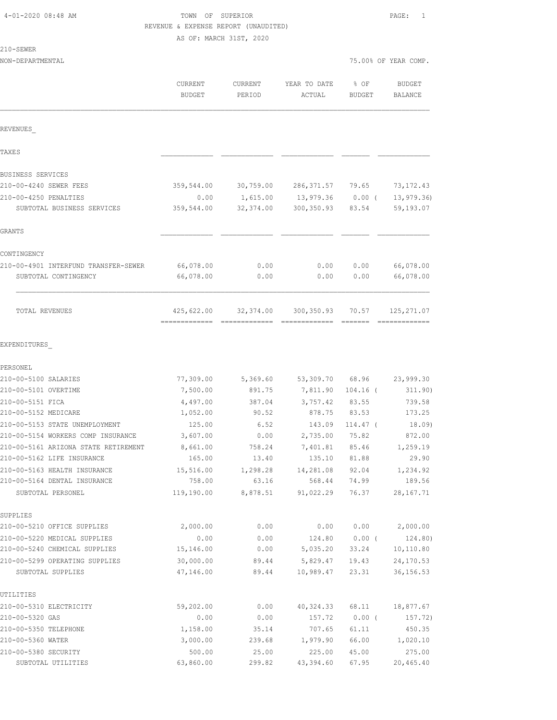| $4 - 01 - 202008:48AM$ |  |  |
|------------------------|--|--|
|------------------------|--|--|

# TOWN OF SUPERIOR PAGE: 1 REVENUE & EXPENSE REPORT (UNAUDITED)

| ٠<br>ä<br>× |  |
|-------------|--|
|             |  |

|                                      | AS OF: MARCH 31ST, 2020  |                   |                        |                       |                          |
|--------------------------------------|--------------------------|-------------------|------------------------|-----------------------|--------------------------|
| 210-SEWER                            |                          |                   |                        |                       |                          |
| NON-DEPARTMENTAL                     |                          |                   |                        |                       | 75.00% OF YEAR COMP.     |
|                                      | CURRENT<br><b>BUDGET</b> | CURRENT<br>PERIOD | YEAR TO DATE<br>ACTUAL | % OF<br><b>BUDGET</b> | <b>BUDGET</b><br>BALANCE |
| REVENUES                             |                          |                   |                        |                       |                          |
| TAXE S                               |                          |                   |                        |                       |                          |
| BUSINESS SERVICES                    |                          |                   |                        |                       |                          |
| 210-00-4240 SEWER FEES               | 359,544.00               | 30,759.00         | 286, 371.57 79.65      |                       | 73, 172.43               |
| 210-00-4250 PENALTIES                | 0.00                     | 1,615.00          | 13,979.36              | $0.00$ (              | 13, 979.36               |
| SUBTOTAL BUSINESS SERVICES           | 359,544.00               | 32,374.00         | 300, 350.93            | 83.54                 | 59,193.07                |
| GRANTS                               |                          |                   |                        |                       |                          |
| CONTINGENCY                          |                          |                   |                        |                       |                          |
| 210-00-4901 INTERFUND TRANSFER-SEWER | 66,078.00                | 0.00              | 0.00                   | 0.00                  | 66,078.00                |
| SUBTOTAL CONTINGENCY                 | 66,078.00                | 0.00              | 0.00                   | 0.00                  | 66,078.00                |
| TOTAL REVENUES                       | 425,622.00               | 32,374.00         | 300, 350.93            | 70.57                 | 125, 271.07              |
| EXPENDITURES                         |                          |                   |                        |                       |                          |
| PERSONEL                             |                          |                   |                        |                       |                          |
| 210-00-5100 SALARIES                 | 77,309.00                | 5,369.60          | 53,309.70              | 68.96                 | 23,999.30                |
| 210-00-5101 OVERTIME                 | 7,500.00                 | 891.75            | 7,811.90               | $104.16$ (            | 311.90)                  |
| 210-00-5151 FICA                     | 4,497.00                 | 387.04            | 3,757.42               | 83.55                 | 739.58                   |
| 210-00-5152 MEDICARE                 | 1,052.00                 | 90.52             | 878.75                 | 83.53                 | 173.25                   |
| 210-00-5153 STATE UNEMPLOYMENT       | 125.00                   | 6.52              | 143.09                 | 114.47 (              | 18.09)                   |
| 210-00-5154 WORKERS COMP INSURANCE   | 3,607.00                 | 0.00              | 2,735.00               | 75.82                 | 872.00                   |
| 210-00-5161 ARIZONA STATE RETIREMENT | 8,661.00                 | 758.24            | 7,401.81               | 85.46                 | 1,259.19                 |
| 210-00-5162 LIFE INSURANCE           | 165.00                   | 13.40             | 135.10                 | 81.88                 | 29.90                    |
| 210-00-5163 HEALTH INSURANCE         | 15,516.00                | 1,298.28          | 14,281.08              | 92.04                 | 1,234.92                 |
| 210-00-5164 DENTAL INSURANCE         | 758.00                   | 63.16             | 568.44                 | 74.99                 | 189.56                   |
| SUBTOTAL PERSONEL                    | 119,190.00               | 8,878.51          | 91,022.29              | 76.37                 | 28, 167. 71              |
| SUPPLIES                             |                          |                   |                        |                       |                          |
| 210-00-5210 OFFICE SUPPLIES          | 2,000.00                 | 0.00              | 0.00                   | 0.00                  | 2,000.00                 |
| 210-00-5220 MEDICAL SUPPLIES         | 0.00                     | 0.00              | 124.80                 | $0.00$ (              | 124.80)                  |
| 210-00-5240 CHEMICAL SUPPLIES        | 15,146.00                | 0.00              | 5,035.20               | 33.24                 | 10,110.80                |
| 210-00-5299 OPERATING SUPPLIES       | 30,000.00                | 89.44             | 5,829.47               | 19.43                 | 24,170.53                |
| SUBTOTAL SUPPLIES                    | 47,146.00                | 89.44             | 10,989.47              | 23.31                 | 36, 156.53               |
| UTILITIES                            |                          |                   |                        |                       |                          |
| 210-00-5310 ELECTRICITY              | 59,202.00                | 0.00              | 40,324.33 68.11        |                       | 18,877.67                |

| UTILITIES               |           |        |            |       |           |
|-------------------------|-----------|--------|------------|-------|-----------|
| 210-00-5310 ELECTRICITY | 59,202.00 | 0.00   | 40, 324.33 | 68.11 | 18,877.67 |
| 210-00-5320 GAS         | 0.00      | 0.00   | 157.72     | 0.00  | 157.72)   |
| 210-00-5350 TELEPHONE   | 1,158.00  | 35.14  | 707.65     | 61.11 | 450.35    |
| 210-00-5360 WATER       | 3,000.00  | 239.68 | 1,979.90   | 66.00 | 1,020.10  |
| 210-00-5380 SECURITY    | 500.00    | 25.00  | 225.00     | 45.00 | 275.00    |
| SUBTOTAL<br>UTILITIRS   | 63,860.00 | 299.82 | 43,394.60  | 67.95 | 20,465.40 |
|                         |           |        |            |       |           |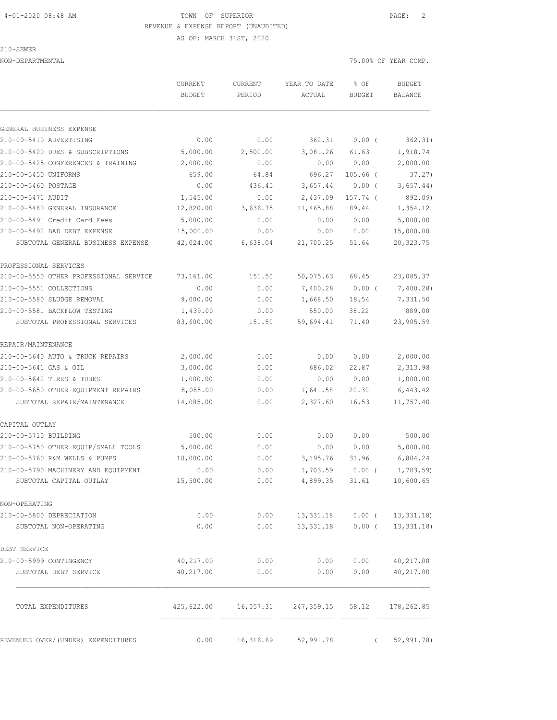### 4-01-2020 08:48 AM TOWN OF SUPERIOR PAGE: 2 REVENUE & EXPENSE REPORT (UNAUDITED)

210-SEWER

GENERAL BUSINESS EXPENSE

 AS OF: MARCH 31ST, 2020 NON-DEPARTMENTAL 75.00% OF YEAR COMP. CURRENT CURRENT YEAR TO DATE % OF BUDGET BUDGET PERIOD ACTUAL BUDGET BALANCE 210-00-5410 ADVERTISING 0.00 0.00 362.31 0.00 ( 362.31) 210-00-5420 DUES & SUBSCRIPTIONS 5,000.00 2,500.00 3,081.26 61.63 1,918.74 210-00-5425 CONFERENCES & TRAINING 2,000.00 0.00 0.00 0.00 2,000.00 210-00-5450 UNIFORMS 659.00 64.84 696.27 105.66 ( 37.27) 210-00-5460 POSTAGE 0.00 436.45 3,657.44 0.00 ( 3,657.44) 210-00-5471 AUDIT 1,545.00 0.00 2,437.09 157.74 ( 892.09) 210-00-5480 GENERAL INSURANCE 12,820.00 3,636.75 11,465.88 89.44 1,354.12 210-00-5491 Credit Card Fees 5,000.00 0.00 0.00 0.00 5,000.00 210-00-5492 BAD DEBT EXPENSE 15,000.00 0.00 0.00 0.00 15,000.00

PROFESSIONAL SERVICES 210-00-5550 OTHER PROFESSIONAL SERVICE 73,161.00 151.50 50,075.63 68.45 23,085.37 210-00-5551 COLLECTIONS 0.00 0.00 7,400.28 0.00 ( 7,400.28) 210-00-5580 SLUDGE REMOVAL 9,000.00 0.00 1,668.50 18.54 7,331.50 210-00-5581 BACKFLOW TESTING 1,439.00 0.00 550.00 38.22 889.00 SUBTOTAL PROFESSIONAL SERVICES 83,600.00 151.50 59,694.41 71.40 23,905.59 REPAIR/MAINTENANCE 210-00-5640 AUTO & TRUCK REPAIRS 2,000.00 0.00 0.00 0.00 2,000.00 210-00-5641 GAS & OIL 3,000.00 0.00 686.02 22.87 2,313.98 210-00-5642 TIRES & TUBES 1,000.00 0.00 0.00 0.00 1,000.00

SUBTOTAL GENERAL BUSINESS EXPENSE 42,024.00 6,638.04 21,700.25 51.64 20,323.75

| 210-00-5650 OTHER EOUIPMENT REPAIRS 8,085.00 |           | 0.00                                                     |                  | 1,641.58 20.30    | 6,443.42                        |
|----------------------------------------------|-----------|----------------------------------------------------------|------------------|-------------------|---------------------------------|
| SUBTOTAL REPAIR/MAINTENANCE                  | 14,085.00 | 0.00                                                     |                  | 2,327.60 16.53    | 11,757.40                       |
| CAPITAL OUTLAY                               |           |                                                          |                  |                   |                                 |
| 210-00-5710 BUILDING                         | 500.00    | 0.00                                                     | 0.00             | 0.00              | 500.00                          |
| 210-00-5750 OTHER EQUIP/SMALL TOOLS          | 5,000.00  | 0.00                                                     | 0.00             | 0.00              | 5,000.00                        |
| 210-00-5760 R&M WELLS & PUMPS                | 10,000.00 | 0.00                                                     | 3,195.76         | 31.96             | 6,804.24                        |
| 210-00-5790 MACHINERY AND EOUIPMENT          | 0.00      | 0.00                                                     |                  | $1,703.59$ 0.00 ( | 1,703.59)                       |
| SUBTOTAL CAPITAL OUTLAY                      | 15,500.00 | 0.00                                                     | 4,899.35         | 31.61             | 10,600.65                       |
| NON-OPERATING                                |           |                                                          |                  |                   |                                 |
| 210-00-5800 DEPRECIATION                     | 0.00      | 0.00                                                     |                  |                   | 13, 331.18  0.00  ( 13, 331.18) |
| SUBTOTAL NON-OPERATING                       | 0.00      | 0.00                                                     | 13,331.18 0.00 ( |                   | 13,331.18)                      |
| DEBT SERVICE                                 |           |                                                          |                  |                   |                                 |
| 210-00-5999 CONTINGENCY                      | 40,217.00 | 0.00                                                     | 0.00             | 0.00              | 40,217.00                       |
| SUBTOTAL DEBT SERVICE                        | 40,217.00 | 0.00                                                     | 0.00             | 0.00              | 40,217.00                       |
|                                              |           |                                                          |                  |                   |                                 |
| TOTAL EXPENDITURES                           |           | 425,622.00   16,057.31   247,359.15   58.12   178,262.85 |                  |                   |                                 |
|                                              |           |                                                          |                  |                   |                                 |
| REVENUES OVER/(UNDER) EXPENDITURES           | 0.00      | 16,316.69 52,991.78                                      |                  | $\sqrt{2}$        | 52, 991, 78                     |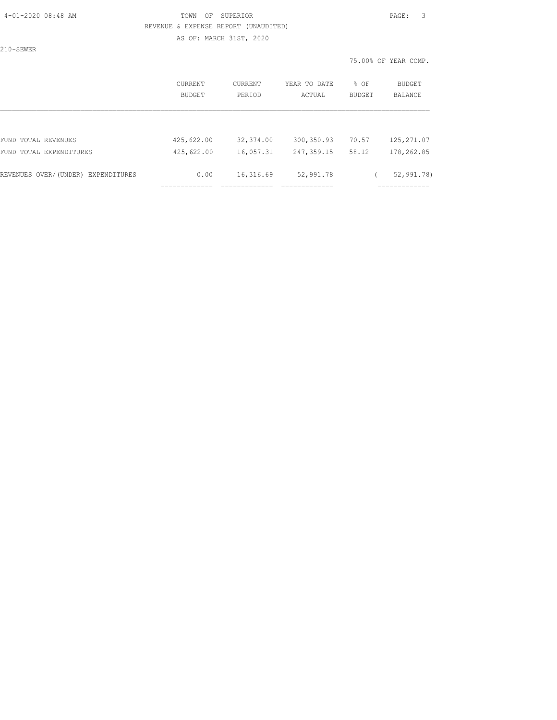# 4-01-2020 08:48 AM TOWN OF SUPERIOR PAGE: 3 REVENUE & EXPENSE REPORT (UNAUDITED)

AS OF: MARCH 31ST, 2020

210-SEWER

|                                    | CURRENT<br><b>BUDGET</b> | CURRENT<br>PERIOD | YEAR TO DATE<br>ACTUAL | % OF<br>BUDGET | BUDGET<br><b>BALANCE</b> |
|------------------------------------|--------------------------|-------------------|------------------------|----------------|--------------------------|
|                                    |                          |                   |                        |                |                          |
| FUND TOTAL REVENUES                | 425,622.00               | 32,374.00         | 300, 350.93            | 70.57          | 125, 271.07              |
| FUND TOTAL EXPENDITURES            | 425,622.00               | 16,057.31         | 247,359.15             | 58.12          | 178,262.85               |
| REVENUES OVER/(UNDER) EXPENDITURES | 0.00                     | 16,316.69         | 52,991.78              |                | 52,991.78)               |
|                                    |                          |                   |                        |                |                          |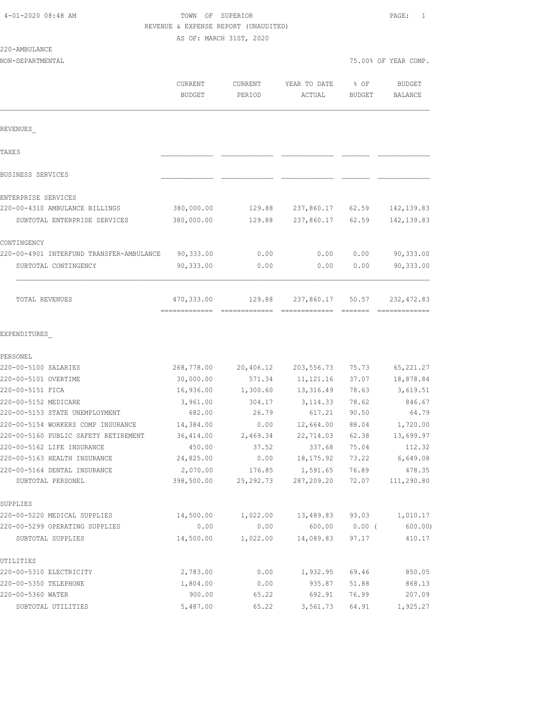# TOWN OF SUPERIOR **Example 2010** PAGE: 1 REVENUE & EXPENSE REPORT (UNAUDITED)

AS OF: MARCH 31ST, 2020

| 220-AMBULANCE |  |
|---------------|--|
|---------------|--|

|                                          | CURRENT<br><b>BUDGET</b> | CURRENT<br>PERIOD | YEAR TO DATE<br>ACTUAL | % OF<br><b>BUDGET</b> | <b>BUDGET</b><br><b>BALANCE</b> |
|------------------------------------------|--------------------------|-------------------|------------------------|-----------------------|---------------------------------|
|                                          |                          |                   |                        |                       |                                 |
| REVENUES                                 |                          |                   |                        |                       |                                 |
| <b>TAXES</b>                             |                          |                   |                        |                       |                                 |
| BUSINESS SERVICES                        |                          |                   |                        |                       |                                 |
| ENTERPRISE SERVICES                      |                          |                   |                        |                       |                                 |
| 220-00-4310 AMBULANCE BILLINGS           | 380,000.00               | 129.88            | 237,860.17             | 62.59                 | 142, 139.83                     |
| SUBTOTAL ENTERPRISE SERVICES             | 380,000.00               | 129.88            | 237,860.17             | 62.59                 | 142, 139.83                     |
| CONTINGENCY                              |                          |                   |                        |                       |                                 |
| 220-00-4901 INTERFUND TRANSFER-AMBULANCE | 90,333.00                | 0.00              | 0.00                   | 0.00                  | 90,333.00                       |
| SUBTOTAL CONTINGENCY                     | 90,333.00                | 0.00              | 0.00                   | 0.00                  | 90,333.00                       |
| TOTAL REVENUES                           | 470,333.00               | 129.88            | 237,860.17             | 50.57                 | 232, 472.83                     |
| EXPENDITURES                             |                          |                   |                        |                       |                                 |
| PERSONEL                                 |                          |                   |                        |                       |                                 |
| 220-00-5100 SALARIES                     | 268,778.00               | 20,406.12         | 203,556.73             | 75.73                 | 65, 221.27                      |
| 220-00-5101 OVERTIME                     | 30,000.00                | 571.34            | 11, 121.16             | 37.07                 | 18,878.84                       |
| 220-00-5151 FICA                         | 16,936.00                | 1,300.60          | 13,316.49              | 78.63                 | 3,619.51                        |
| 220-00-5152 MEDICARE                     | 3,961.00                 | 304.17            | 3, 114.33              | 78.62                 | 846.67                          |
| 220-00-5153 STATE UNEMPLOYMENT           | 682.00                   | 26.79             | 617.21                 | 90.50                 | 64.79                           |
| 220-00-5154 WORKERS COMP INSURANCE       | 14,384.00                | 0.00              | 12,664.00              | 88.04                 | 1,720.00                        |
| 220-00-5160 PUBLIC SAFETY RETIREMENT     | 36,414.00                | 2,469.34          | 22,714.03              | 62.38                 | 13,699.97                       |
| 220-00-5162 LIFE INSURANCE               | 450.00                   | 37.52             | 337.68                 | 75.04                 | 112.32                          |
| 220-00-5163 HEALTH INSURANCE             | 24,825.00                | 0.00              | 18, 175.92             | 73.22                 | 6,649.08                        |
| 220-00-5164 DENTAL INSURANCE             | 2,070.00                 | 176.85            | 1,591.65               | 76.89                 | 478.35                          |
| SUBTOTAL PERSONEL                        | 398,500.00               | 25, 292. 73       | 287,209.20             | 72.07                 | 111,290.80                      |
| SUPPLIES                                 |                          |                   |                        |                       |                                 |
| 220-00-5220 MEDICAL SUPPLIES             | 14,500.00                | 1,022.00          | 13,489.83              | 93.03                 | 1,010.17                        |
| 220-00-5299 OPERATING SUPPLIES           | 0.00                     | 0.00              | 600.00                 | $0.00$ (              | 600.00                          |
| SUBTOTAL SUPPLIES                        | 14,500.00                | 1,022.00          | 14,089.83              | 97.17                 | 410.17                          |
| UTILITIES                                |                          |                   |                        |                       |                                 |
| 220-00-5310 ELECTRICITY                  | 2,783.00                 | 0.00              | 1,932.95               | 69.46                 | 850.05                          |
| 220-00-5350 TELEPHONE                    | 1,804.00                 | 0.00              | 935.87                 | 51.88                 | 868.13                          |
| 220-00-5360 WATER                        | 900.00                   | 65.22             | 692.91                 | 76.99                 | 207.09                          |

SUBTOTAL UTILITIES 5,487.00 65.22 3,561.73 64.91 1,925.27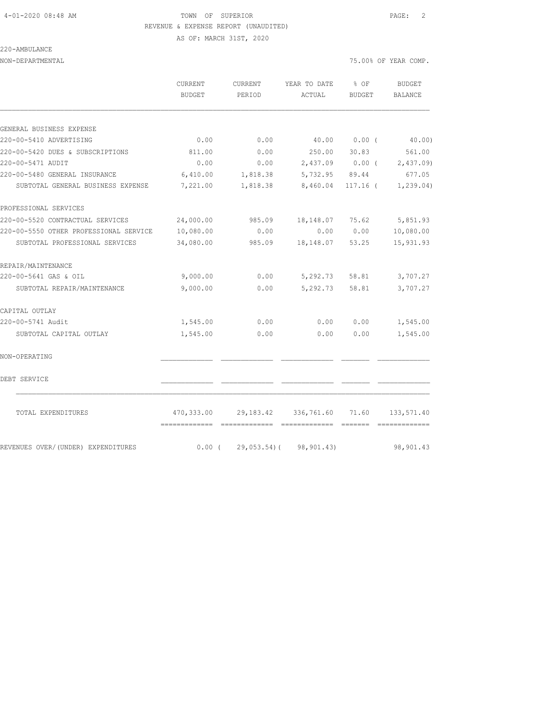# 4-01-2020 08:48 AM TOWN OF SUPERIOR PAGE: 2 REVENUE & EXPENSE REPORT (UNAUDITED)

AS OF: MARCH 31ST, 2020

220-AMBULANCE

| NON-DEPARTMENTAL | 75.00% OF YEAR COMP. |  |
|------------------|----------------------|--|
|                  |                      |  |

|                                                                    | CURRENT<br>BUDGET    | CURRENT<br>PERIOD                | YEAR TO DATE<br>ACTUAL                | $8$ OF<br>BUDGET | BUDGET<br><b>BALANCE</b>  |
|--------------------------------------------------------------------|----------------------|----------------------------------|---------------------------------------|------------------|---------------------------|
|                                                                    |                      |                                  |                                       |                  |                           |
| GENERAL BUSINESS EXPENSE<br>220-00-5410 ADVERTISING                | 0.00                 | 0.00                             |                                       | 40.00 0.00 (     | 40.00)                    |
| 220-00-5420 DUES & SUBSCRIPTIONS                                   |                      |                                  | 250.00                                |                  | 561.00                    |
| 220-00-5471 AUDIT                                                  | 811.00<br>0.00       | 0.00<br>0.00                     |                                       | 30.83            | 2,437.09 0.00 ( 2,437.09) |
|                                                                    |                      |                                  |                                       |                  |                           |
| 220-00-5480 GENERAL INSURANCE<br>SUBTOTAL GENERAL BUSINESS EXPENSE | 6,410.00<br>7,221.00 | 1,818.38<br>1,818.38             | 5,732.95 89.44<br>8,460.04            | $117.16$ (       | 677.05<br>1, 239.04)      |
|                                                                    |                      |                                  |                                       |                  |                           |
| PROFESSIONAL SERVICES                                              |                      |                                  |                                       |                  |                           |
| 220-00-5520 CONTRACTUAL SERVICES                                   | 24,000.00            | 985.09                           | 18,148.07                             | 75.62            | 5,851.93                  |
| 220-00-5550 OTHER PROFESSIONAL SERVICE                             | 10,080.00            | 0.00                             | 0.00                                  | 0.00             | 10,080.00                 |
| SUBTOTAL PROFESSIONAL SERVICES                                     | 34,080.00            | 985.09                           | 18, 148.07 53.25                      |                  | 15,931.93                 |
| REPAIR/MAINTENANCE                                                 |                      |                                  |                                       |                  |                           |
| 220-00-5641 GAS & OIL                                              | 9,000.00             | 0.00                             | 5,292.73                              | 58.81            | 3,707.27                  |
| SUBTOTAL REPAIR/MAINTENANCE                                        | 9,000.00             | 0.00                             | 5,292.73                              | 58.81            | 3,707.27                  |
| CAPITAL OUTLAY                                                     |                      |                                  |                                       |                  |                           |
| 220-00-5741 Audit                                                  | 1,545.00             | 0.00                             | 0.00                                  | 0.00             | 1,545.00                  |
| SUBTOTAL CAPITAL OUTLAY                                            | 1,545.00             | 0.00                             | 0.00                                  | 0.00             | 1,545.00                  |
| NON-OPERATING                                                      |                      |                                  |                                       |                  |                           |
| DEBT SERVICE                                                       |                      |                                  |                                       |                  |                           |
| TOTAL EXPENDITURES                                                 |                      |                                  | 470,333.00 29,183.42 336,761.60 71.60 |                  | 133,571.40                |
| REVENUES OVER/ (UNDER) EXPENDITURES                                |                      | $0.00$ ( 29,053.54) ( 98,901.43) |                                       |                  | 98,901.43                 |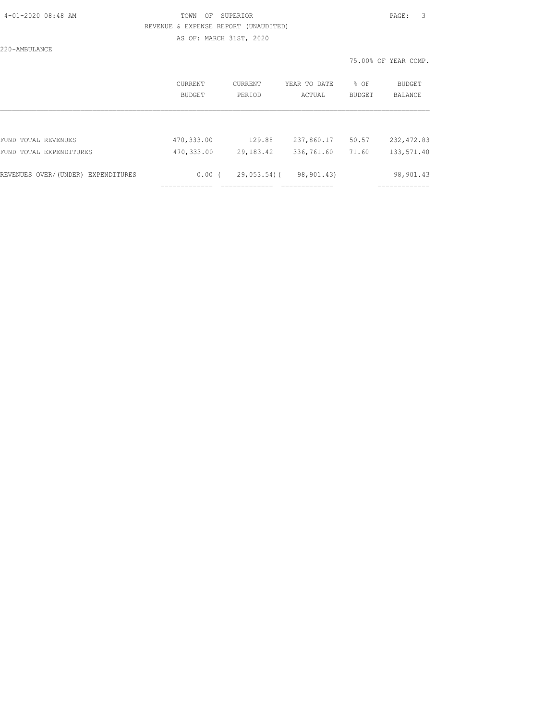| 4-01-2020 08:48 AM |  |  |
|--------------------|--|--|
|                    |  |  |

# TOWN OF SUPERIOR **Example 2010** PAGE: 3 REVENUE & EXPENSE REPORT (UNAUDITED) AS OF: MARCH 31ST, 2020

220-AMBULANCE

|                                    | CURRENT<br>BUDGET | CURRENT<br>PERIOD | YEAR TO DATE<br>ACTUAL | % OF<br><b>BUDGET</b> | BUDGET<br><b>BALANCE</b> |
|------------------------------------|-------------------|-------------------|------------------------|-----------------------|--------------------------|
|                                    |                   |                   |                        |                       |                          |
| FUND TOTAL REVENUES                | 470,333.00        | 129.88            | 237,860.17             | 50.57                 | 232, 472.83              |
| FUND TOTAL EXPENDITURES            | 470,333.00        | 29, 183. 42       | 336,761.60             | 71.60                 | 133,571.40               |
| REVENUES OVER/(UNDER) EXPENDITURES | 0.00(             | 29,053.54)(       | 98,901.43)             |                       | 98,901.43                |
|                                    |                   |                   |                        |                       |                          |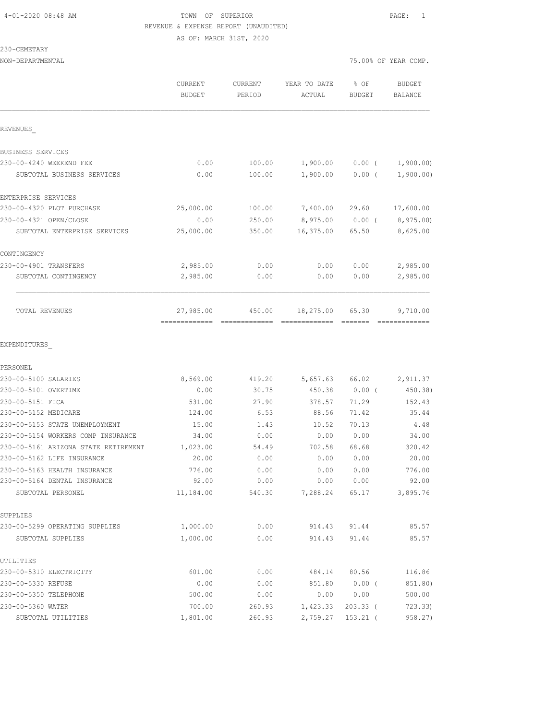## 4-01-2020 08:48 AM TOWN OF SUPERIOR PAGE: 1 REVENUE & EXPENSE REPORT (UNAUDITED) AS OF: MARCH 31ST, 2020

#### 230-CEMETARY

| NON-DEPARTMENTAL                     |                          |                   |                        | 75.00% OF YEAR COMP. |                   |  |
|--------------------------------------|--------------------------|-------------------|------------------------|----------------------|-------------------|--|
|                                      | CURRENT<br><b>BUDGET</b> | CURRENT<br>PERIOD | YEAR TO DATE<br>ACTUAL | % OF<br>BUDGET       | BUDGET<br>BALANCE |  |
| REVENUES                             |                          |                   |                        |                      |                   |  |
| BUSINESS SERVICES                    |                          |                   |                        |                      |                   |  |
| 230-00-4240 WEEKEND FEE              | 0.00                     | 100.00            | 1,900.00               | $0.00$ (             | 1,900.00)         |  |
| SUBTOTAL BUSINESS SERVICES           | 0.00                     | 100.00            | 1,900.00               | $0.00$ (             | 1,900.00)         |  |
| ENTERPRISE SERVICES                  |                          |                   |                        |                      |                   |  |
| 230-00-4320 PLOT PURCHASE            | 25,000.00                | 100.00            | 7,400.00               | 29.60                | 17,600.00         |  |
| 230-00-4321 OPEN/CLOSE               | 0.00                     | 250.00            | 8,975.00               | $0.00$ (             | 8,975.00)         |  |
| SUBTOTAL ENTERPRISE SERVICES         | 25,000.00                | 350.00            | 16,375.00              | 65.50                | 8,625.00          |  |
| CONTINGENCY                          |                          |                   |                        |                      |                   |  |
| 230-00-4901 TRANSFERS                | 2,985.00                 | 0.00              | 0.00                   | 0.00                 | 2,985.00          |  |
| SUBTOTAL CONTINGENCY                 | 2,985.00                 | 0.00              | 0.00                   | 0.00                 | 2,985.00          |  |
| TOTAL REVENUES                       | 27,985.00                | 450.00            | 18,275.00              | 65.30                | 9,710.00          |  |
| EXPENDITURES                         |                          |                   |                        |                      |                   |  |
| PERSONEL                             |                          |                   |                        |                      |                   |  |
| 230-00-5100 SALARIES                 | 8,569.00                 | 419.20            | 5,657.63               | 66.02                | 2,911.37          |  |
| 230-00-5101 OVERTIME                 | 0.00                     | 30.75             | 450.38                 | $0.00$ (             | 450.38)           |  |
| 230-00-5151 FICA                     | 531.00                   | 27.90             | 378.57                 | 71.29                | 152.43            |  |
| 230-00-5152 MEDICARE                 | 124.00                   | 6.53              | 88.56                  | 71.42                | 35.44             |  |
| 230-00-5153 STATE UNEMPLOYMENT       | 15.00                    | 1.43              | 10.52                  | 70.13                | 4.48              |  |
| 230-00-5154 WORKERS COMP INSURANCE   | 34.00                    | 0.00              | 0.00                   | 0.00                 | 34.00             |  |
| 230-00-5161 ARIZONA STATE RETIREMENT | 1,023.00                 | 54.49             | 702.58                 | 68.68                | 320.42            |  |
| 230-00-5162 LIFE INSURANCE           | 20.00                    | 0.00              | 0.00                   | 0.00                 | 20.00             |  |
| 230-00-5163 HEALTH INSURANCE         | 776.00                   | 0.00              | 0.00                   | 0.00                 | 776.00            |  |
| 230-00-5164 DENTAL INSURANCE         | 92.00                    | 0.00              | 0.00                   | 0.00                 | 92.00             |  |
| SUBTOTAL PERSONEL                    | 11,184.00                | 540.30            | 7,288.24               | 65.17                | 3,895.76          |  |
| SUPPLIES                             |                          |                   |                        |                      |                   |  |
| 230-00-5299 OPERATING SUPPLIES       | 1,000.00                 | 0.00              | 914.43                 | 91.44                | 85.57             |  |
| SUBTOTAL SUPPLIES                    | 1,000.00                 | 0.00              | 914.43                 | 91.44                | 85.57             |  |
| UTILITIES                            |                          |                   |                        |                      |                   |  |
| 230-00-5310 ELECTRICITY              | 601.00                   | 0.00              | 484.14                 | 80.56                | 116.86            |  |
| 230-00-5330 REFUSE                   | 0.00                     | 0.00              | 851.80                 | 0.00(                | 851.80)           |  |
| 230-00-5350 TELEPHONE                | 500.00                   | 0.00              | 0.00                   | 0.00                 | 500.00            |  |

230-00-5360 WATER 700.00 260.93 1,423.33 203.33 ( 723.33) SUBTOTAL UTILITIES 1,801.00 260.93 2,759.27 153.21 ( 958.27)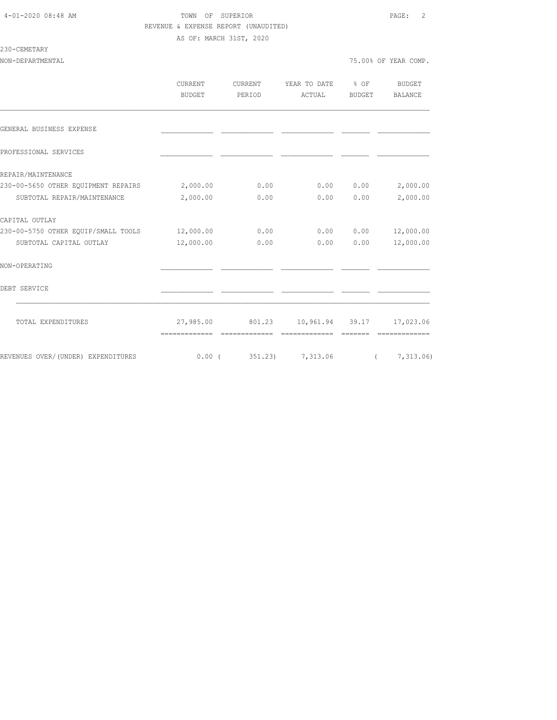### 4-01-2020 08:48 AM TOWN OF SUPERIOR PAGE: 2 REVENUE & EXPENSE REPORT (UNAUDITED)

AS OF: MARCH 31ST, 2020

### 230-CEMETARY

|                                     | <b>CURRENT</b><br><b>BUDGET</b> | CURRENT<br>PERIOD | YEAR TO DATE<br>ACTUAL       | $8$ OF<br>BUDGET | <b>BUDGET</b><br>BALANCE |
|-------------------------------------|---------------------------------|-------------------|------------------------------|------------------|--------------------------|
|                                     |                                 |                   |                              |                  |                          |
| GENERAL BUSINESS EXPENSE            |                                 |                   |                              |                  |                          |
| PROFESSIONAL SERVICES               |                                 |                   |                              |                  |                          |
| REPAIR/MAINTENANCE                  |                                 |                   |                              |                  |                          |
| 230-00-5650 OTHER EQUIPMENT REPAIRS | 2,000.00                        | 0.00              | 0.00                         | 0.00             | 2,000.00                 |
| SUBTOTAL REPAIR/MAINTENANCE         | 2,000.00                        | 0.00              | 0.00                         | 0.00             | 2,000.00                 |
| CAPITAL OUTLAY                      |                                 |                   |                              |                  |                          |
| 230-00-5750 OTHER EQUIP/SMALL TOOLS | 12,000.00                       | 0.00              | 0.00                         | 0.00             | 12,000.00                |
| SUBTOTAL CAPITAL OUTLAY             | 12,000.00                       | 0.00              | 0.00                         | 0.00             | 12,000.00                |
| NON-OPERATING                       |                                 |                   |                              |                  |                          |
| DEBT SERVICE                        |                                 |                   |                              |                  |                          |
| TOTAL EXPENDITURES                  |                                 | 27,985.00 801.23  | 10,961.94 39.17              |                  | 17,023.06                |
|                                     | -------------                   | =============     | =============                | --------         |                          |
| REVENUES OVER/(UNDER) EXPENDITURES  |                                 |                   | $0.00$ ( $351.23$ ) 7,313.06 |                  | (7, 313.06)              |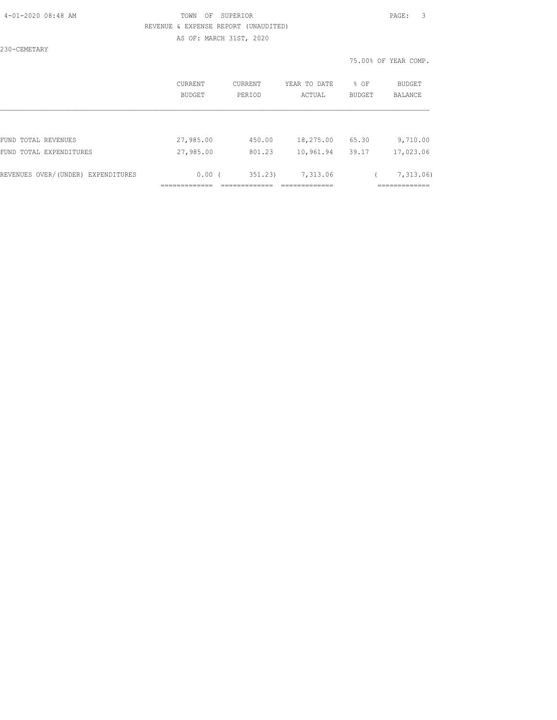| 4-01-2020 08:48 AM |  |  |
|--------------------|--|--|
|                    |  |  |

# TOWN OF SUPERIOR **PAGE:** 3 REVENUE & EXPENSE REPORT (UNAUDITED) AS OF: MARCH 31ST, 2020

230-CEMETARY

|                                    | <b>CURRENT</b><br>BUDGET | <b>CURRENT</b><br>PERIOD | YEAR TO DATE<br>ACTUAL | % OF<br>BUDGET | <b>BUDGET</b><br><b>BALANCE</b> |
|------------------------------------|--------------------------|--------------------------|------------------------|----------------|---------------------------------|
|                                    |                          |                          |                        |                |                                 |
| FUND TOTAL REVENUES                | 27,985.00                | 450.00                   | 18,275.00              | 65.30          | 9,710.00                        |
| FUND TOTAL EXPENDITURES            | 27,985.00                | 801.23                   | 10,961.94              | 39.17          | 17,023.06                       |
| REVENUES OVER/(UNDER) EXPENDITURES | 0.00(                    | 351.23                   | 7,313.06               |                | 7,313.06                        |
|                                    |                          |                          |                        |                |                                 |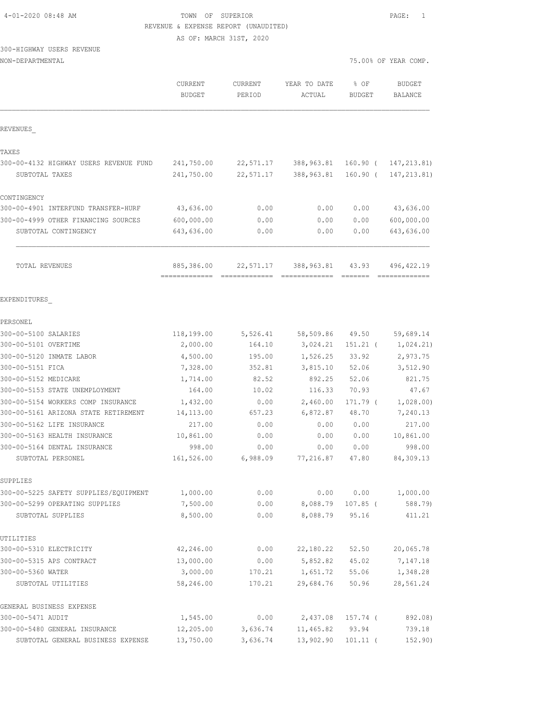# TOWN OF SUPERIOR **EXECUTER** PAGE: 1 REVENUE & EXPENSE REPORT (UNAUDITED)

AS OF: MARCH 31ST, 2020

# 300-HIGHWAY USERS REVENUE

| NON-DEPARTMENTAL |  |
|------------------|--|

| NON-DEPARTMENTAL                                    |                          |                   |                        | 75.00% OF YEAR COMP.  |                                 |
|-----------------------------------------------------|--------------------------|-------------------|------------------------|-----------------------|---------------------------------|
|                                                     | CURRENT<br><b>BUDGET</b> | CURRENT<br>PERIOD | YEAR TO DATE<br>ACTUAL | % OF<br><b>BUDGET</b> | <b>BUDGET</b><br><b>BALANCE</b> |
| REVENUES                                            |                          |                   |                        |                       |                                 |
| TAXES                                               |                          |                   |                        |                       |                                 |
| 300-00-4132 HIGHWAY USERS REVENUE FUND              | 241,750.00               | 22,571.17         | 388,963.81             | 160.90 (              | 147, 213.81)                    |
| SUBTOTAL TAXES                                      | 241,750.00               | 22,571.17         | 388,963.81             | 160.90(               | 147, 213.81)                    |
| CONTINGENCY                                         |                          |                   |                        |                       |                                 |
| 300-00-4901 INTERFUND TRANSFER-HURF                 | 43,636.00                | 0.00              | 0.00                   | 0.00                  | 43,636.00                       |
| 300-00-4999 OTHER FINANCING SOURCES                 | 600,000.00               | 0.00              | 0.00                   | 0.00                  | 600,000.00                      |
| SUBTOTAL CONTINGENCY                                | 643,636.00               | 0.00              | 0.00                   | 0.00                  | 643,636.00                      |
| TOTAL REVENUES                                      | 885,386.00               | 22,571.17         | 388,963.81             | 43.93                 | 496, 422.19                     |
| EXPENDITURES                                        |                          |                   |                        |                       |                                 |
| PERSONEL                                            |                          |                   |                        |                       |                                 |
| 300-00-5100 SALARIES                                | 118,199.00               | 5,526.41          | 58,509.86              | 49.50                 | 59,689.14                       |
| 300-00-5101 OVERTIME                                | 2,000.00                 | 164.10            | 3,024.21               | $151.21$ (            | 1,024.21)                       |
| 300-00-5120 INMATE LABOR                            | 4,500.00                 | 195.00            | 1,526.25               | 33.92                 | 2,973.75                        |
| 300-00-5151 FICA                                    | 7,328.00                 | 352.81            | 3,815.10               | 52.06                 | 3,512.90                        |
| 300-00-5152 MEDICARE                                | 1,714.00                 | 82.52             | 892.25                 | 52.06                 | 821.75                          |
| 300-00-5153 STATE UNEMPLOYMENT                      | 164.00                   | 10.02             | 116.33                 | 70.93                 | 47.67                           |
| 300-00-5154 WORKERS COMP INSURANCE                  | 1,432.00                 | 0.00              | 2,460.00               | 171.79 (              | 1,028.00)                       |
| 300-00-5161 ARIZONA STATE RETIREMENT                | 14, 113.00               | 657.23            | 6,872.87               | 48.70                 | 7,240.13                        |
| 300-00-5162 LIFE INSURANCE                          | 217.00                   | 0.00              | 0.00                   | 0.00                  | 217.00                          |
| 300-00-5163 HEALTH INSURANCE                        | 10,861.00                | 0.00              | 0.00                   | 0.00                  | 10,861.00                       |
| 300-00-5164 DENTAL INSURANCE                        | 998.00                   | 0.00              | 0.00                   | 0.00                  | 998.00                          |
| SUBTOTAL PERSONEL                                   | 161,526.00               | 6,988.09          | 77,216.87              | 47.80                 | 84,309.13                       |
| SUPPLIES                                            |                          |                   |                        |                       |                                 |
| 300-00-5225 SAFETY SUPPLIES/EQUIPMENT               | 1,000.00                 | 0.00              | 0.00                   | 0.00                  | 1,000.00                        |
| 300-00-5299 OPERATING SUPPLIES<br>SUBTOTAL SUPPLIES | 7,500.00<br>8,500.00     | 0.00<br>0.00      | 8,088.79<br>8,088.79   | $107.85$ (<br>95.16   | 588.79)<br>411.21               |
|                                                     |                          |                   |                        |                       |                                 |
| UTILITIES<br>300-00-5310 ELECTRICITY                | 42,246.00                | 0.00              | 22,180.22              | 52.50                 | 20,065.78                       |
| 300-00-5315 APS CONTRACT                            | 13,000.00                | 0.00              | 5,852.82               | 45.02                 | 7,147.18                        |
| 300-00-5360 WATER                                   | 3,000.00                 | 170.21            | 1,651.72               | 55.06                 | 1,348.28                        |
| SUBTOTAL UTILITIES                                  | 58,246.00                | 170.21            | 29,684.76              | 50.96                 | 28,561.24                       |
| GENERAL BUSINESS EXPENSE                            |                          |                   |                        |                       |                                 |
| 300-00-5471 AUDIT                                   | 1,545.00                 | 0.00              | 2,437.08               | 157.74 (              | 892.08)                         |
| 300-00-5480 GENERAL INSURANCE                       | 12,205.00                | 3,636.74          | 11,465.82              | 93.94                 | 739.18                          |
| SUBTOTAL GENERAL BUSINESS EXPENSE                   | 13,750.00                | 3,636.74          | 13,902.90              | $101.11$ (            | 152.90)                         |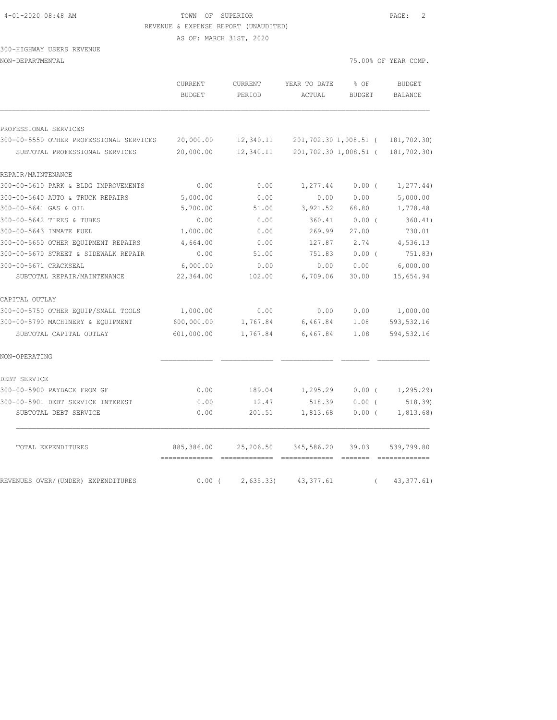#### 4-01-2020 08:48 AM TOWN OF SUPERIOR PAGE: 2 REVENUE & EXPENSE REPORT (UNAUDITED)

AS OF: MARCH 31ST, 2020

### 300-HIGHWAY USERS REVENUE NON-DEPARTMENTAL 75.00% OF YEAR COMP.

|                                         | CURRENT<br><b>BUDGET</b> | CURRENT<br>PERIOD | YEAR TO DATE<br>ACTUAL | % OF<br><b>BUDGET</b> | <b>BUDGET</b><br><b>BALANCE</b> |
|-----------------------------------------|--------------------------|-------------------|------------------------|-----------------------|---------------------------------|
| PROFESSIONAL SERVICES                   |                          |                   |                        |                       |                                 |
| 300-00-5550 OTHER PROFESSIONAL SERVICES | 20,000.00                | 12,340.11         |                        | 201,702.30 1,008.51 ( | 181,702.30)                     |
| SUBTOTAL PROFESSIONAL SERVICES          | 20,000.00                | 12,340.11         |                        | 201,702.30 1,008.51 ( | 181,702.30)                     |
| REPAIR/MAINTENANCE                      |                          |                   |                        |                       |                                 |
| 300-00-5610 PARK & BLDG IMPROVEMENTS    | 0.00                     | 0.00              | 1,277.44               | 0.00(                 | 1, 277.44)                      |
| 300-00-5640 AUTO & TRUCK REPAIRS        | 5,000.00                 | 0.00              | 0.00                   | 0.00                  | 5,000.00                        |
| 300-00-5641 GAS & OIL                   | 5,700.00                 | 51.00             | 3,921.52               | 68.80                 | 1,778.48                        |
| 300-00-5642 TIRES & TUBES               | 0.00                     | 0.00              | 360.41                 | 0.00(                 | 360.41)                         |
| 300-00-5643 INMATE FUEL                 | 1,000.00                 | 0.00              | 269.99                 | 27.00                 | 730.01                          |
| 300-00-5650 OTHER EQUIPMENT REPAIRS     | 4,664.00                 | 0.00              | 127.87                 | 2.74                  | 4,536.13                        |
| 300-00-5670 STREET & SIDEWALK REPAIR    | 0.00                     | 51.00             | 751.83                 | $0.00$ (              | 751.83)                         |
| 300-00-5671 CRACKSEAL                   | 6,000.00                 | 0.00              | 0.00                   | 0.00                  | 6,000.00                        |
| SUBTOTAL REPAIR/MAINTENANCE             | 22,364.00                | 102.00            | 6,709.06               | 30.00                 | 15,654.94                       |
| CAPITAL OUTLAY                          |                          |                   |                        |                       |                                 |
| 300-00-5750 OTHER EQUIP/SMALL TOOLS     | 1,000.00                 | 0.00              | 0.00                   | 0.00                  | 1,000.00                        |
| 300-00-5790 MACHINERY & EQUIPMENT       | 600,000.00               | 1,767.84          | 6,467.84               | 1.08                  | 593, 532.16                     |
| SUBTOTAL CAPITAL OUTLAY                 | 601,000.00               | 1,767.84          | 6,467.84               | 1.08                  | 594,532.16                      |
| NON-OPERATING                           |                          |                   |                        |                       |                                 |
| DEBT SERVICE                            |                          |                   |                        |                       |                                 |
| 300-00-5900 PAYBACK FROM GF             | 0.00                     | 189.04            | 1,295.29               | $0.00$ (              | 1, 295.29                       |
| 300-00-5901 DEBT SERVICE INTEREST       | 0.00                     | 12.47             | 518.39                 | 0.00(                 | 518.39                          |
| SUBTOTAL DEBT SERVICE                   | 0.00                     | 201.51            | 1,813.68               | 0.00(                 | 1,813.68)                       |
| TOTAL EXPENDITURES                      | 885,386.00               | 25,206.50         | 345,586.20             | 39.03                 | 539,799.80                      |
| REVENUES OVER/(UNDER) EXPENDITURES      | 0.00(                    | 2,635.33)         | 43, 377.61             |                       | 43, 377.61)                     |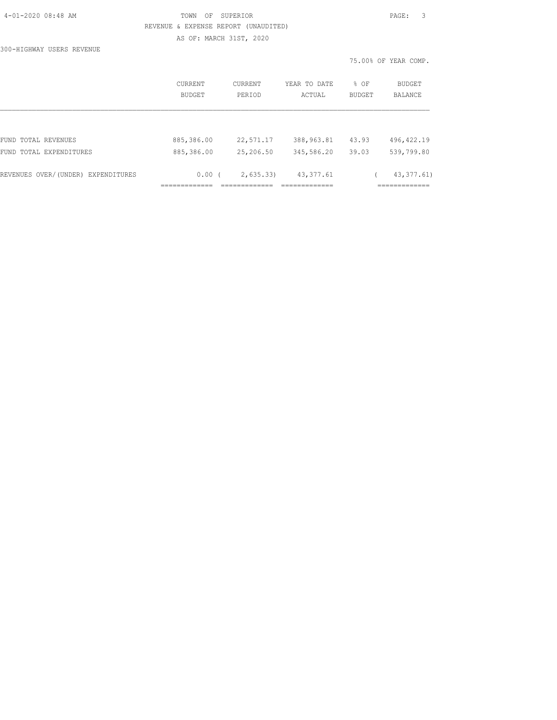|  | 4-01-2020 08:48 AM |  |
|--|--------------------|--|
|  |                    |  |

300-HIGHWAY USERS REVENUE

# TOWN OF SUPERIOR **PAGE:** 3 REVENUE & EXPENSE REPORT (UNAUDITED) AS OF: MARCH 31ST, 2020

|                                    | CURRENT<br><b>BUDGET</b> | <b>CURRENT</b><br>PERIOD | YEAR TO DATE<br>ACTUAL | $8$ OF<br><b>BUDGET</b> | <b>BUDGET</b><br><b>BALANCE</b> |
|------------------------------------|--------------------------|--------------------------|------------------------|-------------------------|---------------------------------|
|                                    |                          |                          |                        |                         |                                 |
| FUND TOTAL REVENUES                | 885,386.00               | 22,571.17                | 388, 963.81            | 43.93                   | 496, 422.19                     |
| FUND TOTAL EXPENDITURES            | 885,386.00               | 25,206.50                | 345,586.20             | 39.03                   | 539,799.80                      |
| REVENUES OVER/(UNDER) EXPENDITURES | 0.00(                    | 2,635.33                 | 43, 377.61             |                         | 43, 377.61)                     |
|                                    |                          |                          |                        |                         | ___________<br>---------        |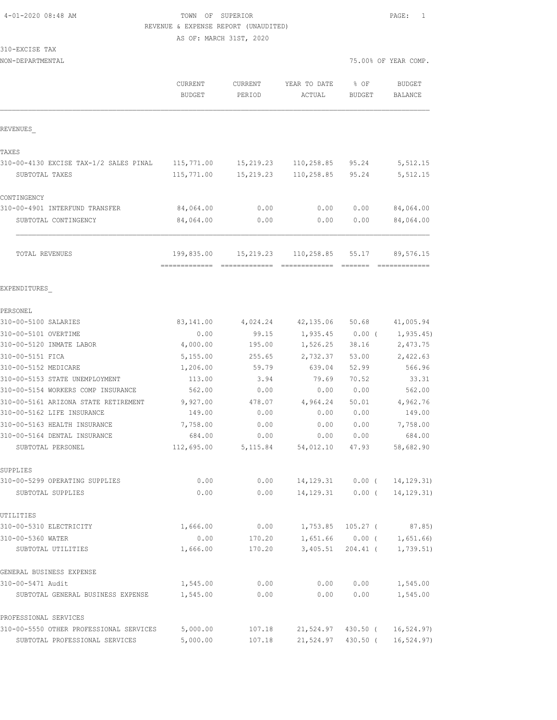# TOWN OF SUPERIOR **PAGE:** 1 REVENUE & EXPENSE REPORT (UNAUDITED)

AS OF: MARCH 31ST, 2020

310-EXCISE TAX

| NON-DEPARTMENTAL                                       |                             |                   |                        | 75.00% OF YEAR COMP. |                                 |
|--------------------------------------------------------|-----------------------------|-------------------|------------------------|----------------------|---------------------------------|
|                                                        | CURRENT<br><b>BUDGET</b>    | CURRENT<br>PERIOD | YEAR TO DATE<br>ACTUAL | % OF<br>BUDGET       | <b>BUDGET</b><br><b>BALANCE</b> |
| REVENUES                                               |                             |                   |                        |                      |                                 |
| TAXES                                                  |                             |                   |                        |                      |                                 |
| 310-00-4130 EXCISE TAX-1/2 SALES PINAL                 | 115,771.00                  | 15,219.23         | 110,258.85             | 95.24                | 5,512.15                        |
| SUBTOTAL TAXES                                         | 115,771.00                  | 15,219.23         | 110,258.85             | 95.24                | 5,512.15                        |
|                                                        |                             |                   |                        |                      |                                 |
| CONTINGENCY                                            | 84,064.00                   |                   |                        |                      |                                 |
| 310-00-4901 INTERFUND TRANSFER<br>SUBTOTAL CONTINGENCY | 84,064.00                   | 0.00<br>0.00      | 0.00<br>0.00           | 0.00<br>0.00         | 84,064.00<br>84,064.00          |
|                                                        |                             |                   |                        |                      |                                 |
| TOTAL REVENUES                                         | 199,835.00<br>------------- | 15,219.23         | 110,258.85             | 55.17                | 89,576.15                       |
| EXPENDITURES                                           |                             |                   |                        |                      |                                 |
| PERSONEL                                               |                             |                   |                        |                      |                                 |
| 310-00-5100 SALARIES                                   | 83,141.00                   | 4,024.24          | 42, 135.06             | 50.68                | 41,005.94                       |
| 310-00-5101 OVERTIME                                   | 0.00                        | 99.15             | 1,935.45               | 0.00(                | 1, 935.45)                      |
| 310-00-5120 INMATE LABOR                               | 4,000.00                    | 195.00            | 1,526.25               | 38.16                | 2,473.75                        |
| 310-00-5151 FICA                                       | 5,155.00                    | 255.65            | 2,732.37               | 53.00                | 2,422.63                        |
| 310-00-5152 MEDICARE                                   | 1,206.00                    | 59.79             | 639.04                 | 52.99                | 566.96                          |
| 310-00-5153 STATE UNEMPLOYMENT                         | 113.00                      | 3.94              | 79.69                  | 70.52                | 33.31                           |
| 310-00-5154 WORKERS COMP INSURANCE                     | 562.00                      | 0.00              | 0.00                   | 0.00                 | 562.00                          |
| 310-00-5161 ARIZONA STATE RETIREMENT                   | 9,927.00                    | 478.07            | 4,964.24               | 50.01                | 4,962.76                        |
| 310-00-5162 LIFE INSURANCE                             | 149.00                      | 0.00              | 0.00                   | 0.00                 | 149.00                          |
| 310-00-5163 HEALTH INSURANCE                           | 7,758.00                    | 0.00              | 0.00                   | 0.00                 | 7,758.00                        |
| 310-00-5164 DENTAL INSURANCE                           | 684.00                      | 0.00              | 0.00                   | 0.00                 | 684.00                          |
| SUBTOTAL PERSONEL                                      | 112,695.00                  | 5,115.84          | 54,012.10              | 47.93                | 58,682.90                       |
| SUPPLIES                                               |                             |                   |                        |                      |                                 |
| 310-00-5299 OPERATING SUPPLIES                         | 0.00                        | 0.00              | 14, 129. 31            | $0.00$ (             | 14, 129. 31)                    |
| SUBTOTAL SUPPLIES                                      | 0.00                        | 0.00              | 14,129.31              | $0.00$ (             | 14, 129. 31)                    |
| UTILITIES                                              |                             |                   |                        |                      |                                 |
| 310-00-5310 ELECTRICITY                                | 1,666.00                    | 0.00              | 1,753.85               | $105.27$ (           | 87.85)                          |
| 310-00-5360 WATER                                      | 0.00                        | 170.20            | 1,651.66               | $0.00$ (             | 1,651.66)                       |
| SUBTOTAL UTILITIES                                     | 1,666.00                    | 170.20            | 3,405.51               | 204.41 (             | 1,739.51)                       |
| GENERAL BUSINESS EXPENSE                               |                             |                   |                        |                      |                                 |
| 310-00-5471 Audit                                      | 1,545.00                    | 0.00              | 0.00                   | 0.00                 | 1,545.00                        |
| SUBTOTAL GENERAL BUSINESS EXPENSE                      | 1,545.00                    | 0.00              | 0.00                   | 0.00                 | 1,545.00                        |
| PROFESSIONAL SERVICES                                  |                             |                   |                        |                      |                                 |
| 310-00-5550 OTHER PROFESSIONAL SERVICES                | 5,000.00                    | 107.18            | 21,524.97              | 430.50 (             | 16, 524.97)                     |

SUBTOTAL PROFESSIONAL SERVICES 5,000.00 107.18 21,524.97 430.50 ( 16,524.97)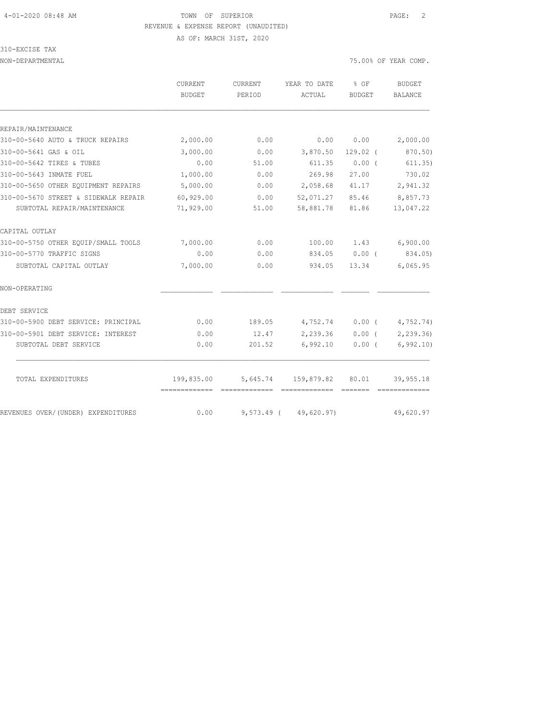# 4-01-2020 08:48 AM TOWN OF SUPERIOR PAGE: 2 REVENUE & EXPENSE REPORT (UNAUDITED) AS OF: MARCH 31ST, 2020

#### 310-EXCISE TAX

NON-DEPARTMENTAL 75.00% OF YEAR COMP.

|                                      | CURRENT<br>BUDGET | CURRENT<br>PERIOD                                                                                                                                                                                                                                                                                                                                                                                                                                                                      | YEAR TO DATE<br>ACTUAL     | $8$ OF<br><b>BUDGET</b> | <b>BUDGET</b><br><b>BALANCE</b> |
|--------------------------------------|-------------------|----------------------------------------------------------------------------------------------------------------------------------------------------------------------------------------------------------------------------------------------------------------------------------------------------------------------------------------------------------------------------------------------------------------------------------------------------------------------------------------|----------------------------|-------------------------|---------------------------------|
|                                      |                   |                                                                                                                                                                                                                                                                                                                                                                                                                                                                                        |                            |                         |                                 |
| REPAIR/MAINTENANCE                   |                   |                                                                                                                                                                                                                                                                                                                                                                                                                                                                                        |                            |                         |                                 |
| 310-00-5640 AUTO & TRUCK REPAIRS     | 2,000.00          | 0.00                                                                                                                                                                                                                                                                                                                                                                                                                                                                                   | 0.00                       | 0.00                    | 2,000.00                        |
| 310-00-5641 GAS & OIL                | 3,000.00          | 0.00                                                                                                                                                                                                                                                                                                                                                                                                                                                                                   | 3,870.50                   | $129.02$ (              | 870.50)                         |
| 310-00-5642 TIRES & TUBES            | 0.00              | 51.00                                                                                                                                                                                                                                                                                                                                                                                                                                                                                  | 611.35                     | 0.00(                   | 611.35)                         |
| 310-00-5643 INMATE FUEL              | 1,000.00          | 0.00                                                                                                                                                                                                                                                                                                                                                                                                                                                                                   | 269.98                     | 27.00                   | 730.02                          |
| 310-00-5650 OTHER EQUIPMENT REPAIRS  | 5,000.00          | 0.00                                                                                                                                                                                                                                                                                                                                                                                                                                                                                   | 2,058.68                   | 41.17                   | 2,941.32                        |
| 310-00-5670 STREET & SIDEWALK REPAIR | 60,929.00         | 0.00                                                                                                                                                                                                                                                                                                                                                                                                                                                                                   | 52,071.27                  | 85.46                   | 8,857.73                        |
| SUBTOTAL REPAIR/MAINTENANCE          | 71,929.00         | 51.00                                                                                                                                                                                                                                                                                                                                                                                                                                                                                  | 58,881.78                  | 81.86                   | 13,047.22                       |
| CAPITAL OUTLAY                       |                   |                                                                                                                                                                                                                                                                                                                                                                                                                                                                                        |                            |                         |                                 |
| 310-00-5750 OTHER EQUIP/SMALL TOOLS  | 7,000.00          | 0.00                                                                                                                                                                                                                                                                                                                                                                                                                                                                                   | 100.00                     | 1.43                    | 6,900.00                        |
| 310-00-5770 TRAFFIC SIGNS            | 0.00              | 0.00                                                                                                                                                                                                                                                                                                                                                                                                                                                                                   | 834.05                     | $0.00$ (                | 834.05)                         |
| SUBTOTAL CAPITAL OUTLAY              | 7,000.00          | 0.00                                                                                                                                                                                                                                                                                                                                                                                                                                                                                   | 934.05                     | 13.34                   | 6,065.95                        |
| NON-OPERATING                        |                   |                                                                                                                                                                                                                                                                                                                                                                                                                                                                                        |                            |                         |                                 |
| DEBT SERVICE                         |                   |                                                                                                                                                                                                                                                                                                                                                                                                                                                                                        |                            |                         |                                 |
| 310-00-5900 DEBT SERVICE: PRINCIPAL  | 0.00              | 189.05                                                                                                                                                                                                                                                                                                                                                                                                                                                                                 | 4,752.74                   | $0.00$ (                | 4,752.74)                       |
| 310-00-5901 DEBT SERVICE: INTEREST   | 0.00              | 12.47                                                                                                                                                                                                                                                                                                                                                                                                                                                                                  | 2,239.36                   | $0.00$ (                | 2,239.36)                       |
| SUBTOTAL DEBT SERVICE                | 0.00              | 201.52                                                                                                                                                                                                                                                                                                                                                                                                                                                                                 | 6,992.10                   | $0.00$ (                | 6, 992.10                       |
| TOTAL EXPENDITURES                   | 199,835.00        |                                                                                                                                                                                                                                                                                                                                                                                                                                                                                        | 5,645.74 159,879.82        | 80.01                   | 39,955.18                       |
|                                      | -------------     | $\begin{array}{cccccccccccccc} \multicolumn{2}{c}{} & \multicolumn{2}{c}{} & \multicolumn{2}{c}{} & \multicolumn{2}{c}{} & \multicolumn{2}{c}{} & \multicolumn{2}{c}{} & \multicolumn{2}{c}{} & \multicolumn{2}{c}{} & \multicolumn{2}{c}{} & \multicolumn{2}{c}{} & \multicolumn{2}{c}{} & \multicolumn{2}{c}{} & \multicolumn{2}{c}{} & \multicolumn{2}{c}{} & \multicolumn{2}{c}{} & \multicolumn{2}{c}{} & \multicolumn{2}{c}{} & \multicolumn{2}{c}{} & \multicolumn{2}{c}{} & \$ | =============              | =======                 | =============                   |
| REVENUES OVER/(UNDER) EXPENDITURES   | 0.00              |                                                                                                                                                                                                                                                                                                                                                                                                                                                                                        | $9,573.49$ ( $49,620.97$ ) |                         | 49,620.97                       |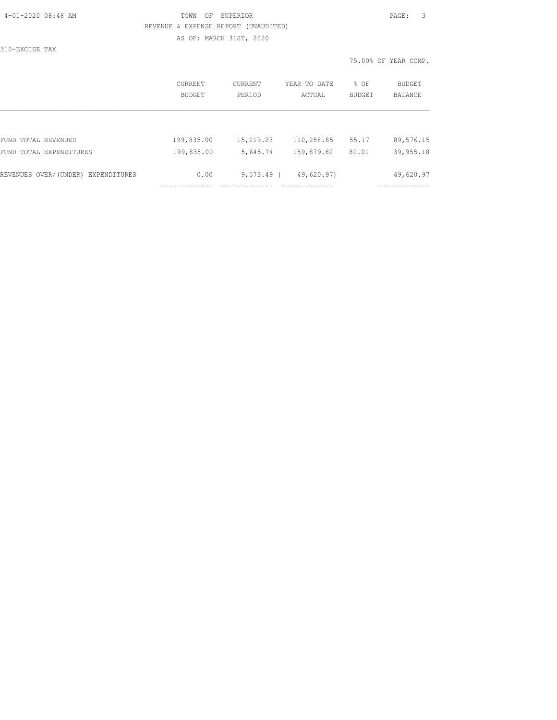| 4-01-2020 08:48 AM |  |
|--------------------|--|
|                    |  |

# TOWN OF SUPERIOR **Example 2010** PAGE: 3 REVENUE & EXPENSE REPORT (UNAUDITED) AS OF: MARCH 31ST, 2020

310-EXCISE TAX

|                                    | CURRENT<br><b>BUDGET</b> | <b>CURRENT</b><br>PERTOD | YEAR TO DATE<br>ACTUAL | % OF<br><b>BUDGET</b> | <b>BUDGET</b><br><b>BALANCE</b> |
|------------------------------------|--------------------------|--------------------------|------------------------|-----------------------|---------------------------------|
|                                    |                          |                          |                        |                       |                                 |
| FUND TOTAL REVENUES                | 199,835.00               | 15,219.23                | 110,258.85             | 55.17                 | 89,576.15                       |
| FUND TOTAL EXPENDITURES            | 199,835.00               | 5,645.74                 | 159,879.82             | 80.01                 | 39,955.18                       |
| REVENUES OVER/(UNDER) EXPENDITURES | 0.00                     | $9,573.49$ (             | 49,620.97)             |                       | 49,620.97                       |
|                                    |                          |                          |                        |                       |                                 |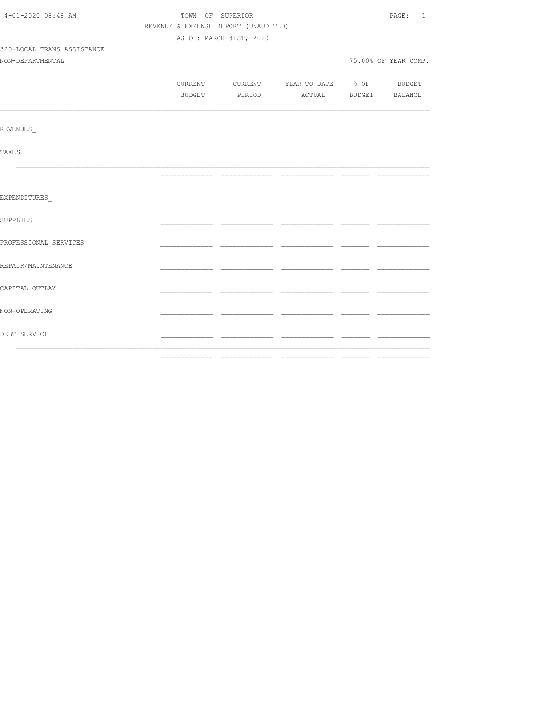| 4-01-2020 08:48 AM         | TOWN OF SUPERIOR                     |                         |                                          | PAGE: 1              |
|----------------------------|--------------------------------------|-------------------------|------------------------------------------|----------------------|
|                            | REVENUE & EXPENSE REPORT (UNAUDITED) |                         |                                          |                      |
|                            |                                      | AS OF: MARCH 31ST, 2020 |                                          |                      |
| 320-LOCAL TRANS ASSISTANCE |                                      |                         |                                          |                      |
| NON-DEPARTMENTAL           |                                      |                         |                                          | 75.00% OF YEAR COMP. |
|                            |                                      |                         |                                          |                      |
|                            |                                      |                         | CURRENT CURRENT YEAR TO DATE % OF BUDGET |                      |
|                            |                                      |                         | BUDGET PERIOD ACTUAL BUDGET BALANCE      |                      |
|                            |                                      |                         |                                          |                      |
| REVENUES                   |                                      |                         |                                          |                      |
| TAXE S                     |                                      |                         |                                          |                      |
|                            |                                      |                         |                                          |                      |
| EXPENDITURES               |                                      |                         |                                          |                      |
| SUPPLIES                   |                                      |                         |                                          |                      |
| PROFESSIONAL SERVICES      |                                      |                         |                                          |                      |
| REPAIR/MAINTENANCE         |                                      |                         |                                          |                      |
| CAPITAL OUTLAY             |                                      |                         |                                          |                      |
| NON-OPERATING              |                                      |                         |                                          |                      |
| DEBT SERVICE               |                                      |                         |                                          |                      |
|                            |                                      |                         |                                          |                      |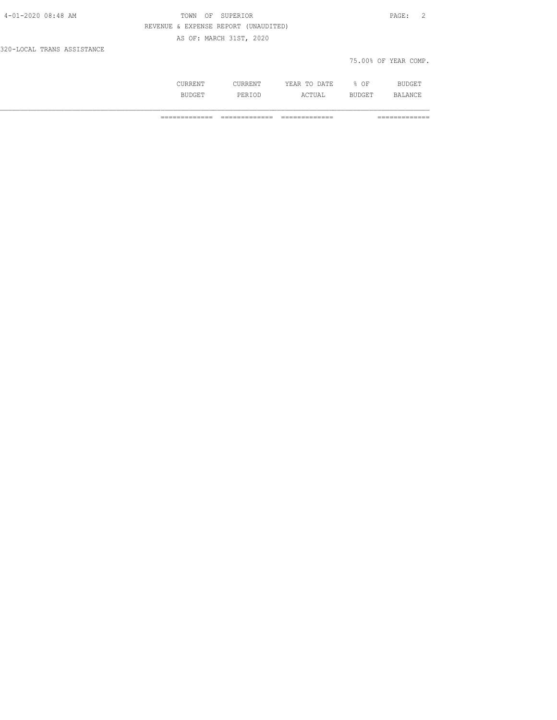| 4-01-2020 08:48 AM         | TOWN OF SUPERIOR                     | PAGE: 2              |
|----------------------------|--------------------------------------|----------------------|
|                            | REVENUE & EXPENSE REPORT (UNAUDITED) |                      |
|                            | AS OF: MARCH 31ST, 2020              |                      |
| 320-LOCAL TRANS ASSISTANCE |                                      |                      |
|                            |                                      | 75.00% OF YEAR COMP. |
|                            |                                      |                      |

 CURRENT CURRENT YEAR TO DATE % OF BUDGET BUDGET PERIOD ACTUAL BUDGET BALANCE

============= ============= ============= =============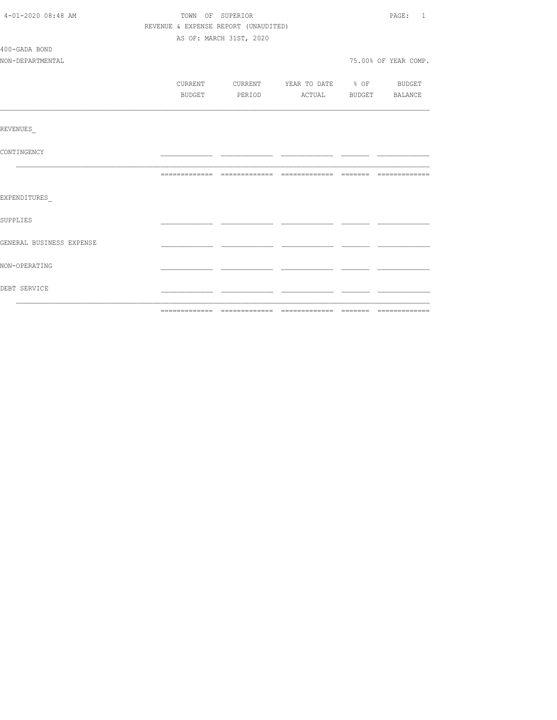| 4-01-2020 08:48 AM       | TOWN OF SUPERIOR                     |                         |                                  | PAGE: 1              |
|--------------------------|--------------------------------------|-------------------------|----------------------------------|----------------------|
|                          | REVENUE & EXPENSE REPORT (UNAUDITED) |                         |                                  |                      |
|                          |                                      | AS OF: MARCH 31ST, 2020 |                                  |                      |
| 400-GADA BOND            |                                      |                         |                                  |                      |
| NON-DEPARTMENTAL         |                                      |                         |                                  | 75.00% OF YEAR COMP. |
|                          |                                      |                         |                                  |                      |
|                          | CURRENT                              |                         | CURRENT YEAR TO DATE % OF BUDGET |                      |
|                          | BUDGET                               | PERIOD                  | ACTUAL BUDGET BALANCE            |                      |
|                          |                                      |                         |                                  |                      |
| <b>REVENUES</b>          |                                      |                         |                                  |                      |
| CONTINGENCY              |                                      |                         |                                  |                      |
|                          |                                      |                         |                                  |                      |
| EXPENDITURES             |                                      |                         |                                  |                      |
| <b>SUPPLIES</b>          |                                      |                         |                                  |                      |
| GENERAL BUSINESS EXPENSE |                                      |                         |                                  |                      |
| NON-OPERATING            |                                      |                         |                                  |                      |
| DEBT SERVICE             |                                      |                         |                                  |                      |
|                          |                                      |                         |                                  |                      |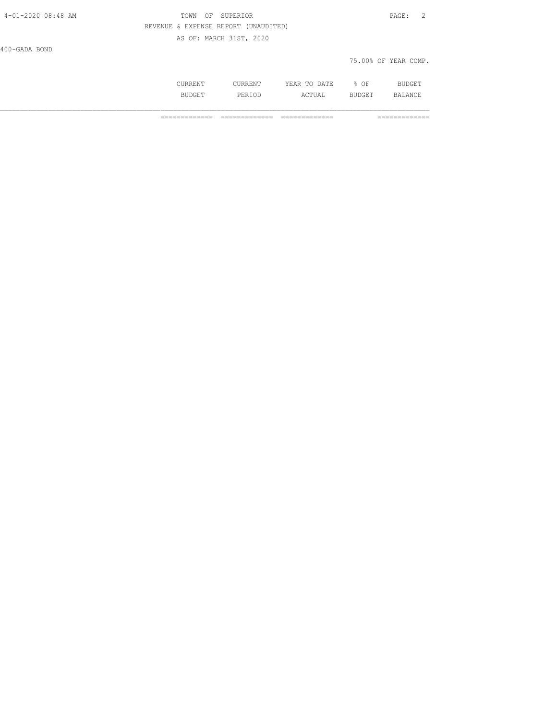| 4-01-2020 08:48 AM | TOWN    | SUPERIOR<br>ΟF                       |              |      | - 2<br>PAGE:         |
|--------------------|---------|--------------------------------------|--------------|------|----------------------|
|                    |         | REVENUE & EXPENSE REPORT (UNAUDITED) |              |      |                      |
|                    |         | AS OF: MARCH 31ST, 2020              |              |      |                      |
| 400-GADA BOND      |         |                                      |              |      |                      |
|                    |         |                                      |              |      | 75.00% OF YEAR COMP. |
|                    | CURRENT | CURRENT                              | YEAR TO DATE | % OF | BUDGET               |

BUDGET PERIOD ACTUAL BUDGET BALANCE

============= ============= ============= =============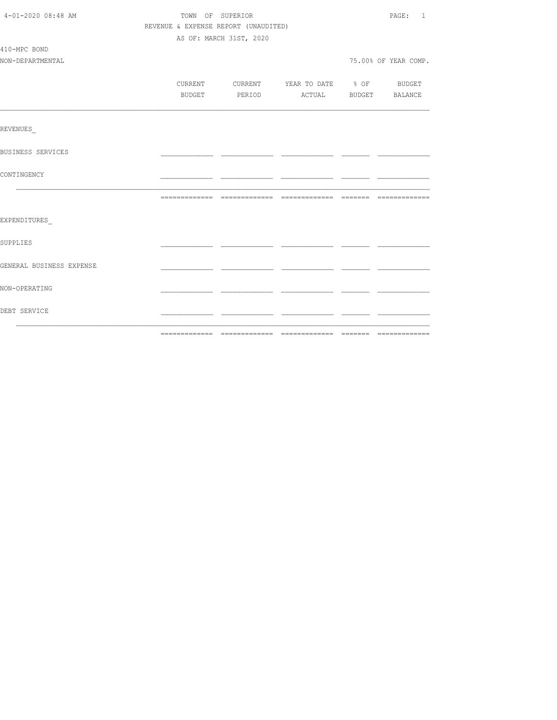| 4-01-2020 08:48 AM       |  | TOWN OF SUPERIOR                     |                                          | PAGE: 1              |
|--------------------------|--|--------------------------------------|------------------------------------------|----------------------|
|                          |  | REVENUE & EXPENSE REPORT (UNAUDITED) |                                          |                      |
|                          |  | AS OF: MARCH 31ST, 2020              |                                          |                      |
| 410-MPC BOND             |  |                                      |                                          |                      |
| NON-DEPARTMENTAL         |  |                                      |                                          | 75.00% OF YEAR COMP. |
|                          |  |                                      |                                          |                      |
|                          |  |                                      | CURRENT CURRENT YEAR TO DATE % OF BUDGET |                      |
|                          |  |                                      | BUDGET PERIOD ACTUAL BUDGET BALANCE      |                      |
|                          |  |                                      |                                          |                      |
| REVENUES                 |  |                                      |                                          |                      |
| BUSINESS SERVICES        |  |                                      |                                          |                      |
| CONTINGENCY              |  |                                      |                                          |                      |
|                          |  |                                      |                                          |                      |
| EXPENDITURES             |  |                                      |                                          |                      |
| SUPPLIES                 |  |                                      |                                          |                      |
| GENERAL BUSINESS EXPENSE |  |                                      |                                          |                      |
| NON-OPERATING            |  |                                      |                                          |                      |
| DEBT SERVICE             |  |                                      |                                          |                      |
|                          |  |                                      |                                          |                      |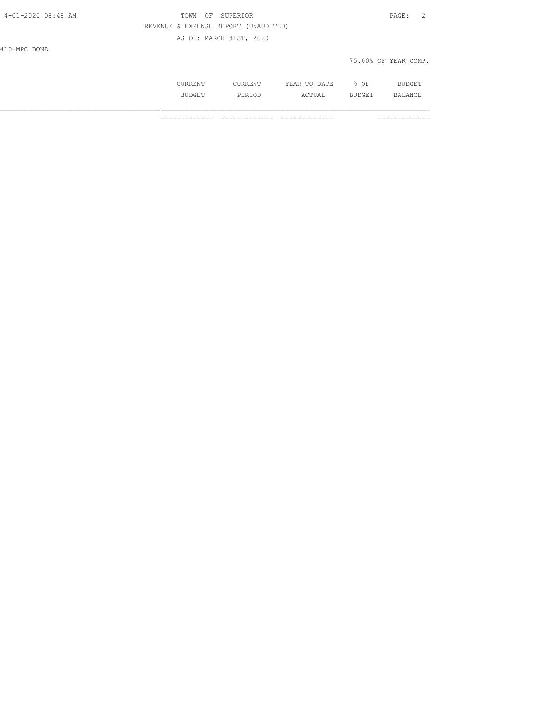| 4-01-2020 08:48 AM | TOWN<br>OF                           | SUPERIOR       |              |        | $\overline{2}$<br>PAGE: |  |
|--------------------|--------------------------------------|----------------|--------------|--------|-------------------------|--|
|                    | REVENUE & EXPENSE REPORT (UNAUDITED) |                |              |        |                         |  |
|                    | AS OF: MARCH 31ST, 2020              |                |              |        |                         |  |
| 410-MPC BOND       |                                      |                |              |        |                         |  |
|                    |                                      |                |              |        | 75.00% OF YEAR COMP.    |  |
|                    |                                      |                |              |        |                         |  |
|                    | CURRENT                              | <b>CURRENT</b> | YEAR TO DATE | $8$ OF | BUDGET                  |  |

BUDGET PERIOD ACTUAL BUDGET BALANCE

============= ============= ============= =============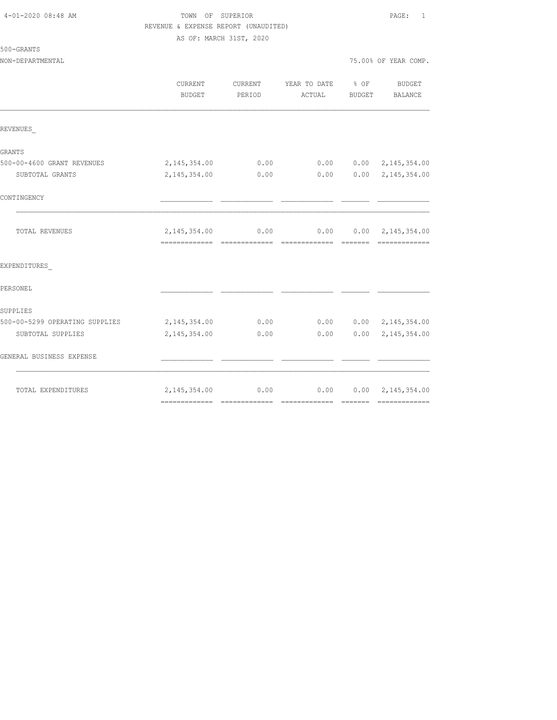| 4-01-2020 08:48 AM |  |
|--------------------|--|
|                    |  |

# TOWN OF SUPERIOR **PAGE:** 1 REVENUE & EXPENSE REPORT (UNAUDITED) AS OF: MARCH 31ST, 2020

| 500-GRANTS |
|------------|
|------------|

|                                | <b>CURRENT</b><br>BUDGET                         | <b>CURRENT</b><br>PERIOD | YEAR TO DATE<br>ACTUAL | % OF<br>BUDGET                                                                                                                                                                                                                                                                                                                                                                                                                                                                         | <b>BUDGET</b><br>BALANCE                   |
|--------------------------------|--------------------------------------------------|--------------------------|------------------------|----------------------------------------------------------------------------------------------------------------------------------------------------------------------------------------------------------------------------------------------------------------------------------------------------------------------------------------------------------------------------------------------------------------------------------------------------------------------------------------|--------------------------------------------|
| REVENUES                       |                                                  |                          |                        |                                                                                                                                                                                                                                                                                                                                                                                                                                                                                        |                                            |
| GRANTS                         |                                                  |                          |                        |                                                                                                                                                                                                                                                                                                                                                                                                                                                                                        |                                            |
| 500-00-4600 GRANT REVENUES     | 2, 145, 354.00                                   | 0.00                     | 0.00                   |                                                                                                                                                                                                                                                                                                                                                                                                                                                                                        | $0.00 \quad 2,145,354.00$                  |
| SUBTOTAL GRANTS                | 2, 145, 354.00                                   | 0.00                     | 0.00                   |                                                                                                                                                                                                                                                                                                                                                                                                                                                                                        | $0.00 \quad 2,145,354.00$                  |
| CONTINGENCY                    |                                                  |                          |                        |                                                                                                                                                                                                                                                                                                                                                                                                                                                                                        |                                            |
| TOTAL REVENUES                 | 2, 145, 354.00<br>============================== | 0.00                     | 0.00<br>-------------- | $\begin{array}{cccccccccc} \multicolumn{2}{c}{} & \multicolumn{2}{c}{} & \multicolumn{2}{c}{} & \multicolumn{2}{c}{} & \multicolumn{2}{c}{} & \multicolumn{2}{c}{} & \multicolumn{2}{c}{} & \multicolumn{2}{c}{} & \multicolumn{2}{c}{} & \multicolumn{2}{c}{} & \multicolumn{2}{c}{} & \multicolumn{2}{c}{} & \multicolumn{2}{c}{} & \multicolumn{2}{c}{} & \multicolumn{2}{c}{} & \multicolumn{2}{c}{} & \multicolumn{2}{c}{} & \multicolumn{2}{c}{} & \multicolumn{2}{c}{} & \mult$ | $0.00 \quad 2,145,354.00$<br>============= |
| EXPENDITURES                   |                                                  |                          |                        |                                                                                                                                                                                                                                                                                                                                                                                                                                                                                        |                                            |
| PERSONEL                       |                                                  |                          |                        |                                                                                                                                                                                                                                                                                                                                                                                                                                                                                        |                                            |
| SUPPLIES                       |                                                  |                          |                        |                                                                                                                                                                                                                                                                                                                                                                                                                                                                                        |                                            |
| 500-00-5299 OPERATING SUPPLIES | 2, 145, 354.00                                   | 0.00                     | 0.00                   |                                                                                                                                                                                                                                                                                                                                                                                                                                                                                        | $0.00 \quad 2,145,354.00$                  |
| SUBTOTAL SUPPLIES              | 2, 145, 354.00                                   | 0.00                     | 0.00                   |                                                                                                                                                                                                                                                                                                                                                                                                                                                                                        | $0.00 \quad 2,145,354.00$                  |
| GENERAL BUSINESS EXPENSE       |                                                  |                          |                        |                                                                                                                                                                                                                                                                                                                                                                                                                                                                                        |                                            |
| TOTAL EXPENDITURES             | 2, 145, 354.00                                   | 0.00                     | 0.00                   |                                                                                                                                                                                                                                                                                                                                                                                                                                                                                        | $0.00 \quad 2,145,354.00$                  |
|                                |                                                  |                          |                        |                                                                                                                                                                                                                                                                                                                                                                                                                                                                                        |                                            |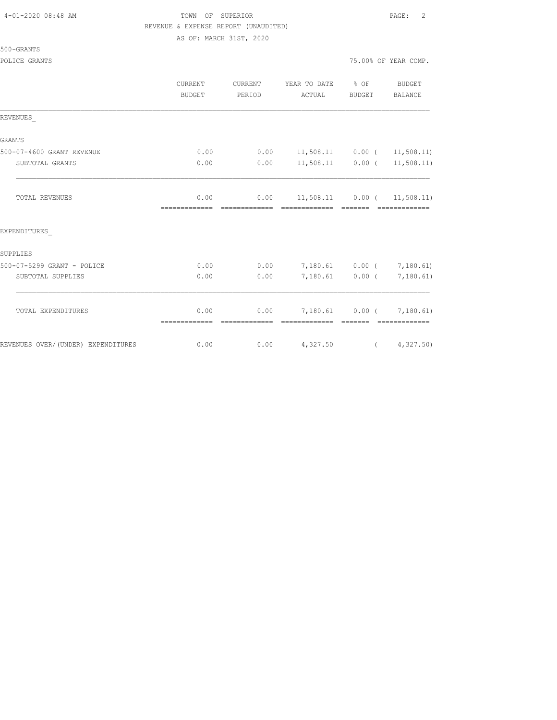### 4-01-2020 08:48 AM TOWN OF SUPERIOR PAGE: 2 REVENUE & EXPENSE REPORT (UNAUDITED) AS OF: MARCH 31ST, 2020

| 500-GRANTS |  |
|------------|--|
|            |  |

|                                    | CURRENT<br><b>BUDGET</b> | CURRENT<br>PERIOD      | YEAR TO DATE<br>ACTUAL                          | $\frac{1}{6}$ OF<br>BUDGET | <b>BUDGET</b><br>BALANCE |
|------------------------------------|--------------------------|------------------------|-------------------------------------------------|----------------------------|--------------------------|
| REVENUES                           |                          |                        |                                                 |                            |                          |
| <b>GRANTS</b>                      |                          |                        |                                                 |                            |                          |
| 500-07-4600 GRANT REVENUE          | 0.00                     | 0.00                   | 11,508.11                                       |                            | $0.00$ ( 11,508.11)      |
| SUBTOTAL GRANTS                    | 0.00                     | 0.00                   | 11,508.11                                       |                            | $0.00$ ( $11,508.11$ )   |
| <b>TOTAL REVENUES</b>              | 0.00                     | 0.00<br>-------------- | $11,508.11$ 0.00 ( 11,508.11)<br>-------------- | --------                   |                          |
| EXPENDITURES                       |                          |                        |                                                 |                            |                          |
| SUPPLIES                           |                          |                        |                                                 |                            |                          |
| 500-07-5299 GRANT - POLICE         | 0.00                     | 0.00                   | 7,180.61                                        |                            | $0.00$ ( $7,180.61$ )    |
| SUBTOTAL SUPPLIES                  | 0.00                     | 0.00                   | 7,180.61                                        |                            | $0.00$ ( $7,180.61$ )    |
| TOTAL EXPENDITURES                 | 0.00                     | 0.00                   | 7,180.61 0.00 ( 7,180.61)                       |                            |                          |
| REVENUES OVER/(UNDER) EXPENDITURES | 0.00                     | 0.00                   | 4,327.50                                        | $\overline{a}$             | 4,327.50                 |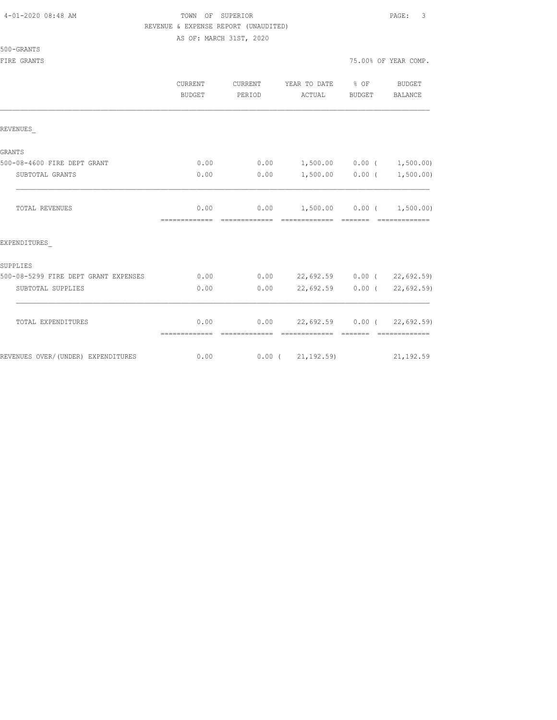| 4-01-2020 08:48 AM |  |  |
|--------------------|--|--|
|--------------------|--|--|

500-GRANTS

# TOWN OF SUPERIOR **Example 2010** PAGE: 3 REVENUE & EXPENSE REPORT (UNAUDITED)

AS OF: MARCH 31ST, 2020

FIRE GRANTS **FIRE GRANTS FIRE GRANTS** *TS.00% OF YEAR COMP.* 

|                                      | <b>CURRENT</b><br><b>BUDGET</b> | CURRENT<br>PERIOD | YEAR TO DATE % OF<br>ACTUAL                                    | BUDGET | <b>BUDGET</b><br>BALANCE                                                                                                                                                                                                                                                                                                                                                                                                                                                               |
|--------------------------------------|---------------------------------|-------------------|----------------------------------------------------------------|--------|----------------------------------------------------------------------------------------------------------------------------------------------------------------------------------------------------------------------------------------------------------------------------------------------------------------------------------------------------------------------------------------------------------------------------------------------------------------------------------------|
| REVENUES                             |                                 |                   |                                                                |        |                                                                                                                                                                                                                                                                                                                                                                                                                                                                                        |
| <b>GRANTS</b>                        |                                 |                   |                                                                |        |                                                                                                                                                                                                                                                                                                                                                                                                                                                                                        |
| 500-08-4600 FIRE DEPT GRANT          | 0.00                            |                   | $0.00$ 1,500.00 0.00 ( 1,500.00)                               |        |                                                                                                                                                                                                                                                                                                                                                                                                                                                                                        |
| SUBTOTAL GRANTS                      | 0.00                            |                   | $0.00$ 1,500.00 0.00 ( 1,500.00)                               |        |                                                                                                                                                                                                                                                                                                                                                                                                                                                                                        |
| <b>TOTAL REVENUES</b>                | 0.00<br>=============           |                   | $0.00$ 1,500.00 0.00 ( 1,500.00)<br>=============              |        |                                                                                                                                                                                                                                                                                                                                                                                                                                                                                        |
| EXPENDITURES                         |                                 |                   |                                                                |        |                                                                                                                                                                                                                                                                                                                                                                                                                                                                                        |
| SUPPLIES                             |                                 |                   |                                                                |        |                                                                                                                                                                                                                                                                                                                                                                                                                                                                                        |
| 500-08-5299 FIRE DEPT GRANT EXPENSES | 0.00                            |                   | $0.00$ 22,692.59 0.00 ( 22,692.59)                             |        |                                                                                                                                                                                                                                                                                                                                                                                                                                                                                        |
| SUBTOTAL SUPPLIES                    | 0.00                            | 0.00              | $22,692.59$ 0.00 (                                             |        | 22,692.59)                                                                                                                                                                                                                                                                                                                                                                                                                                                                             |
| TOTAL EXPENDITURES                   | 0.00<br>=============           | -------------     | $0.00$ 22,692.59 $0.00$ ( 22,692.59)<br>============== ======= |        | $\begin{array}{cccccccccccccc} \multicolumn{2}{c}{} & \multicolumn{2}{c}{} & \multicolumn{2}{c}{} & \multicolumn{2}{c}{} & \multicolumn{2}{c}{} & \multicolumn{2}{c}{} & \multicolumn{2}{c}{} & \multicolumn{2}{c}{} & \multicolumn{2}{c}{} & \multicolumn{2}{c}{} & \multicolumn{2}{c}{} & \multicolumn{2}{c}{} & \multicolumn{2}{c}{} & \multicolumn{2}{c}{} & \multicolumn{2}{c}{} & \multicolumn{2}{c}{} & \multicolumn{2}{c}{} & \multicolumn{2}{c}{} & \multicolumn{2}{c}{} & \$ |
| REVENUES OVER/(UNDER) EXPENDITURES   | 0.00                            |                   | $0.00$ ( $21,192.59$ ) 21,192.59                               |        |                                                                                                                                                                                                                                                                                                                                                                                                                                                                                        |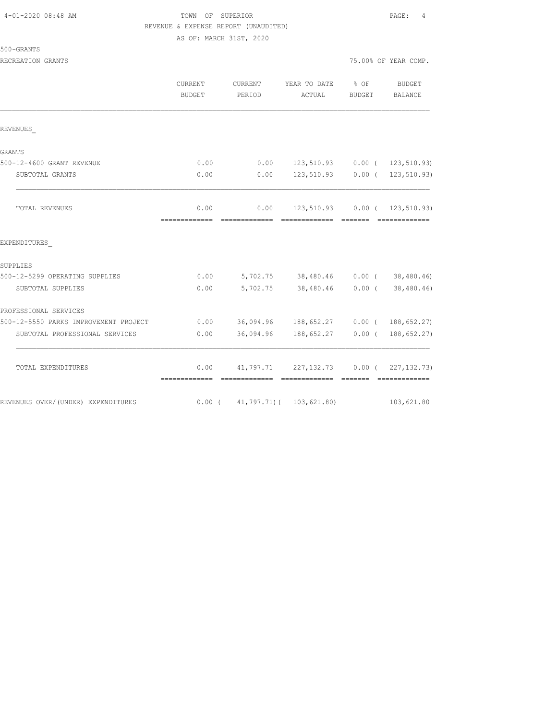## TOWN OF SUPERIOR **PAGE:** 4 REVENUE & EXPENSE REPORT (UNAUDITED) AS OF: MARCH 31ST, 2020

| RECREATION GRANTS                     |                       |                   |                                                       |                                                                                                                                                                                                                                                                                                                                                                                                                                                                                        | 75.00% OF YEAR COMP. |
|---------------------------------------|-----------------------|-------------------|-------------------------------------------------------|----------------------------------------------------------------------------------------------------------------------------------------------------------------------------------------------------------------------------------------------------------------------------------------------------------------------------------------------------------------------------------------------------------------------------------------------------------------------------------------|----------------------|
|                                       | CURRENT<br>BUDGET     | CURRENT<br>PERIOD | YEAR TO DATE % OF<br>ACTUAL                           | BUDGET                                                                                                                                                                                                                                                                                                                                                                                                                                                                                 | BUDGET<br>BALANCE    |
|                                       |                       |                   |                                                       |                                                                                                                                                                                                                                                                                                                                                                                                                                                                                        |                      |
| REVENUES                              |                       |                   |                                                       |                                                                                                                                                                                                                                                                                                                                                                                                                                                                                        |                      |
| GRANTS                                |                       |                   |                                                       |                                                                                                                                                                                                                                                                                                                                                                                                                                                                                        |                      |
| 500-12-4600 GRANT REVENUE             | 0.00                  | 0.00              | 123,510.93 0.00 ( 123,510.93)                         |                                                                                                                                                                                                                                                                                                                                                                                                                                                                                        |                      |
| SUBTOTAL GRANTS                       | 0.00                  | 0.00              | 123,510.93 0.00 ( 123,510.93)                         |                                                                                                                                                                                                                                                                                                                                                                                                                                                                                        |                      |
|                                       |                       |                   |                                                       |                                                                                                                                                                                                                                                                                                                                                                                                                                                                                        |                      |
| TOTAL REVENUES                        | 0.00<br>============= | =============     | $0.00$ 123,510.93 0.00 ( 123,510.93)<br>============= | $\begin{array}{cccccccccc} \multicolumn{2}{c}{} & \multicolumn{2}{c}{} & \multicolumn{2}{c}{} & \multicolumn{2}{c}{} & \multicolumn{2}{c}{} & \multicolumn{2}{c}{} & \multicolumn{2}{c}{} & \multicolumn{2}{c}{} & \multicolumn{2}{c}{} & \multicolumn{2}{c}{} & \multicolumn{2}{c}{} & \multicolumn{2}{c}{} & \multicolumn{2}{c}{} & \multicolumn{2}{c}{} & \multicolumn{2}{c}{} & \multicolumn{2}{c}{} & \multicolumn{2}{c}{} & \multicolumn{2}{c}{} & \multicolumn{2}{c}{} & \mult$ |                      |
| EXPENDITURES                          |                       |                   |                                                       |                                                                                                                                                                                                                                                                                                                                                                                                                                                                                        |                      |
| SUPPLIES                              |                       |                   |                                                       |                                                                                                                                                                                                                                                                                                                                                                                                                                                                                        |                      |
| 500-12-5299 OPERATING SUPPLIES        | 0.00                  |                   | 5,702.75 38,480.46 0.00 (38,480.46)                   |                                                                                                                                                                                                                                                                                                                                                                                                                                                                                        |                      |
| SUBTOTAL SUPPLIES                     | 0.00                  |                   | 5,702.75 38,480.46 0.00 (38,480.46)                   |                                                                                                                                                                                                                                                                                                                                                                                                                                                                                        |                      |
| PROFESSIONAL SERVICES                 |                       |                   |                                                       |                                                                                                                                                                                                                                                                                                                                                                                                                                                                                        |                      |
| 500-12-5550 PARKS IMPROVEMENT PROJECT | 0.00                  |                   | 36,094.96 188,652.27 0.00 ( 188,652.27)               |                                                                                                                                                                                                                                                                                                                                                                                                                                                                                        |                      |
| CUPEOLI POOLS INTEGRATION LABORA      |                       |                   |                                                       |                                                                                                                                                                                                                                                                                                                                                                                                                                                                                        |                      |

| SUBTOTAL PROFESSIONAL SERVICES     | 0.00  | 36,094.96 | 188,652.27              | $0.00$ ( | 188,652.27)   |
|------------------------------------|-------|-----------|-------------------------|----------|---------------|
| TOTAL EXPENDITURES                 | 0.00  | 41,797.71 | 227,132.73              | $0.00$ ( | 227, 132, 73) |
|                                    |       |           |                         |          |               |
| REVENUES OVER/(UNDER) EXPENDITURES | 0.00( |           | 41,797.71)( 103,621.80) |          | 103,621.80    |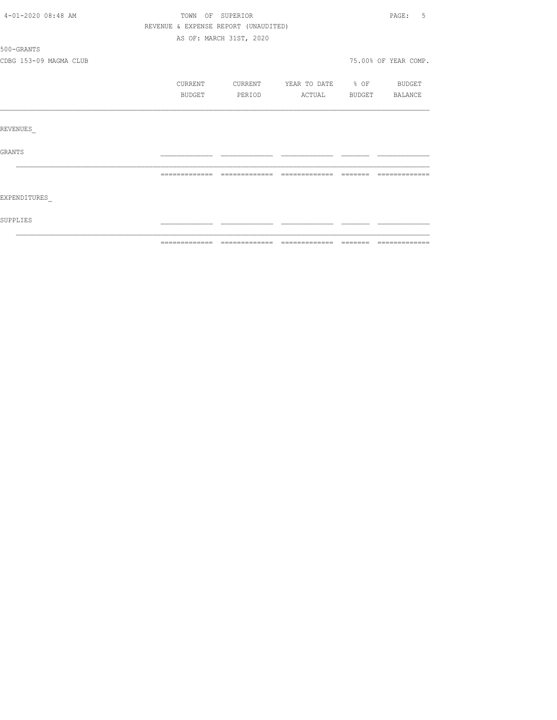| 4-01-2020 08:48 AM     | TOWN OF SUPERIOR                     |                         |                          | PAGE: 5              |
|------------------------|--------------------------------------|-------------------------|--------------------------|----------------------|
|                        | REVENUE & EXPENSE REPORT (UNAUDITED) |                         |                          |                      |
|                        |                                      | AS OF: MARCH 31ST, 2020 |                          |                      |
| 500-GRANTS             |                                      |                         |                          |                      |
| CDBG 153-09 MAGMA CLUB |                                      |                         |                          | 75.00% OF YEAR COMP. |
|                        | CURRENT                              | CURRENT                 | YEAR TO DATE % OF BUDGET |                      |
|                        | BUDGET                               | PERIOD                  | ACTUAL                   | BUDGET BALANCE       |
|                        |                                      |                         |                          |                      |
| REVENUES               |                                      |                         |                          |                      |
| <b>GRANTS</b>          |                                      |                         |                          |                      |
|                        |                                      |                         |                          |                      |
| EXPENDITURES           |                                      |                         |                          |                      |
| SUPPLIES               |                                      |                         |                          |                      |
|                        | =============                        | --------------          |                          | --------------       |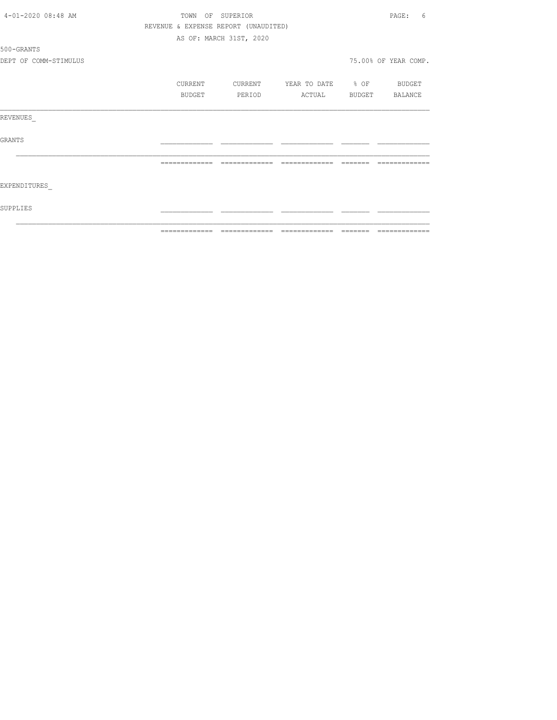|                       |               | =============================        |                   |          | -------------        |
|-----------------------|---------------|--------------------------------------|-------------------|----------|----------------------|
| SUPPLIES              |               |                                      |                   |          |                      |
| EXPENDITURES          |               |                                      |                   |          |                      |
|                       | ============= | =============                        | =============     | -------- | -------------        |
| GRANTS                |               |                                      |                   |          |                      |
| REVENUES              |               |                                      |                   |          |                      |
|                       | BUDGET        | PERIOD                               | ACTUAL            |          | BUDGET BALANCE       |
|                       | CURRENT       | CURRENT                              | YEAR TO DATE % OF |          | BUDGET               |
| DEPT OF COMM-STIMULUS |               |                                      |                   |          | 75.00% OF YEAR COMP. |
| 500-GRANTS            |               |                                      |                   |          |                      |
|                       |               | AS OF: MARCH 31ST, 2020              |                   |          |                      |
|                       |               | REVENUE & EXPENSE REPORT (UNAUDITED) |                   |          |                      |
| 4-01-2020 08:48 AM    |               | TOWN OF SUPERIOR                     |                   |          | PAGE:<br>6           |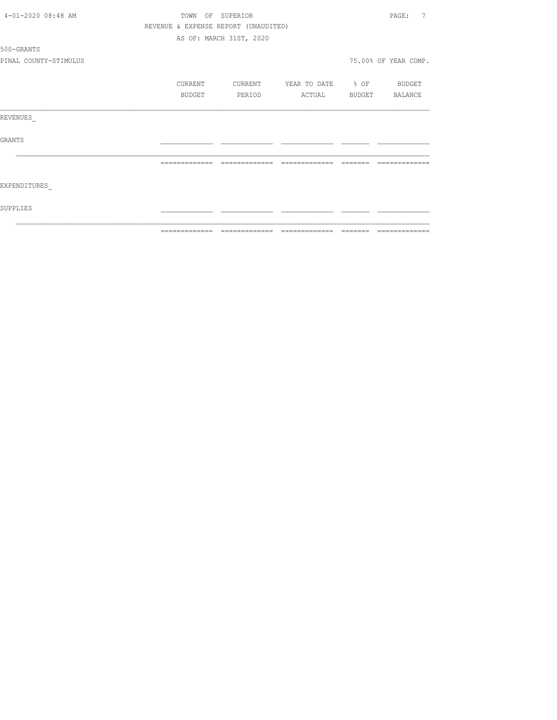|                       |               |                                      |                          |                                                                                                                                                                                                                                                                                                                                                                                                                                                                                           | - =============      |
|-----------------------|---------------|--------------------------------------|--------------------------|-------------------------------------------------------------------------------------------------------------------------------------------------------------------------------------------------------------------------------------------------------------------------------------------------------------------------------------------------------------------------------------------------------------------------------------------------------------------------------------------|----------------------|
| SUPPLIES              |               |                                      |                          |                                                                                                                                                                                                                                                                                                                                                                                                                                                                                           |                      |
| EXPENDITURES          |               |                                      |                          |                                                                                                                                                                                                                                                                                                                                                                                                                                                                                           |                      |
|                       | ============= | =============                        | =============            | $\qquad \qquad =\qquad \qquad =\qquad \qquad =\qquad \qquad =\qquad \qquad =\qquad \qquad =\qquad \qquad =\qquad \qquad =\qquad \qquad =\qquad \qquad =\qquad \qquad =\qquad \qquad =\qquad \qquad =\qquad \qquad =\qquad \qquad =\qquad \qquad =\qquad \qquad =\qquad \qquad =\qquad \qquad =\qquad \qquad =\qquad \qquad =\qquad \qquad =\qquad \qquad =\qquad \qquad =\qquad \qquad =\qquad \qquad =\qquad \qquad =\qquad \qquad =\qquad \qquad =\qquad \qquad =\qquad \qquad =\qquad$ |                      |
| GRANTS                |               |                                      |                          |                                                                                                                                                                                                                                                                                                                                                                                                                                                                                           |                      |
| REVENUES              |               |                                      |                          |                                                                                                                                                                                                                                                                                                                                                                                                                                                                                           |                      |
|                       | BUDGET        | PERIOD                               | ACTUAL BUDGET BALANCE    |                                                                                                                                                                                                                                                                                                                                                                                                                                                                                           |                      |
|                       | CURRENT       | CURRENT                              | YEAR TO DATE % OF BUDGET |                                                                                                                                                                                                                                                                                                                                                                                                                                                                                           |                      |
| PINAL COUNTY-STIMULUS |               |                                      |                          |                                                                                                                                                                                                                                                                                                                                                                                                                                                                                           | 75.00% OF YEAR COMP. |
| 500-GRANTS            |               |                                      |                          |                                                                                                                                                                                                                                                                                                                                                                                                                                                                                           |                      |
|                       |               | AS OF: MARCH 31ST, 2020              |                          |                                                                                                                                                                                                                                                                                                                                                                                                                                                                                           |                      |
|                       |               | REVENUE & EXPENSE REPORT (UNAUDITED) |                          |                                                                                                                                                                                                                                                                                                                                                                                                                                                                                           |                      |
| 4-01-2020 08:48 AM    |               | TOWN OF SUPERIOR                     |                          |                                                                                                                                                                                                                                                                                                                                                                                                                                                                                           | 7<br>PAGE:           |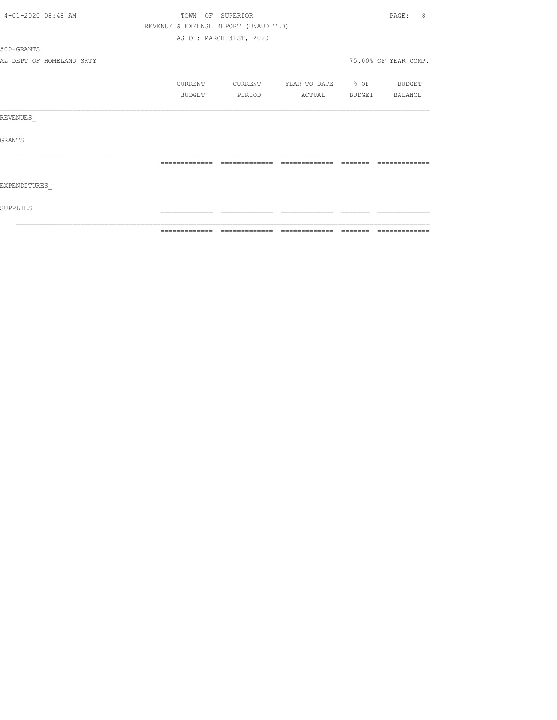| 4-01-2020 08:48 AM       | TOWN           | OF SUPERIOR                          |                   |          | PAGE:<br>8           |
|--------------------------|----------------|--------------------------------------|-------------------|----------|----------------------|
|                          |                | REVENUE & EXPENSE REPORT (UNAUDITED) |                   |          |                      |
|                          |                | AS OF: MARCH 31ST, 2020              |                   |          |                      |
| 500-GRANTS               |                |                                      |                   |          |                      |
| AZ DEPT OF HOMELAND SRTY |                |                                      |                   |          | 75.00% OF YEAR COMP. |
|                          | CURRENT        | CURRENT                              | YEAR TO DATE % OF |          | BUDGET               |
|                          | BUDGET         | PERIOD                               | ACTUAL            | BUDGET   | BALANCE              |
| REVENUES                 |                |                                      |                   |          |                      |
| GRANTS                   |                |                                      |                   |          |                      |
|                          | -------------- | --------------                       | =============     | -------- |                      |
| EXPENDITURES             |                |                                      |                   |          |                      |
| SUPPLIES                 |                |                                      |                   |          |                      |
|                          | =============  | =============                        | --------------    | =======  | =============        |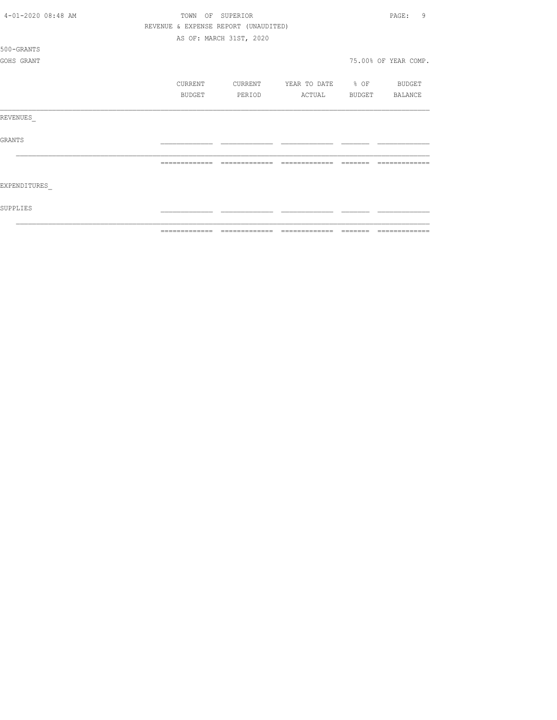| 4-01-2020 08:48 AM | TOWN          | OF SUPERIOR                          |                   |                | 9<br>PAGE:           |
|--------------------|---------------|--------------------------------------|-------------------|----------------|----------------------|
|                    |               | REVENUE & EXPENSE REPORT (UNAUDITED) |                   |                |                      |
|                    |               | AS OF: MARCH 31ST, 2020              |                   |                |                      |
| 500-GRANTS         |               |                                      |                   |                |                      |
| GOHS GRANT         |               |                                      |                   |                | 75.00% OF YEAR COMP. |
|                    |               |                                      |                   |                |                      |
|                    | CURRENT       | CURRENT                              | YEAR TO DATE % OF |                | <b>BUDGET</b>        |
|                    | BUDGET        | PERIOD                               | ACTUAL            | BUDGET BALANCE |                      |
|                    |               |                                      |                   |                |                      |
| REVENUES           |               |                                      |                   |                |                      |
|                    |               |                                      |                   |                |                      |
| <b>GRANTS</b>      |               |                                      |                   |                |                      |
|                    |               |                                      |                   |                |                      |
|                    |               |                                      |                   |                |                      |
| EXPENDITURES       |               |                                      |                   |                |                      |
|                    |               |                                      |                   |                |                      |
| SUPPLIES           |               |                                      |                   |                |                      |
|                    |               |                                      |                   |                |                      |
|                    | _____________ |                                      |                   |                |                      |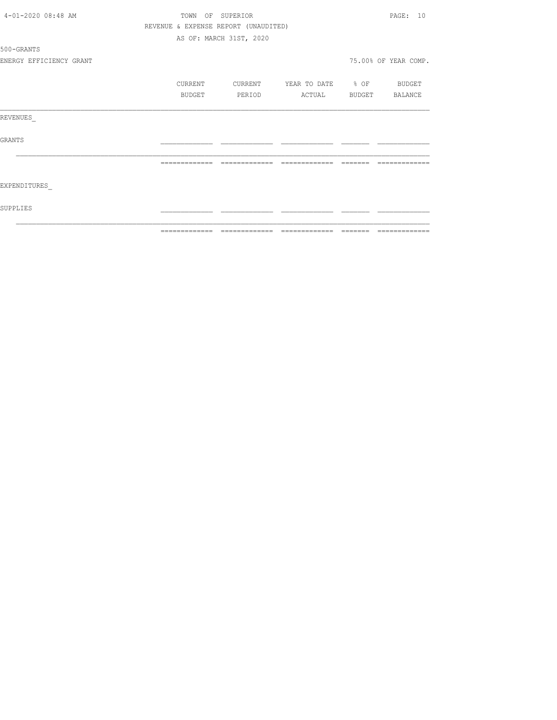|                         |         |                                      |                          |         | - =============      |
|-------------------------|---------|--------------------------------------|--------------------------|---------|----------------------|
| SUPPLIES                |         |                                      |                          |         |                      |
| EXPENDITURES            |         |                                      |                          |         |                      |
|                         |         |                                      |                          | _______ | -------------        |
| GRANTS                  |         |                                      |                          |         |                      |
| REVENUES                |         |                                      |                          |         |                      |
|                         | BUDGET  | PERIOD                               | ACTUAL                   |         | BUDGET BALANCE       |
|                         | CURRENT | CURRENT                              | YEAR TO DATE % OF BUDGET |         |                      |
| ENERGY EFFICIENCY GRANT |         |                                      |                          |         | 75.00% OF YEAR COMP. |
| 500-GRANTS              |         |                                      |                          |         |                      |
|                         |         | AS OF: MARCH 31ST, 2020              |                          |         |                      |
|                         |         | REVENUE & EXPENSE REPORT (UNAUDITED) |                          |         |                      |
| 4-01-2020 08:48 AM      |         | TOWN OF SUPERIOR                     |                          |         | PAGE: 10             |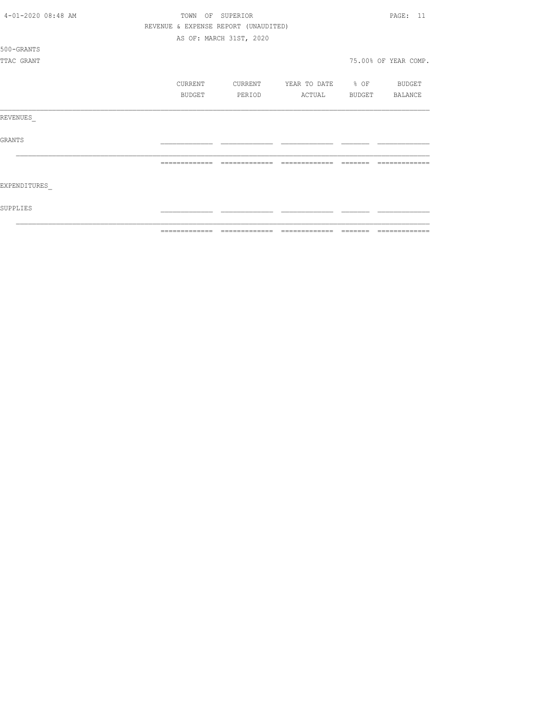|                    | ============= | $\qquad \qquad \equiv \equiv \equiv \equiv \equiv \equiv \equiv$ |                          | =============        |
|--------------------|---------------|------------------------------------------------------------------|--------------------------|----------------------|
| SUPPLIES           |               |                                                                  |                          |                      |
| EXPENDITURES       |               |                                                                  |                          |                      |
|                    |               | =============                                                    | =============            |                      |
| <b>GRANTS</b>      |               |                                                                  |                          |                      |
| REVENUES           |               |                                                                  |                          |                      |
|                    | BUDGET        | PERIOD                                                           | ACTUAL                   | BUDGET BALANCE       |
|                    | CURRENT       | CURRENT                                                          | YEAR TO DATE % OF BUDGET |                      |
| TTAC GRANT         |               |                                                                  |                          | 75.00% OF YEAR COMP. |
| 500-GRANTS         |               |                                                                  |                          |                      |
|                    |               | AS OF: MARCH 31ST, 2020                                          |                          |                      |
|                    |               | REVENUE & EXPENSE REPORT (UNAUDITED)                             |                          |                      |
| 4-01-2020 08:48 AM | TOWN          | OF SUPERIOR                                                      |                          | PAGE: 11             |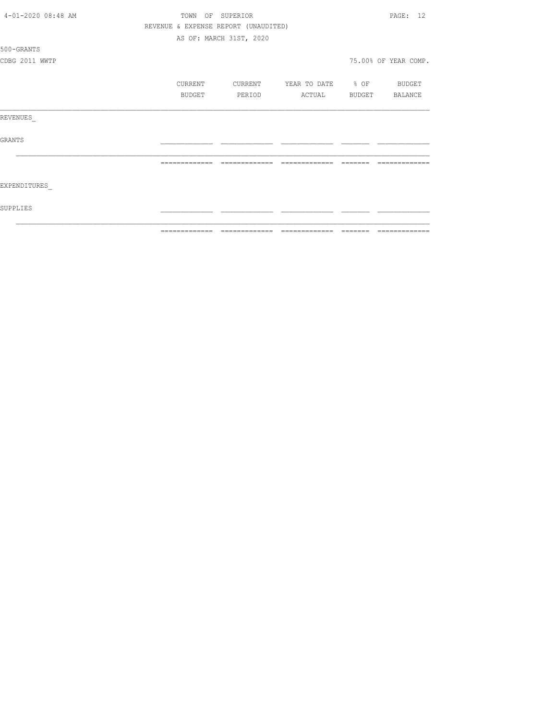| 4-01-2020 08:48 AM | TOWN<br>ΟF    | SUPERIOR                             |                   |         | PAGE: 12             |
|--------------------|---------------|--------------------------------------|-------------------|---------|----------------------|
|                    |               | REVENUE & EXPENSE REPORT (UNAUDITED) |                   |         |                      |
|                    |               | AS OF: MARCH 31ST, 2020              |                   |         |                      |
| 500-GRANTS         |               |                                      |                   |         |                      |
| CDBG 2011 WWTP     |               |                                      |                   |         | 75.00% OF YEAR COMP. |
|                    | CURRENT       | CURRENT                              | YEAR TO DATE % OF |         | BUDGET               |
|                    | BUDGET        | PERIOD                               | ACTUAL            | BUDGET  | BALANCE              |
| REVENUES           |               |                                      |                   |         |                      |
| <b>GRANTS</b>      |               |                                      |                   |         |                      |
|                    |               |                                      |                   |         |                      |
| EXPENDITURES       |               |                                      |                   |         |                      |
| SUPPLIES           |               |                                      |                   |         |                      |
|                    | ============= |                                      |                   | ======= | =============        |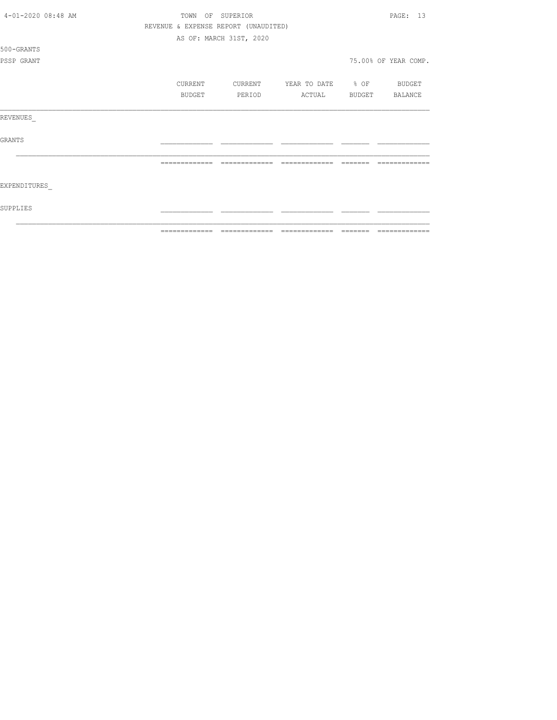|                    | ============= | ======                               |                          | ======= | =============        |
|--------------------|---------------|--------------------------------------|--------------------------|---------|----------------------|
| SUPPLIES           |               |                                      |                          |         |                      |
| EXPENDITURES       |               |                                      |                          |         |                      |
|                    |               | =============                        | =============            |         |                      |
| <b>GRANTS</b>      |               |                                      |                          |         |                      |
| REVENUES           |               |                                      |                          |         |                      |
|                    | BUDGET        | PERIOD                               | ACTUAL                   |         | BUDGET BALANCE       |
|                    | CURRENT       | CURRENT                              | YEAR TO DATE % OF BUDGET |         |                      |
| PSSP GRANT         |               |                                      |                          |         | 75.00% OF YEAR COMP. |
| 500-GRANTS         |               |                                      |                          |         |                      |
|                    |               | AS OF: MARCH 31ST, 2020              |                          |         |                      |
|                    |               | REVENUE & EXPENSE REPORT (UNAUDITED) |                          |         |                      |
| 4-01-2020 08:48 AM | TOWN          | OF SUPERIOR                          |                          |         | <b>PAGE: 13</b>      |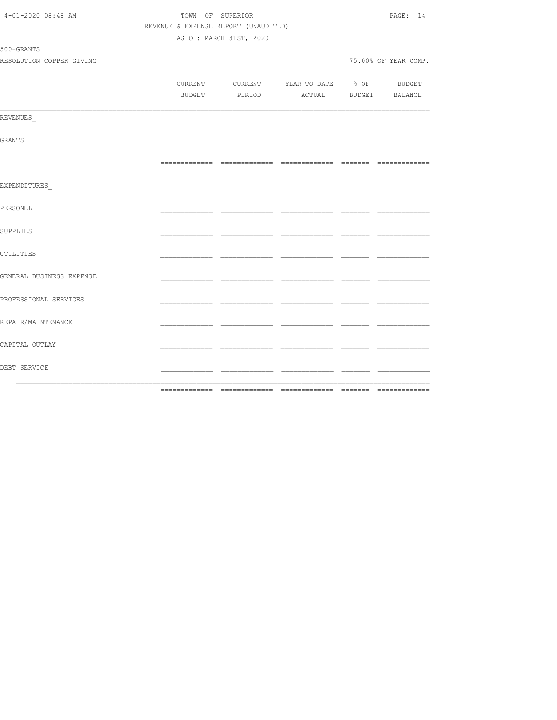| 4-01-2020 08:48 AM       | REVENUE & EXPENSE REPORT (UNAUDITED) | TOWN OF SUPERIOR        |                                          |                                | PAGE: 14             |
|--------------------------|--------------------------------------|-------------------------|------------------------------------------|--------------------------------|----------------------|
|                          |                                      | AS OF: MARCH 31ST, 2020 |                                          |                                |                      |
| 500-GRANTS               |                                      |                         |                                          |                                |                      |
| RESOLUTION COPPER GIVING |                                      |                         |                                          |                                | 75.00% OF YEAR COMP. |
|                          |                                      |                         |                                          |                                |                      |
|                          |                                      |                         | CURRENT CURRENT YEAR TO DATE % OF BUDGET |                                |                      |
|                          |                                      |                         | BUDGET PERIOD ACTUAL BUDGET BALANCE      |                                |                      |
| REVENUES                 |                                      |                         |                                          |                                |                      |
|                          |                                      |                         |                                          |                                |                      |
| GRANTS                   |                                      |                         |                                          | <u>ando a componente do se</u> |                      |
|                          |                                      |                         |                                          |                                |                      |
| EXPENDITURES             |                                      |                         |                                          |                                |                      |
| PERSONEL                 |                                      |                         |                                          |                                |                      |
| SUPPLIES                 |                                      |                         |                                          |                                |                      |
| UTILITIES                |                                      | سندار سد                |                                          |                                |                      |
| GENERAL BUSINESS EXPENSE |                                      |                         |                                          | - -                            |                      |
| PROFESSIONAL SERVICES    |                                      |                         |                                          |                                |                      |
| REPAIR/MAINTENANCE       |                                      |                         |                                          |                                |                      |
| CAPITAL OUTLAY           |                                      |                         | - -                                      | - -                            |                      |
| DEBT SERVICE             |                                      |                         |                                          | - --                           |                      |
|                          |                                      |                         |                                          |                                |                      |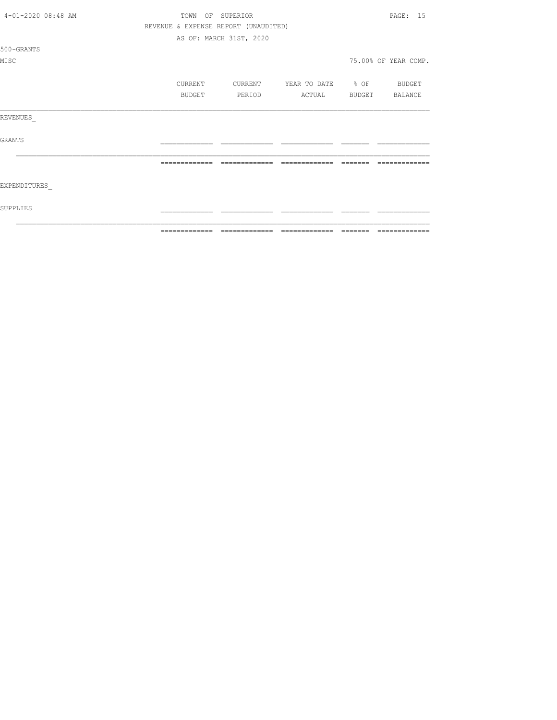| 4-01-2020 08:48 AM | TOWN          | OF SUPERIOR                          |                                  |          | PAGE: 15             |
|--------------------|---------------|--------------------------------------|----------------------------------|----------|----------------------|
|                    |               | REVENUE & EXPENSE REPORT (UNAUDITED) |                                  |          |                      |
|                    |               | AS OF: MARCH 31ST, 2020              |                                  |          |                      |
| 500-GRANTS         |               |                                      |                                  |          |                      |
| MISC               |               |                                      |                                  |          | 75.00% OF YEAR COMP. |
|                    |               |                                      |                                  |          |                      |
|                    | CURRENT       |                                      | CURRENT YEAR TO DATE % OF BUDGET |          |                      |
|                    | BUDGET        | PERIOD                               | ACTUAL BUDGET BALANCE            |          |                      |
| REVENUES           |               |                                      |                                  |          |                      |
| <b>GRANTS</b>      |               |                                      |                                  |          |                      |
|                    | ============= | --------------                       | =============                    | -------- |                      |
| EXPENDITURES       |               |                                      |                                  |          |                      |
| SUPPLIES           |               |                                      |                                  |          |                      |
|                    | ------------- | -------------                        | --------------                   | ________ | -------------        |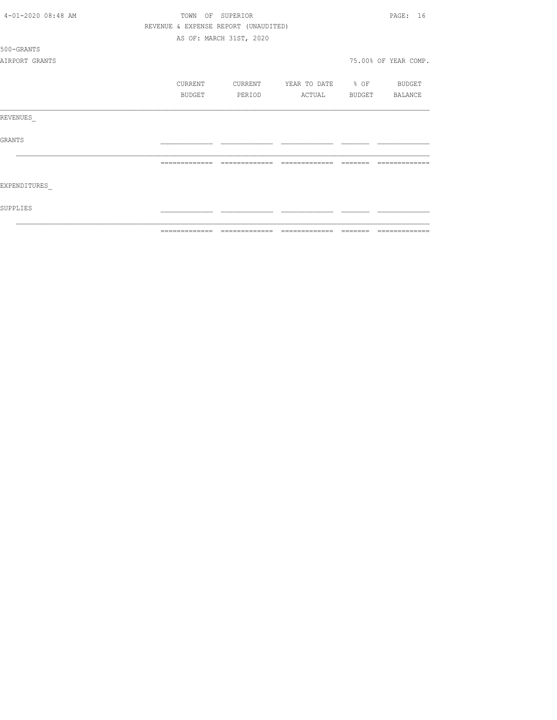| 4-01-2020 08:48 AM | TOWN          |         | OF SUPERIOR                          |                   | PAGE: 16             |
|--------------------|---------------|---------|--------------------------------------|-------------------|----------------------|
|                    |               |         | REVENUE & EXPENSE REPORT (UNAUDITED) |                   |                      |
|                    |               |         | AS OF: MARCH 31ST, 2020              |                   |                      |
| 500-GRANTS         |               |         |                                      |                   |                      |
| AIRPORT GRANTS     |               |         |                                      |                   | 75.00% OF YEAR COMP. |
|                    |               | CURRENT | CURRENT                              | YEAR TO DATE % OF | BUDGET               |
|                    |               | BUDGET  | PERIOD                               | ACTUAL            | BUDGET BALANCE       |
| REVENUES           |               |         |                                      |                   |                      |
| <b>GRANTS</b>      |               |         |                                      |                   |                      |
|                    |               |         |                                      |                   |                      |
| EXPENDITURES       |               |         |                                      |                   |                      |
| SUPPLIES           |               |         |                                      |                   |                      |
|                    | ------------- |         |                                      | --------------    |                      |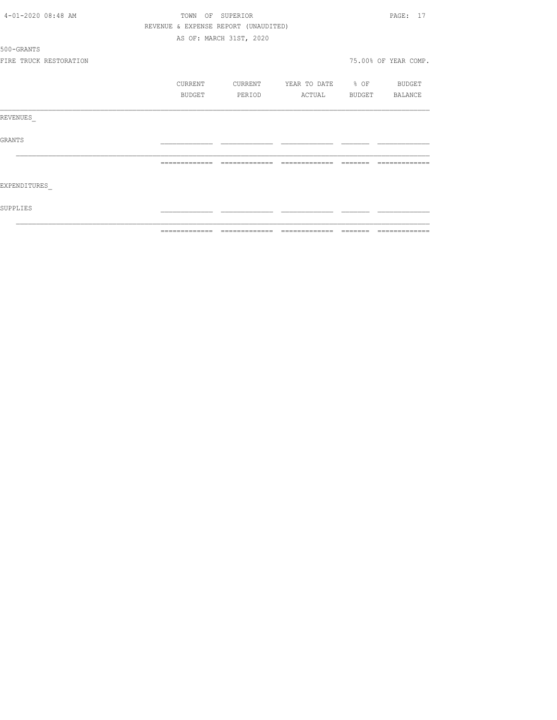| 4-01-2020 08:48 AM     |         | TOWN OF SUPERIOR                     |                          | PAGE: 17                                                                                                                                                                                                                                                                                                                                                                                                                                                                                     |
|------------------------|---------|--------------------------------------|--------------------------|----------------------------------------------------------------------------------------------------------------------------------------------------------------------------------------------------------------------------------------------------------------------------------------------------------------------------------------------------------------------------------------------------------------------------------------------------------------------------------------------|
|                        |         | REVENUE & EXPENSE REPORT (UNAUDITED) |                          |                                                                                                                                                                                                                                                                                                                                                                                                                                                                                              |
|                        |         | AS OF: MARCH 31ST, 2020              |                          |                                                                                                                                                                                                                                                                                                                                                                                                                                                                                              |
| 500-GRANTS             |         |                                      |                          |                                                                                                                                                                                                                                                                                                                                                                                                                                                                                              |
| FIRE TRUCK RESTORATION |         |                                      |                          | 75.00% OF YEAR COMP.                                                                                                                                                                                                                                                                                                                                                                                                                                                                         |
|                        | CURRENT | CURRENT                              | YEAR TO DATE % OF BUDGET |                                                                                                                                                                                                                                                                                                                                                                                                                                                                                              |
|                        | BUDGET  | PERIOD                               | ACTUAL                   | BUDGET BALANCE                                                                                                                                                                                                                                                                                                                                                                                                                                                                               |
| REVENUES               |         |                                      |                          |                                                                                                                                                                                                                                                                                                                                                                                                                                                                                              |
| GRANTS                 |         |                                      |                          |                                                                                                                                                                                                                                                                                                                                                                                                                                                                                              |
|                        |         | =============                        | -------------            |                                                                                                                                                                                                                                                                                                                                                                                                                                                                                              |
| EXPENDITURES           |         |                                      |                          |                                                                                                                                                                                                                                                                                                                                                                                                                                                                                              |
| SUPPLIES               |         |                                      |                          |                                                                                                                                                                                                                                                                                                                                                                                                                                                                                              |
|                        |         |                                      |                          | $\begin{array}{c} \multicolumn{2}{c} {\textbf{1}} & \multicolumn{2}{c} {\textbf{2}} & \multicolumn{2}{c} {\textbf{3}} & \multicolumn{2}{c} {\textbf{4}} \\ \multicolumn{2}{c} {\textbf{5}} & \multicolumn{2}{c} {\textbf{6}} & \multicolumn{2}{c} {\textbf{7}} & \multicolumn{2}{c} {\textbf{8}} & \multicolumn{2}{c} {\textbf{9}} \\ \multicolumn{2}{c} {\textbf{6}} & \multicolumn{2}{c} {\textbf{7}} & \multicolumn{2}{c} {\textbf{8}} & \multicolumn{2}{c} {\textbf{9}} & \multicolumn{$ |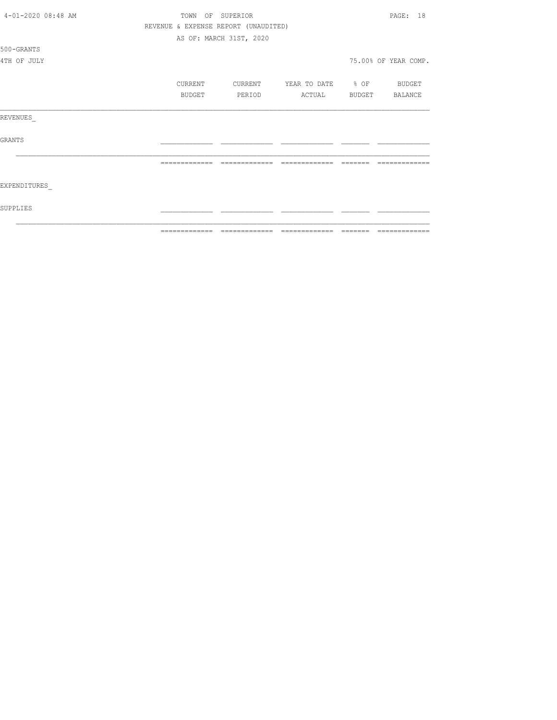|                    | ============= | =====                                |                   |        |                      |
|--------------------|---------------|--------------------------------------|-------------------|--------|----------------------|
| SUPPLIES           |               |                                      |                   |        |                      |
| EXPENDITURES       |               |                                      |                   |        |                      |
|                    |               | -------------                        |                   |        |                      |
| <b>GRANTS</b>      |               |                                      |                   |        |                      |
| REVENUES           |               |                                      |                   |        |                      |
|                    | BUDGET        | PERIOD                               | ACTUAL            | BUDGET | BALANCE              |
|                    | CURRENT       | CURRENT                              | YEAR TO DATE % OF |        | BUDGET               |
| 4TH OF JULY        |               |                                      |                   |        | 75.00% OF YEAR COMP. |
| 500-GRANTS         |               |                                      |                   |        |                      |
|                    |               | AS OF: MARCH 31ST, 2020              |                   |        |                      |
|                    |               | REVENUE & EXPENSE REPORT (UNAUDITED) |                   |        |                      |
| 4-01-2020 08:48 AM | OF<br>TOWN    | SUPERIOR                             |                   |        | PAGE:<br>18          |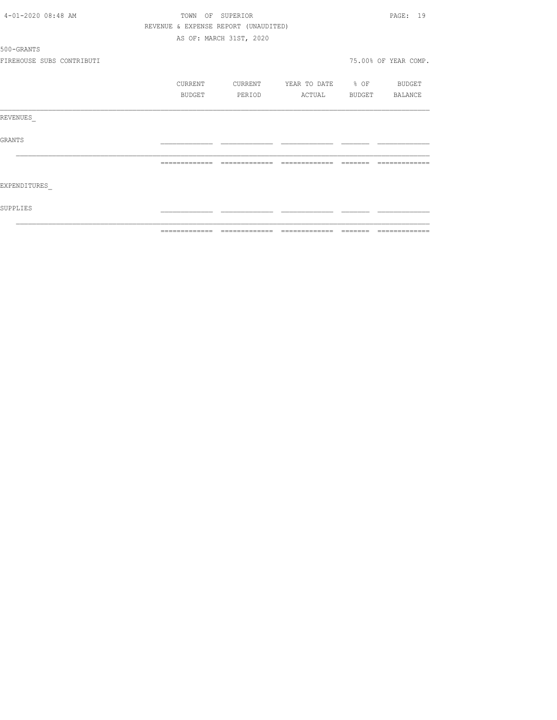| 4-01-2020 08:48 AM        |               | TOWN OF SUPERIOR                     |                          |         | PAGE: 19                                                                                                                                                                                                                                                                                                                                                                                                                                                                                     |
|---------------------------|---------------|--------------------------------------|--------------------------|---------|----------------------------------------------------------------------------------------------------------------------------------------------------------------------------------------------------------------------------------------------------------------------------------------------------------------------------------------------------------------------------------------------------------------------------------------------------------------------------------------------|
|                           |               | REVENUE & EXPENSE REPORT (UNAUDITED) |                          |         |                                                                                                                                                                                                                                                                                                                                                                                                                                                                                              |
|                           |               | AS OF: MARCH 31ST, 2020              |                          |         |                                                                                                                                                                                                                                                                                                                                                                                                                                                                                              |
| 500-GRANTS                |               |                                      |                          |         |                                                                                                                                                                                                                                                                                                                                                                                                                                                                                              |
| FIREHOUSE SUBS CONTRIBUTI |               |                                      |                          |         | 75.00% OF YEAR COMP.                                                                                                                                                                                                                                                                                                                                                                                                                                                                         |
|                           | CURRENT       | CURRENT                              | YEAR TO DATE % OF BUDGET |         |                                                                                                                                                                                                                                                                                                                                                                                                                                                                                              |
|                           | <b>BUDGET</b> | PERIOD                               | ACTUAL                   |         | BUDGET BALANCE                                                                                                                                                                                                                                                                                                                                                                                                                                                                               |
| REVENUES                  |               |                                      |                          |         |                                                                                                                                                                                                                                                                                                                                                                                                                                                                                              |
| GRANTS                    |               |                                      |                          |         |                                                                                                                                                                                                                                                                                                                                                                                                                                                                                              |
|                           | ============= | =============                        | =============            | ------- |                                                                                                                                                                                                                                                                                                                                                                                                                                                                                              |
| EXPENDITURES              |               |                                      |                          |         |                                                                                                                                                                                                                                                                                                                                                                                                                                                                                              |
| SUPPLIES                  |               |                                      |                          |         |                                                                                                                                                                                                                                                                                                                                                                                                                                                                                              |
|                           | ============= | =============                        | =============            | ======= | $\begin{array}{c} \multicolumn{2}{c} {\textbf{1}} & \multicolumn{2}{c} {\textbf{2}} & \multicolumn{2}{c} {\textbf{3}} & \multicolumn{2}{c} {\textbf{4}} \\ \multicolumn{2}{c} {\textbf{5}} & \multicolumn{2}{c} {\textbf{6}} & \multicolumn{2}{c} {\textbf{7}} & \multicolumn{2}{c} {\textbf{8}} & \multicolumn{2}{c} {\textbf{9}} \\ \multicolumn{2}{c} {\textbf{1}} & \multicolumn{2}{c} {\textbf{1}} & \multicolumn{2}{c} {\textbf{1}} & \multicolumn{2}{c} {\textbf{1}} & \multicolumn{$ |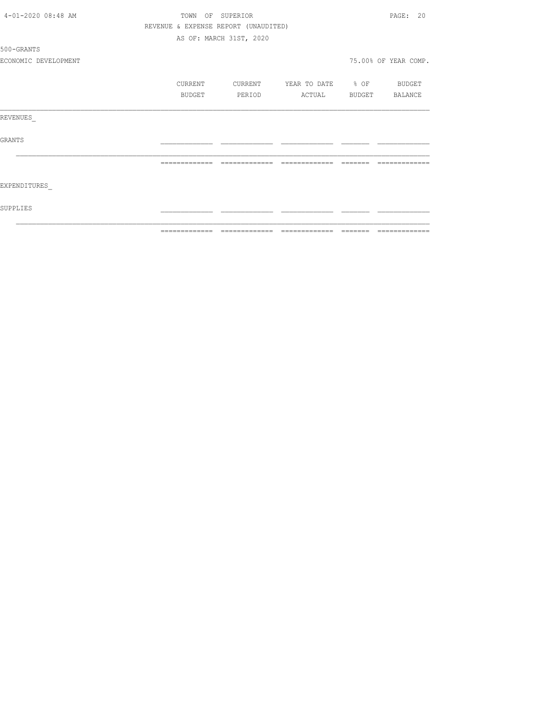|                      |                  |                                      |                          |                 | --------------       |
|----------------------|------------------|--------------------------------------|--------------------------|-----------------|----------------------|
| SUPPLIES             |                  |                                      |                          |                 |                      |
| EXPENDITURES         |                  |                                      |                          |                 |                      |
|                      | =============    | --------------                       | =============            | $- - - - - - -$ |                      |
| GRANTS               |                  |                                      |                          |                 |                      |
| REVENUES             |                  |                                      |                          |                 |                      |
|                      | BUDGET           | PERIOD                               | ACTUAL BUDGET BALANCE    |                 |                      |
|                      | CURRENT          | CURRENT                              | YEAR TO DATE % OF BUDGET |                 |                      |
| ECONOMIC DEVELOPMENT |                  |                                      |                          |                 | 75.00% OF YEAR COMP. |
| 500-GRANTS           |                  |                                      |                          |                 |                      |
|                      |                  | AS OF: MARCH 31ST, 2020              |                          |                 |                      |
|                      |                  | REVENUE & EXPENSE REPORT (UNAUDITED) |                          |                 |                      |
| 4-01-2020 08:48 AM   | TOWN OF SUPERIOR |                                      |                          |                 | PAGE: 20             |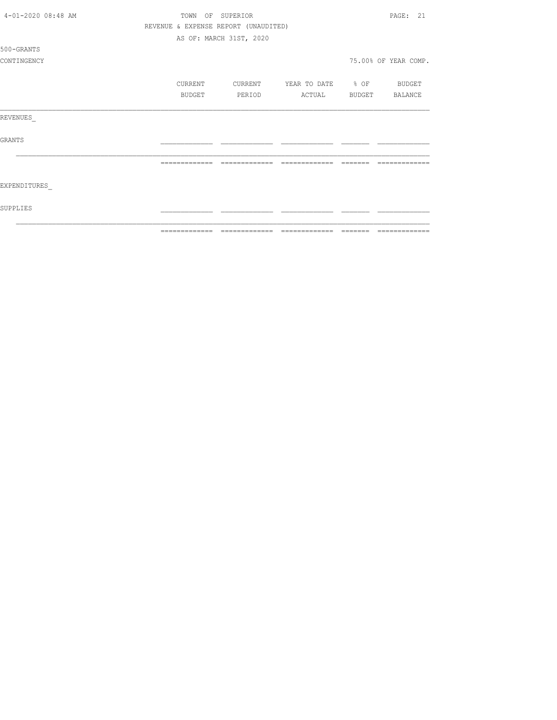| 4-01-2020 08:48 AM | TOWN<br>OF    | SUPERIOR                             |                   |        | PAGE: 21             |
|--------------------|---------------|--------------------------------------|-------------------|--------|----------------------|
|                    |               | REVENUE & EXPENSE REPORT (UNAUDITED) |                   |        |                      |
|                    |               | AS OF: MARCH 31ST, 2020              |                   |        |                      |
| 500-GRANTS         |               |                                      |                   |        |                      |
| CONTINGENCY        |               |                                      |                   |        | 75.00% OF YEAR COMP. |
|                    | CURRENT       | CURRENT                              | YEAR TO DATE % OF |        | BUDGET               |
|                    | BUDGET        | PERIOD                               | ACTUAL            | BUDGET | BALANCE              |
| REVENUES           |               |                                      |                   |        |                      |
| <b>GRANTS</b>      |               |                                      |                   |        |                      |
|                    |               |                                      |                   |        |                      |
| EXPENDITURES       |               |                                      |                   |        |                      |
| SUPPLIES           |               |                                      |                   |        |                      |
|                    | ------------- |                                      | -------------     |        |                      |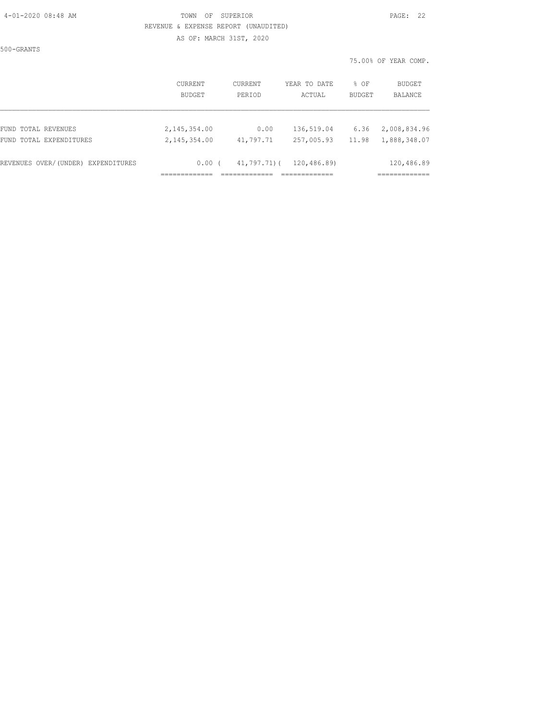500-GRANTS

#### 4-01-2020 08:48 AM TOWN OF SUPERIOR PAGE: 22 REVENUE & EXPENSE REPORT (UNAUDITED) AS OF: MARCH 31ST, 2020

|                                    | CURRENT       | CURRENT         | YEAR TO DATE | % OF          | BUDGET         |
|------------------------------------|---------------|-----------------|--------------|---------------|----------------|
|                                    | <b>BUDGET</b> | PERIOD          | ACTUAL       | <b>BUDGET</b> | <b>BALANCE</b> |
| FUND TOTAL REVENUES                | 2,145,354.00  | 0.00            | 136,519.04   | 6.36          | 2,008,834.96   |
| FUND TOTAL EXPENDITURES            | 2,145,354.00  | 41,797.71       | 257,005.93   | 11.98         | 1,888,348.07   |
| REVENUES OVER/(UNDER) EXPENDITURES | 0.00(         | $41,797.71$ ) ( | 120,486.89)  |               | 120,486.89     |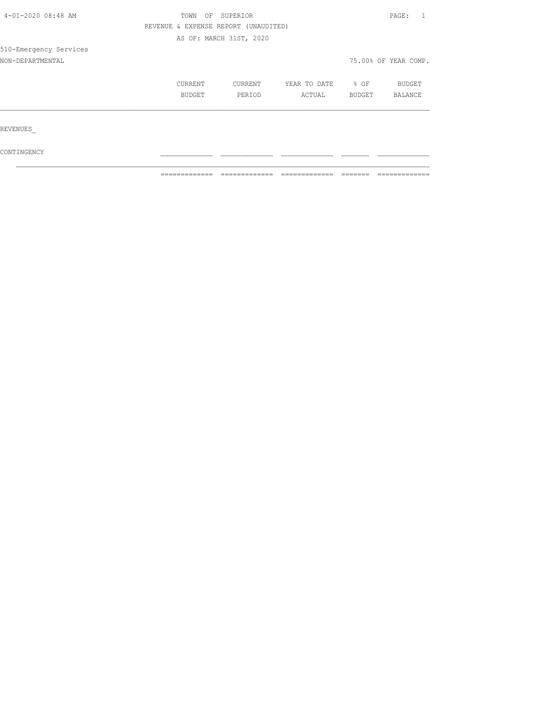| 4-01-2020 08:48 AM     | TOWN<br>OF<br>SUPERIOR               |                         |              |        |                      |
|------------------------|--------------------------------------|-------------------------|--------------|--------|----------------------|
|                        | REVENUE & EXPENSE REPORT (UNAUDITED) |                         |              |        |                      |
|                        |                                      | AS OF: MARCH 31ST, 2020 |              |        |                      |
| 510-Emergency Services |                                      |                         |              |        |                      |
| NON-DEPARTMENTAL       |                                      |                         |              |        | 75.00% OF YEAR COMP. |
|                        | CURRENT                              | CURRENT                 | YEAR TO DATE | % OF   | <b>BUDGET</b>        |
|                        | BUDGET                               | PERIOD                  | ACTUAL       | BUDGET | BALANCE              |
|                        |                                      |                         |              |        |                      |
| REVENUES               |                                      |                         |              |        |                      |
| CONTINGENCY            |                                      |                         |              |        |                      |

 $\mathcal{L}_\text{max}$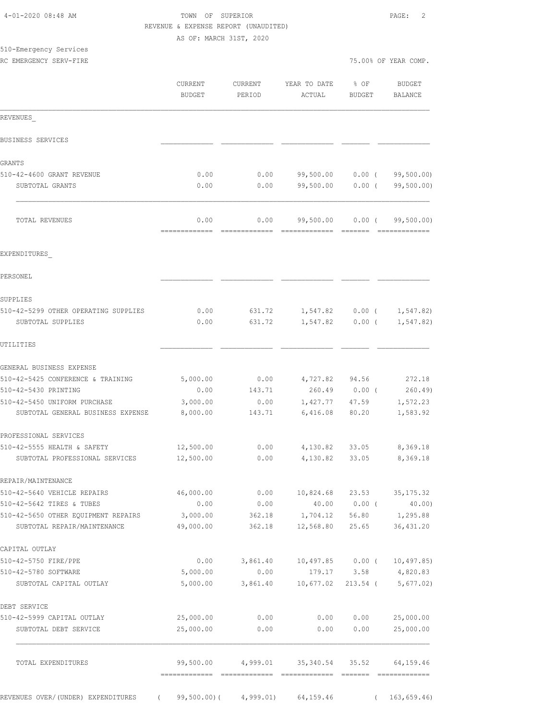|                                 |                                                   |                                                                                               |                               | 75.00% OF YEAR COMP.                                                                                                                                                                                                                 |
|---------------------------------|---------------------------------------------------|-----------------------------------------------------------------------------------------------|-------------------------------|--------------------------------------------------------------------------------------------------------------------------------------------------------------------------------------------------------------------------------------|
| <b>CURRENT</b><br><b>BUDGET</b> | CURRENT<br>PERIOD                                 | YEAR TO DATE<br>ACTUAL                                                                        | % OF<br><b>BUDGET</b>         | BUDGET<br>BALANCE                                                                                                                                                                                                                    |
|                                 |                                                   |                                                                                               |                               |                                                                                                                                                                                                                                      |
|                                 |                                                   |                                                                                               |                               |                                                                                                                                                                                                                                      |
|                                 |                                                   |                                                                                               |                               |                                                                                                                                                                                                                                      |
| 0.00                            | 0.00                                              | 99,500.00                                                                                     |                               | 99,500.00)                                                                                                                                                                                                                           |
| 0.00                            | 0.00                                              | 99,500.00                                                                                     |                               | 99,500.00)                                                                                                                                                                                                                           |
| 0.00                            | 0.00                                              | 99,500.00                                                                                     |                               | 99,500.00)                                                                                                                                                                                                                           |
|                                 |                                                   |                                                                                               |                               |                                                                                                                                                                                                                                      |
|                                 |                                                   |                                                                                               |                               |                                                                                                                                                                                                                                      |
|                                 |                                                   |                                                                                               |                               |                                                                                                                                                                                                                                      |
|                                 |                                                   |                                                                                               |                               | 1, 547.82                                                                                                                                                                                                                            |
| 0.00                            | 631.72                                            | 1,547.82                                                                                      | $0.00$ (                      | 1,547.82)                                                                                                                                                                                                                            |
|                                 |                                                   |                                                                                               |                               |                                                                                                                                                                                                                                      |
|                                 |                                                   |                                                                                               |                               |                                                                                                                                                                                                                                      |
| 5,000.00                        | 0.00                                              |                                                                                               | 94.56                         | 272.18                                                                                                                                                                                                                               |
| 0.00                            | 143.71                                            |                                                                                               |                               | 260.49                                                                                                                                                                                                                               |
| 3,000.00                        | 0.00                                              |                                                                                               | 47.59                         | 1,572.23                                                                                                                                                                                                                             |
|                                 | 143.71                                            |                                                                                               | 80.20                         | 1,583.92                                                                                                                                                                                                                             |
|                                 |                                                   |                                                                                               |                               |                                                                                                                                                                                                                                      |
| 12,500.00                       | 0.00                                              |                                                                                               | 33.05                         | 8,369.18                                                                                                                                                                                                                             |
|                                 |                                                   |                                                                                               |                               | 8,369.18                                                                                                                                                                                                                             |
|                                 |                                                   |                                                                                               |                               |                                                                                                                                                                                                                                      |
| 46,000.00                       | 0.00                                              | 10,824.68                                                                                     | 23.53                         | 35, 175.32                                                                                                                                                                                                                           |
|                                 | 0.00                                              |                                                                                               |                               | 40.00)                                                                                                                                                                                                                               |
| 49,000.00                       | 362.18                                            |                                                                                               | 25.65                         | 1,295.88<br>36, 431.20                                                                                                                                                                                                               |
|                                 |                                                   |                                                                                               |                               |                                                                                                                                                                                                                                      |
| 0.00                            |                                                   |                                                                                               | $0.00$ (                      | 10, 497.85                                                                                                                                                                                                                           |
| 5,000.00                        | 0.00                                              | 179.17                                                                                        | 3.58                          | 4,820.83                                                                                                                                                                                                                             |
| 5,000.00                        | 3,861.40                                          | 10,677.02                                                                                     | $213.54$ (                    | 5,677.02)                                                                                                                                                                                                                            |
|                                 |                                                   |                                                                                               |                               |                                                                                                                                                                                                                                      |
| 25,000.00                       | 0.00                                              | 0.00                                                                                          | 0.00                          | 25,000.00                                                                                                                                                                                                                            |
| 25,000.00                       | 0.00                                              | 0.00                                                                                          | 0.00                          | 25,000.00                                                                                                                                                                                                                            |
| 99,500.00                       | 4,999.01                                          | 35, 340.54                                                                                    | 35.52                         | 64,159.46                                                                                                                                                                                                                            |
|                                 | 0.00<br>8,000.00<br>12,500.00<br>0.00<br>3,000.00 | AS OF: MARCH 31ST, 2020<br>------------ -------------<br>631.72<br>0.00<br>362.18<br>3,861.40 | 6,416.08<br>40.00<br>1,704.12 | REVENUE & EXPENSE REPORT (UNAUDITED)<br>$0.00$ (<br>$0.00$ (<br>$0.00$ (<br>-------<br>1,547.82<br>$0.00$ (<br>4,727.82<br>260.49 0.00 (<br>1,427.77<br>4,130.82<br>4,130.82<br>33.05<br>$0.00$ (<br>56.80<br>12,568.80<br>10,497.85 |

4-01-2020 08:48 AM TOWN OF SUPERIOR PAGE: 2

REVENUES OVER/(UNDER) EXPENDITURES ( 99,500.00)( 4,999.01) 64,159.46 ( 163,659.46)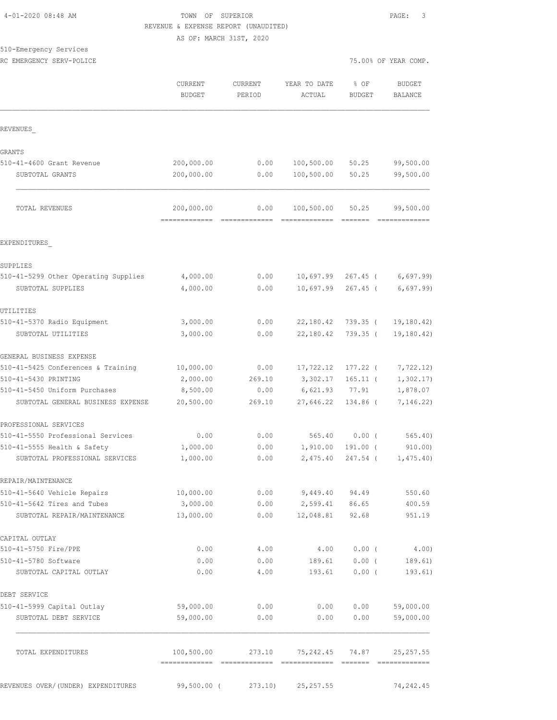#### TOWN OF SUPERIOR **PAGE:** 3 REVENUE & EXPENSE REPORT (UNAUDITED) AS OF: MARCH 31ST, 2020

510-Emergency Services

|                                      | CURRENT<br><b>BUDGET</b>    | <b>CURRENT</b><br>PERIOD | YEAR TO DATE<br>ACTUAL      | % OF<br><b>BUDGET</b> | <b>BUDGET</b><br><b>BALANCE</b> |
|--------------------------------------|-----------------------------|--------------------------|-----------------------------|-----------------------|---------------------------------|
| REVENUES                             |                             |                          |                             |                       |                                 |
| <b>GRANTS</b>                        |                             |                          |                             |                       |                                 |
| 510-41-4600 Grant Revenue            | 200,000.00                  | 0.00                     | 100, 500.00                 | 50.25                 | 99,500.00                       |
| SUBTOTAL GRANTS                      | 200,000.00                  | 0.00                     | 100,500.00                  | 50.25                 | 99,500.00                       |
| TOTAL REVENUES                       | 200,000.00<br>------------- | 0.00                     | 100,500.00<br>============= | 50.25<br>=======      | 99,500.00<br>=============      |
| EXPENDITURES                         |                             |                          |                             |                       |                                 |
| SUPPLIES                             |                             |                          |                             |                       |                                 |
| 510-41-5299 Other Operating Supplies | 4,000.00                    | 0.00                     | 10,697.99                   | $267.45$ (            | 6,697.99                        |
| SUBTOTAL SUPPLIES                    | 4,000.00                    | 0.00                     | 10,697.99                   | $267.45$ (            | 6,697.99)                       |
| UTILITIES                            |                             |                          |                             |                       |                                 |
| 510-41-5370 Radio Equipment          | 3,000.00                    | 0.00                     |                             | 22,180.42 739.35 (    | 19, 180.42                      |
| SUBTOTAL UTILITIES                   | 3,000.00                    | 0.00                     | 22,180.42                   | 739.35 (              | 19, 180.42)                     |
| GENERAL BUSINESS EXPENSE             |                             |                          |                             |                       |                                 |
| 510-41-5425 Conferences & Training   | 10,000.00                   | 0.00                     | 17,722.12                   | 177.22 (              | 7,722.12)                       |
| 510-41-5430 PRINTING                 | 2,000.00                    | 269.10                   | 3,302.17                    | $165.11$ (            | 1, 302.17                       |
| 510-41-5450 Uniform Purchases        | 8,500.00                    | 0.00                     | 6,621.93                    | 77.91                 | 1,878.07                        |
| SUBTOTAL GENERAL BUSINESS EXPENSE    | 20,500.00                   | 269.10                   | 27,646.22                   | 134.86 (              | 7,146.22)                       |
| PROFESSIONAL SERVICES                |                             |                          |                             |                       |                                 |
| 510-41-5550 Professional Services    | 0.00                        | 0.00                     | 565.40                      | 0.00(                 | 565.40                          |
| 510-41-5555 Health & Safety          | 1,000.00                    | 0.00                     | 1,910.00                    | $191.00$ (            | 910.00                          |
| SUBTOTAL PROFESSIONAL SERVICES       | 1,000.00                    | 0.00                     | 2,475.40                    | 247.54 (              | 1,475.40                        |
| REPAIR/MAINTENANCE                   |                             |                          |                             |                       |                                 |
| 510-41-5640 Vehicle Repairs          | 10,000.00                   | 0.00                     | 9,449.40                    | 94.49                 | 550.60                          |
| 510-41-5642 Tires and Tubes          | 3,000.00                    | 0.00                     | 2,599.41                    | 86.65                 | 400.59                          |
| SUBTOTAL REPAIR/MAINTENANCE          | 13,000.00                   | 0.00                     | 12,048.81                   | 92.68                 | 951.19                          |
| CAPITAL OUTLAY                       |                             |                          |                             |                       |                                 |
| 510-41-5750 Fire/PPE                 | 0.00                        | 4.00                     | 4.00                        | $0.00$ (              | 4.00)                           |
| 510-41-5780 Software                 | 0.00                        | 0.00                     | 189.61                      | $0.00$ (              | 189.61)                         |
| SUBTOTAL CAPITAL OUTLAY              | 0.00                        | 4.00                     | 193.61                      | $0.00$ (              | 193.61)                         |
| DEBT SERVICE                         |                             |                          |                             |                       |                                 |
| 510-41-5999 Capital Outlay           | 59,000.00                   | 0.00                     | 0.00                        | 0.00                  | 59,000.00                       |
| SUBTOTAL DEBT SERVICE                | 59,000.00                   | 0.00                     | 0.00                        | 0.00                  | 59,000.00                       |
| TOTAL EXPENDITURES                   | 100,500.00                  | 273.10                   |                             | 75,242.45 74.87       | 25, 257.55                      |
| REVENUES OVER/(UNDER) EXPENDITURES   | 99,500.00 (                 | 273.10)                  | 25, 257.55                  |                       | 74, 242.45                      |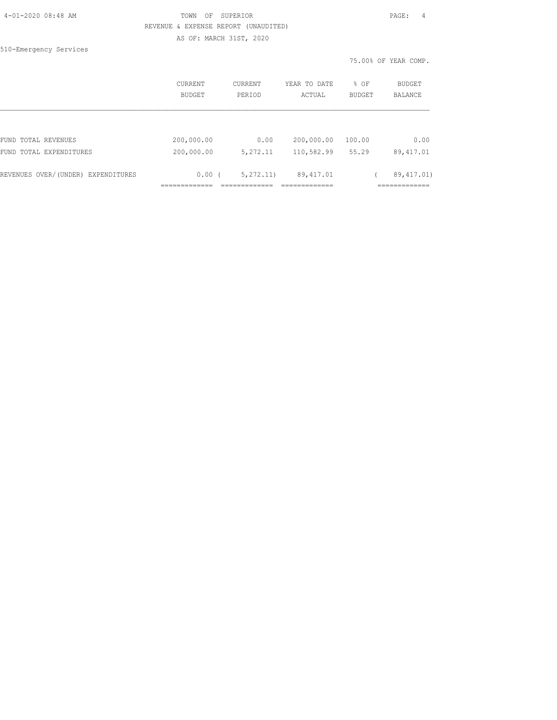| 4-01-2020 08:48 AM |  |
|--------------------|--|
|                    |  |

## TOWN OF SUPERIOR **Example 2010** PAGE: 4 REVENUE & EXPENSE REPORT (UNAUDITED) AS OF: MARCH 31ST, 2020

510-Emergency Services

|                                    | CURRENT<br>BUDGET | CURRENT<br>PERIOD | YEAR TO DATE<br>ACTUAL | % OF<br><b>BUDGET</b> | BUDGET<br><b>BALANCE</b> |
|------------------------------------|-------------------|-------------------|------------------------|-----------------------|--------------------------|
|                                    |                   |                   |                        |                       |                          |
| FUND TOTAL REVENUES                | 200,000.00        | 0.00              | 200,000.00             | 100.00                | 0.00                     |
| FUND TOTAL EXPENDITURES            | 200,000.00        | 5,272.11          | 110,582.99             | 55.29                 | 89, 417.01               |
| REVENUES OVER/(UNDER) EXPENDITURES | 0.00(             | 5, 272, 11)       | 89,417.01              |                       | 89, 417, 01)             |
|                                    |                   |                   |                        |                       | ---------                |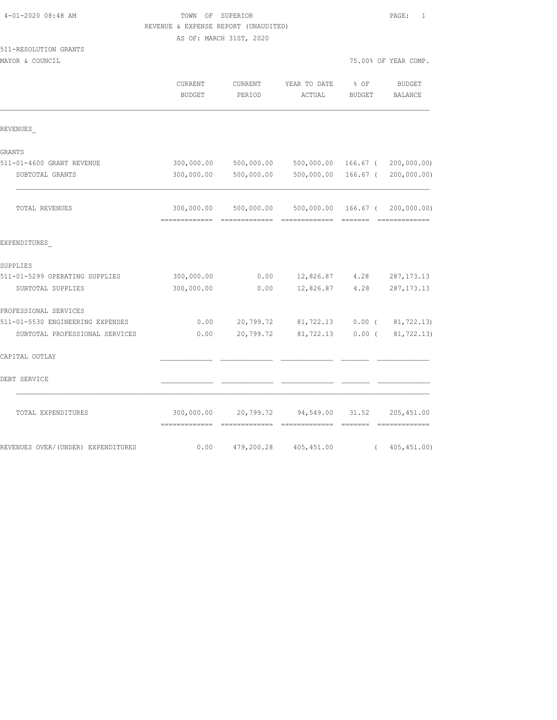|                                          | REVENUE & EXPENSE REPORT (UNAUDITED) |                             |                            |                                 |                             |  |  |
|------------------------------------------|--------------------------------------|-----------------------------|----------------------------|---------------------------------|-----------------------------|--|--|
|                                          | AS OF: MARCH 31ST, 2020              |                             |                            |                                 |                             |  |  |
| 511-RESOLUTION GRANTS<br>MAYOR & COUNCIL |                                      |                             |                            | 75.00% OF YEAR COMP.            |                             |  |  |
|                                          | CURRENT<br><b>BUDGET</b>             | CURRENT<br>PERIOD           | YEAR TO DATE<br>ACTUAL     | % OF<br><b>BUDGET</b>           | <b>BUDGET</b><br>BALANCE    |  |  |
| REVENUES                                 |                                      |                             |                            |                                 |                             |  |  |
| GRANTS                                   |                                      |                             |                            |                                 |                             |  |  |
| 511-01-4600 GRANT REVENUE                | 300,000.00                           | 500,000.00                  | 500,000.00 166.67 (        |                                 | 200,000.00)                 |  |  |
| SUBTOTAL GRANTS                          | 300,000.00                           | 500,000.00                  | 500,000.00                 | 166.67 (                        | 200,000.00)                 |  |  |
| TOTAL REVENUES                           | 300,000.00                           | 500,000.00                  | 500,000.00                 | 166.67 (<br>$=$ $=$ $=$ $=$ $=$ | 200,000.00)                 |  |  |
| EXPENDITURES                             |                                      |                             |                            |                                 |                             |  |  |
| SUPPLIES                                 |                                      |                             |                            |                                 |                             |  |  |
| 511-01-5299 OPERATING SUPPLIES           | 300,000.00                           | 0.00                        | 12,826.87                  | 4.28                            | 287, 173. 13                |  |  |
| SUBTOTAL SUPPLIES                        | 300,000.00                           | 0.00                        | 12,826.87                  | 4.28                            | 287, 173. 13                |  |  |
| PROFESSIONAL SERVICES                    |                                      |                             |                            |                                 |                             |  |  |
| 511-01-5530 ENGINEERING EXPENSES         | 0.00                                 | 20,799.72                   | 81,722.13                  | $0.00$ (                        | 81,722.13)                  |  |  |
| SUBTOTAL PROFESSIONAL SERVICES           | 0.00                                 | 20,799.72                   | 81,722.13                  | $0.00$ (                        | 81,722.13)                  |  |  |
| CAPITAL OUTLAY                           |                                      |                             |                            |                                 |                             |  |  |
| DEBT SERVICE                             |                                      |                             |                            |                                 |                             |  |  |
| TOTAL EXPENDITURES                       | 300,000.00<br>=============          | 20,799.72<br>-------------- | 94,549.00<br>============= | 31.52<br>=======                | 205,451.00<br>------------- |  |  |
| REVENUES OVER/(UNDER) EXPENDITURES       | 0.00                                 | 479,200.28                  | 405, 451.00                | $\left($                        | 405, 451.00                 |  |  |

4-01-2020 08:48 AM TOWN OF SUPERIOR PAGE: 1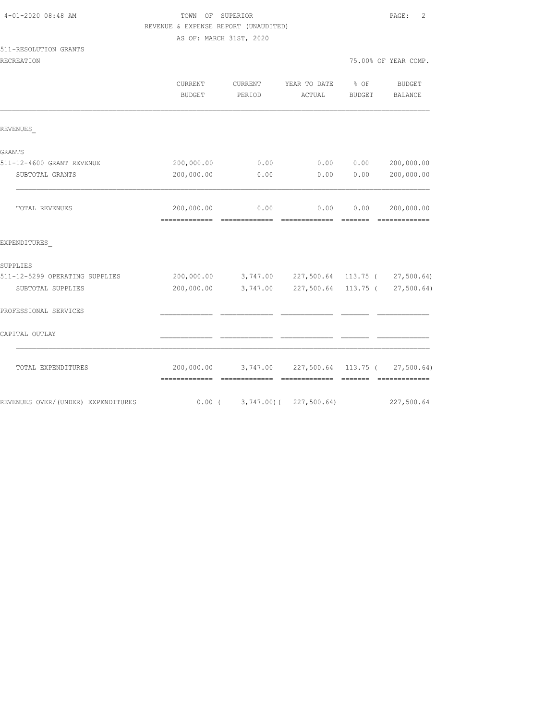|                                     | REVENUE & EXPENSE REPORT (UNAUDITED) |                                                    |              |               |                               |
|-------------------------------------|--------------------------------------|----------------------------------------------------|--------------|---------------|-------------------------------|
|                                     | AS OF: MARCH 31ST, 2020              |                                                    |              |               |                               |
| 511-RESOLUTION GRANTS               |                                      |                                                    |              |               |                               |
| RECREATION                          |                                      |                                                    |              |               | 75.00% OF YEAR COMP.          |
|                                     | CURRENT                              | CURRENT                                            | YEAR TO DATE | $8$ OF        | <b>BUDGET</b>                 |
|                                     | <b>BUDGET</b>                        | PERIOD                                             | ACTUAL       | <b>BUDGET</b> | BALANCE                       |
| REVENUES                            |                                      |                                                    |              |               |                               |
| GRANTS                              |                                      |                                                    |              |               |                               |
| 511-12-4600 GRANT REVENUE           | 200,000.00                           | 0.00                                               | 0.00         | 0.00          | 200,000.00                    |
| SUBTOTAL GRANTS                     | 200,000.00                           | 0.00                                               | 0.00         | 0.00          | 200,000.00                    |
| TOTAL REVENUES                      | 200,000.00                           | 0.00                                               | 0.00         | 0.00          | 200,000.00<br>- ============= |
| EXPENDITURES                        |                                      |                                                    |              |               |                               |
| SUPPLIES                            |                                      |                                                    |              |               |                               |
| 511-12-5299 OPERATING SUPPLIES      |                                      | 200,000.00 3,747.00 227,500.64 113.75 ( 27,500.64) |              |               |                               |
| SUBTOTAL SUPPLIES                   | 200,000.00                           | 3,747.00 227,500.64 113.75 ( 27,500.64)            |              |               |                               |
| PROFESSIONAL SERVICES               |                                      |                                                    |              |               |                               |
| CAPITAL OUTLAY                      |                                      |                                                    |              |               |                               |
| TOTAL EXPENDITURES                  |                                      | 200,000.00 3,747.00 227,500.64 113.75 ( 27,500.64) |              |               |                               |
| REVENUES OVER/ (UNDER) EXPENDITURES |                                      | $0.00$ ( 3,747.00) ( 227,500.64)                   |              |               | 227,500.64                    |

4-01-2020 08:48 AM TOWN OF SUPERIOR PAGE: 2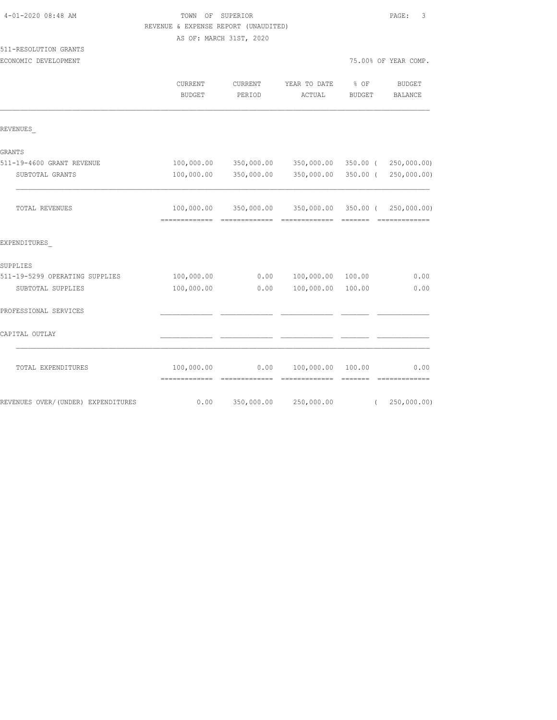| 4-01-2020 08:48 AM                            | TOWN OF SUPERIOR<br>REVENUE & EXPENSE REPORT (UNAUDITED)<br>AS OF: MARCH 31ST, 2020 |                   |                        |                       |                          |
|-----------------------------------------------|-------------------------------------------------------------------------------------|-------------------|------------------------|-----------------------|--------------------------|
| 511-RESOLUTION GRANTS<br>ECONOMIC DEVELOPMENT |                                                                                     |                   |                        |                       | 75.00% OF YEAR COMP.     |
|                                               | CURRENT<br><b>BUDGET</b>                                                            | CURRENT<br>PERIOD | YEAR TO DATE<br>ACTUAL | % OF<br><b>BUDGET</b> | <b>BUDGET</b><br>BALANCE |
| REVENUES                                      |                                                                                     |                   |                        |                       |                          |
| GRANTS                                        |                                                                                     |                   |                        |                       |                          |
| 511-19-4600 GRANT REVENUE                     | 100,000.00                                                                          | 350,000.00        | 350,000.00             | 350.00 (              | 250,000.00)              |
| SUBTOTAL GRANTS                               | 100,000.00                                                                          | 350,000.00        | 350,000.00             | $350.00$ (            | 250,000.00)              |
| TOTAL REVENUES                                | 100,000.00                                                                          | 350,000.00        | 350,000.00             |                       | 350.00 ( 250,000.00)     |
| EXPENDITURES                                  |                                                                                     |                   |                        |                       |                          |
| SUPPLIES                                      |                                                                                     |                   |                        |                       |                          |
| 511-19-5299 OPERATING SUPPLIES                | 100,000.00                                                                          | 0.00              | 100,000.00             | 100.00                | 0.00                     |
| SUBTOTAL SUPPLIES                             | 100,000.00                                                                          | 0.00              | 100,000.00             | 100.00                | 0.00                     |
| PROFESSIONAL SERVICES                         |                                                                                     |                   |                        |                       |                          |
| CAPITAL OUTLAY                                |                                                                                     |                   |                        |                       |                          |
| TOTAL EXPENDITURES                            | 100,000.00                                                                          | 0.00              | 100,000.00             | 100.00                | 0.00<br>------           |
| REVENUES OVER/(UNDER) EXPENDITURES            | 0.00                                                                                | 350,000.00        | 250,000.00             | $\left($              | 250,000.00)              |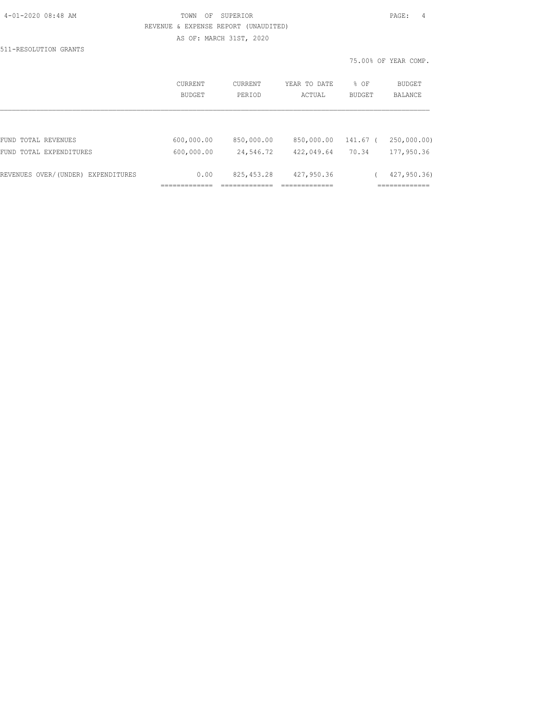|  | 4-01-2020 08:48 AM |  |
|--|--------------------|--|
|  |                    |  |

## TOWN OF SUPERIOR **PAGE:** 4 REVENUE & EXPENSE REPORT (UNAUDITED) AS OF: MARCH 31ST, 2020

511-RESOLUTION GRANTS

| CURRENT<br><b>BUDGET</b> | CURRENT<br>PERIOD | YEAR TO DATE<br>ACTUAL | % OF<br>BUDGET | BUDGET<br><b>BALANCE</b> |
|--------------------------|-------------------|------------------------|----------------|--------------------------|
|                          |                   |                        |                |                          |
| 600,000.00               | 850,000.00        | 850,000.00             | 141.67         | 250,000.00)              |
| 600,000.00               | 24,546.72         | 422,049.64             | 70.34          | 177,950.36               |
| 0.00                     | 825, 453.28       | 427,950.36             |                | 427, 950.36              |
|                          |                   |                        |                |                          |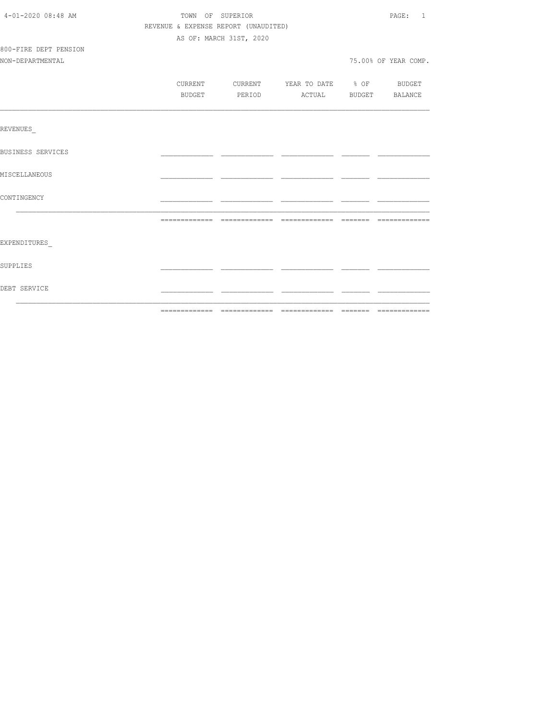| 4-01-2020 08:48 AM       | TOWN OF SUPERIOR                     |                         |                                          |  |                      |  |
|--------------------------|--------------------------------------|-------------------------|------------------------------------------|--|----------------------|--|
|                          | REVENUE & EXPENSE REPORT (UNAUDITED) |                         |                                          |  |                      |  |
|                          |                                      | AS OF: MARCH 31ST, 2020 |                                          |  |                      |  |
| 800-FIRE DEPT PENSION    |                                      |                         |                                          |  |                      |  |
| NON-DEPARTMENTAL         |                                      |                         |                                          |  | 75.00% OF YEAR COMP. |  |
|                          |                                      |                         |                                          |  |                      |  |
|                          |                                      |                         | CURRENT CURRENT YEAR TO DATE % OF BUDGET |  |                      |  |
|                          | BUDGET                               |                         | PERIOD ACTUAL BUDGET BALANCE             |  |                      |  |
|                          |                                      |                         |                                          |  |                      |  |
| REVENUES                 |                                      |                         |                                          |  |                      |  |
| <b>BUSINESS SERVICES</b> |                                      |                         |                                          |  |                      |  |
| MISCELLANEOUS            |                                      |                         |                                          |  |                      |  |
| CONTINGENCY              |                                      |                         |                                          |  |                      |  |
|                          |                                      |                         |                                          |  |                      |  |
|                          |                                      |                         |                                          |  |                      |  |
| EXPENDITURES             |                                      |                         |                                          |  |                      |  |
| SUPPLIES                 |                                      |                         |                                          |  |                      |  |
| DEBT SERVICE             |                                      |                         |                                          |  |                      |  |
|                          |                                      |                         |                                          |  |                      |  |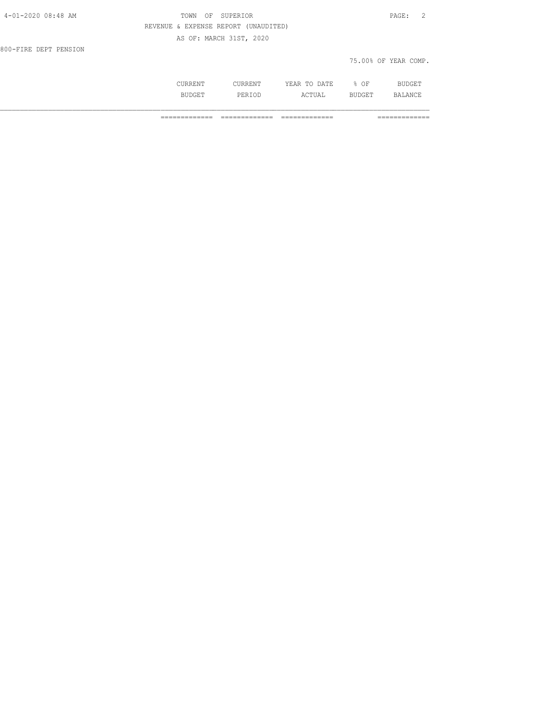| 4-01-2020 08:48 AM    | TOWN                                 | SUPERIOR<br>ΟF          |         |              |                      | $\texttt{PAGE}$ :<br>$\overline{2}$ |
|-----------------------|--------------------------------------|-------------------------|---------|--------------|----------------------|-------------------------------------|
|                       | REVENUE & EXPENSE REPORT (UNAUDITED) |                         |         |              |                      |                                     |
|                       |                                      | AS OF: MARCH 31ST, 2020 |         |              |                      |                                     |
| 800-FIRE DEPT PENSION |                                      |                         |         |              |                      |                                     |
|                       |                                      |                         |         |              | 75.00% OF YEAR COMP. |                                     |
|                       | CURRENT                              |                         | CURRENT | YEAR TO DATE | % OF                 | BUDGET                              |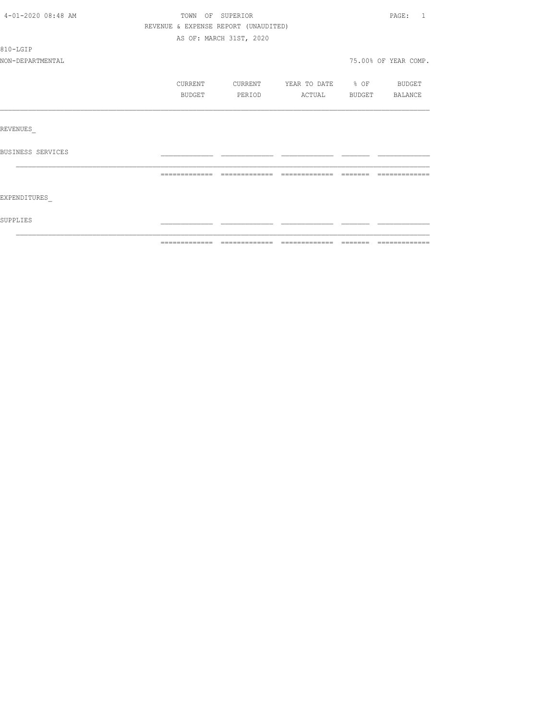| SUPPLIES           |                                      |                         |                          |                                                       |                                     |
|--------------------|--------------------------------------|-------------------------|--------------------------|-------------------------------------------------------|-------------------------------------|
| EXPENDITURES       |                                      |                         |                          |                                                       |                                     |
|                    | =============                        | =============           |                          | $\qquad \qquad =\qquad \qquad =\qquad \qquad =\qquad$ | -------------                       |
| BUSINESS SERVICES  |                                      |                         |                          |                                                       |                                     |
| REVENUES           |                                      |                         |                          |                                                       |                                     |
|                    |                                      |                         |                          |                                                       |                                     |
|                    | BUDGET                               | PERIOD                  | ACTUAL BUDGET BALANCE    |                                                       |                                     |
|                    | CURRENT                              | <b>CURRENT</b>          | YEAR TO DATE % OF BUDGET |                                                       |                                     |
| NON-DEPARTMENTAL   |                                      |                         |                          |                                                       | 75.00% OF YEAR COMP.                |
| 810-LGIP           |                                      |                         |                          |                                                       |                                     |
|                    |                                      | AS OF: MARCH 31ST, 2020 |                          |                                                       |                                     |
|                    | REVENUE & EXPENSE REPORT (UNAUDITED) |                         |                          |                                                       |                                     |
| 4-01-2020 08:48 AM | TOWN OF SUPERIOR                     |                         |                          |                                                       | $\mathtt{PAGE}$ :<br>$\overline{1}$ |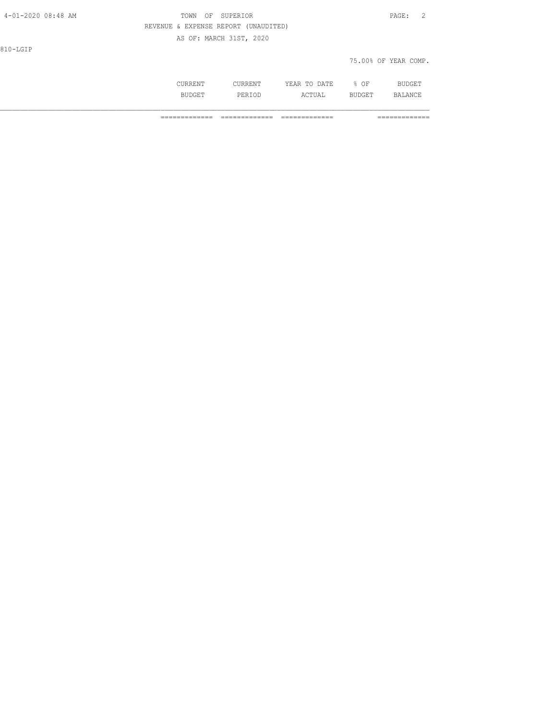| 4-01-2020 08:48 AM | TOWN<br>OF | SUPERIOR                             |              |        | PAGE:<br>- 2         |  |
|--------------------|------------|--------------------------------------|--------------|--------|----------------------|--|
|                    |            | REVENUE & EXPENSE REPORT (UNAUDITED) |              |        |                      |  |
|                    |            | AS OF: MARCH 31ST, 2020              |              |        |                      |  |
| 810-LGIP           |            |                                      |              |        |                      |  |
|                    |            |                                      |              |        | 75.00% OF YEAR COMP. |  |
|                    |            |                                      |              |        |                      |  |
|                    | CURRENT    | CURRENT                              | YEAR TO DATE | $8$ OF | <b>BUDGET</b>        |  |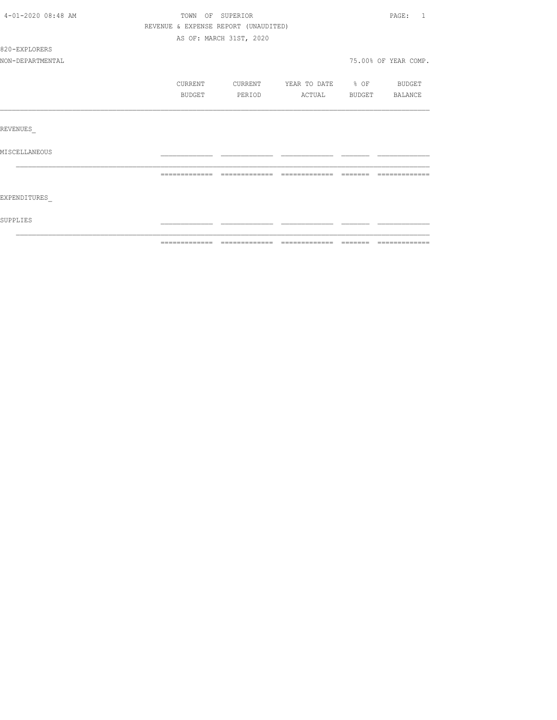| 4-01-2020 08:48 AM | TOWN                                 | OF SUPERIOR             |                   |        | PAGE:<br>$\mathbf{1}$ |
|--------------------|--------------------------------------|-------------------------|-------------------|--------|-----------------------|
|                    | REVENUE & EXPENSE REPORT (UNAUDITED) |                         |                   |        |                       |
|                    |                                      | AS OF: MARCH 31ST, 2020 |                   |        |                       |
| 820-EXPLORERS      |                                      |                         |                   |        |                       |
| NON-DEPARTMENTAL   |                                      |                         |                   |        | 75.00% OF YEAR COMP.  |
|                    | CURRENT                              | CURRENT                 | YEAR TO DATE % OF |        | BUDGET                |
|                    | BUDGET                               | PERIOD                  | ACTUAL            | BUDGET | BALANCE               |
|                    |                                      |                         |                   |        |                       |
| REVENUES           |                                      |                         |                   |        |                       |
| MISCELLANEOUS      |                                      |                         |                   |        |                       |
|                    |                                      |                         |                   |        |                       |
|                    |                                      |                         |                   |        |                       |
| EXPENDITURES       |                                      |                         |                   |        |                       |
| SUPPLIES           |                                      |                         |                   |        |                       |
|                    |                                      |                         |                   |        |                       |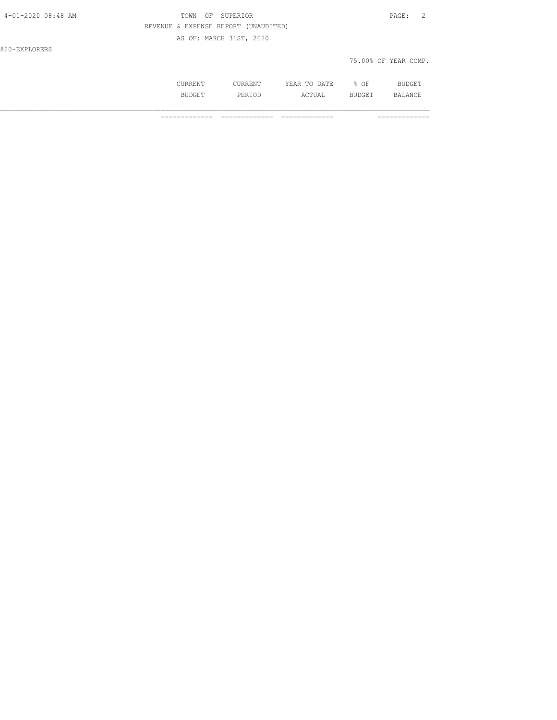| 4-01-2020 08:48 AM | TOWN<br>OF                           | SUPERIOR                |              |        | $\mathtt{PAGE}$ :<br>$\overline{2}$ |
|--------------------|--------------------------------------|-------------------------|--------------|--------|-------------------------------------|
|                    | REVENUE & EXPENSE REPORT (UNAUDITED) |                         |              |        |                                     |
|                    |                                      | AS OF: MARCH 31ST, 2020 |              |        |                                     |
| 820-EXPLORERS      |                                      |                         |              |        |                                     |
|                    |                                      |                         |              |        | 75.00% OF YEAR COMP.                |
|                    | CURRENT                              | CURRENT                 | YEAR TO DATE | $8$ OF | <b>BUDGET</b>                       |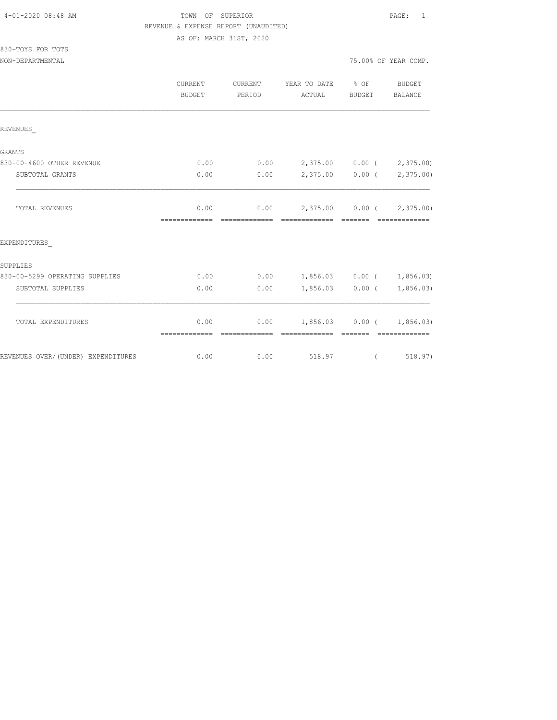# TOWN OF SUPERIOR **Example 2010** PAGE: 1 REVENUE & EXPENSE REPORT (UNAUDITED)

AS OF: MARCH 31ST, 2020

| 830-TOYS FOR TOTS |  |  |
|-------------------|--|--|
|                   |  |  |

|                                    | CURRENT<br><b>BUDGET</b> | CURRENT<br>PERIOD     | YEAR TO DATE<br>ACTUAL   |                   | BUDGET<br>BALANCE                                                                                                                                                                                                                                                                                                                                                                                                                                                                                                     |
|------------------------------------|--------------------------|-----------------------|--------------------------|-------------------|-----------------------------------------------------------------------------------------------------------------------------------------------------------------------------------------------------------------------------------------------------------------------------------------------------------------------------------------------------------------------------------------------------------------------------------------------------------------------------------------------------------------------|
| REVENUES                           |                          |                       |                          |                   |                                                                                                                                                                                                                                                                                                                                                                                                                                                                                                                       |
|                                    |                          |                       |                          |                   |                                                                                                                                                                                                                                                                                                                                                                                                                                                                                                                       |
| GRANTS                             |                          |                       |                          |                   |                                                                                                                                                                                                                                                                                                                                                                                                                                                                                                                       |
| 830-00-4600 OTHER REVENUE          | 0.00                     | 0.00                  |                          | 2,375.00 0.00 (   | 2,375.00)                                                                                                                                                                                                                                                                                                                                                                                                                                                                                                             |
| SUBTOTAL GRANTS                    | 0.00                     | 0.00                  |                          | $2,375.00$ 0.00 ( | 2,375.00)                                                                                                                                                                                                                                                                                                                                                                                                                                                                                                             |
| TOTAL REVENUES                     | 0.00<br>=============    | 0.00<br>============= | 2,375.00 0.00 (2,375.00) | - =======         | =============                                                                                                                                                                                                                                                                                                                                                                                                                                                                                                         |
| EXPENDITURES                       |                          |                       |                          |                   |                                                                                                                                                                                                                                                                                                                                                                                                                                                                                                                       |
| SUPPLIES                           |                          |                       |                          |                   |                                                                                                                                                                                                                                                                                                                                                                                                                                                                                                                       |
| 830-00-5299 OPERATING SUPPLIES     | 0.00                     | 0.00                  | $1,856.03$ 0.00 (        |                   | 1,856.03)                                                                                                                                                                                                                                                                                                                                                                                                                                                                                                             |
| SUBTOTAL SUPPLIES                  | 0.00                     | 0.00                  |                          | $1,856.03$ 0.00 ( | 1,856.03)                                                                                                                                                                                                                                                                                                                                                                                                                                                                                                             |
|                                    |                          |                       |                          |                   |                                                                                                                                                                                                                                                                                                                                                                                                                                                                                                                       |
| TOTAL EXPENDITURES                 | 0.00<br>=============    | 0.00                  | =============            | --------          | $1,856.03$ 0.00 ( 1,856.03)<br>$\begin{array}{cccccccccc} \multicolumn{2}{c}{} & \multicolumn{2}{c}{} & \multicolumn{2}{c}{} & \multicolumn{2}{c}{} & \multicolumn{2}{c}{} & \multicolumn{2}{c}{} & \multicolumn{2}{c}{} & \multicolumn{2}{c}{} & \multicolumn{2}{c}{} & \multicolumn{2}{c}{} & \multicolumn{2}{c}{} & \multicolumn{2}{c}{} & \multicolumn{2}{c}{} & \multicolumn{2}{c}{} & \multicolumn{2}{c}{} & \multicolumn{2}{c}{} & \multicolumn{2}{c}{} & \multicolumn{2}{c}{} & \multicolumn{2}{c}{} & \mult$ |
| REVENUES OVER/(UNDER) EXPENDITURES | 0.00                     | 0.00                  | 518.97                   | $\left($          | 518.97)                                                                                                                                                                                                                                                                                                                                                                                                                                                                                                               |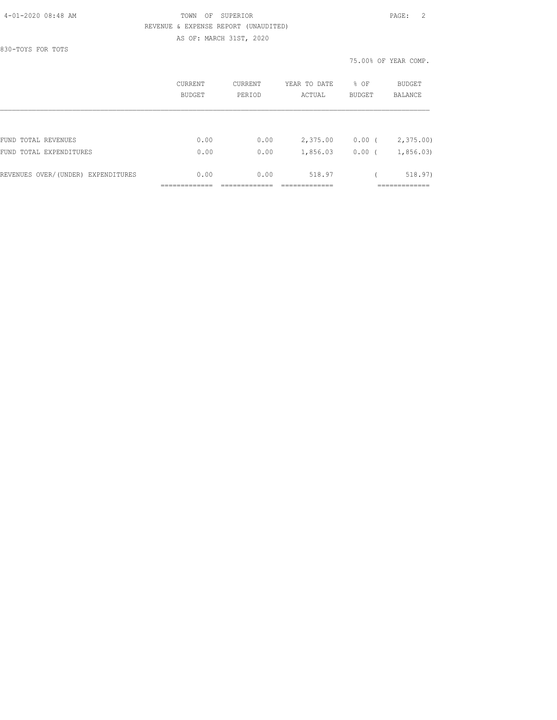#### 4-01-2020 08:48 AM TOWN OF SUPERIOR PAGE: 2 REVENUE & EXPENSE REPORT (UNAUDITED) AS OF: MARCH 31ST, 2020

830-TOYS FOR TOTS

|                                    | CURRENT<br>BUDGET | CURRENT<br>PERIOD | YEAR TO DATE<br>ACTUAL | % OF<br><b>BUDGET</b> | <b>BUDGET</b><br>BALANCE |  |
|------------------------------------|-------------------|-------------------|------------------------|-----------------------|--------------------------|--|
|                                    |                   |                   |                        |                       |                          |  |
| FUND TOTAL REVENUES                | 0.00              | 0.00              | 2,375.00               | $0.00$ (              | 2,375.00                 |  |
| FUND TOTAL EXPENDITURES            | 0.00              | 0.00              | 1,856.03               | 0.00(                 | 1,856.03                 |  |
| REVENUES OVER/(UNDER) EXPENDITURES | 0.00              | 0.00              | 518.97                 |                       | 518.97)                  |  |
|                                    |                   |                   |                        |                       | __________               |  |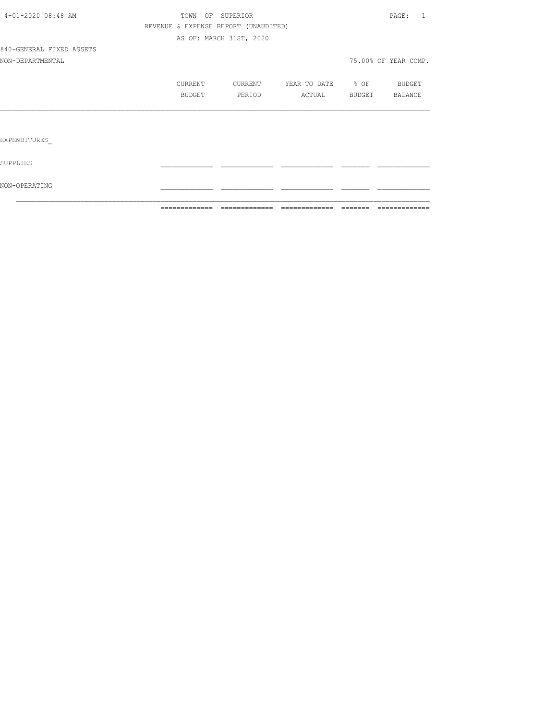|                          | =============                        | =============           | =============     | $\qquad \qquad \qquad =\qquad \qquad =\qquad \qquad =\qquad \qquad =\qquad \qquad =\qquad \qquad =\qquad \qquad =\qquad \qquad =\qquad \qquad =\qquad \qquad =\qquad \qquad =\qquad \qquad =\qquad \qquad =\qquad \qquad =\qquad \qquad =\qquad \qquad =\qquad \qquad =\qquad \qquad =\qquad \qquad =\qquad \qquad =\qquad \qquad =\qquad \qquad =\qquad \qquad =\qquad \qquad =\qquad \qquad =\qquad \qquad =\qquad \qquad =\qquad \qquad =\qquad \qquad =\qquad \qquad =\qquad \qquad =$ | =============          |
|--------------------------|--------------------------------------|-------------------------|-------------------|--------------------------------------------------------------------------------------------------------------------------------------------------------------------------------------------------------------------------------------------------------------------------------------------------------------------------------------------------------------------------------------------------------------------------------------------------------------------------------------------|------------------------|
| NON-OPERATING            |                                      |                         |                   |                                                                                                                                                                                                                                                                                                                                                                                                                                                                                            |                        |
| SUPPLIES                 |                                      |                         |                   |                                                                                                                                                                                                                                                                                                                                                                                                                                                                                            |                        |
| EXPENDITURES             |                                      |                         |                   |                                                                                                                                                                                                                                                                                                                                                                                                                                                                                            |                        |
|                          |                                      |                         |                   |                                                                                                                                                                                                                                                                                                                                                                                                                                                                                            |                        |
|                          | BUDGET                               | PERIOD                  | ACTUAL BUDGET     |                                                                                                                                                                                                                                                                                                                                                                                                                                                                                            | BALANCE                |
|                          | CURRENT                              | CURRENT                 | YEAR TO DATE % OF |                                                                                                                                                                                                                                                                                                                                                                                                                                                                                            | <b>BUDGET</b>          |
| NON-DEPARTMENTAL         |                                      |                         |                   |                                                                                                                                                                                                                                                                                                                                                                                                                                                                                            | 75.00% OF YEAR COMP.   |
| 840-GENERAL FIXED ASSETS |                                      |                         |                   |                                                                                                                                                                                                                                                                                                                                                                                                                                                                                            |                        |
|                          |                                      | AS OF: MARCH 31ST, 2020 |                   |                                                                                                                                                                                                                                                                                                                                                                                                                                                                                            |                        |
|                          | REVENUE & EXPENSE REPORT (UNAUDITED) |                         |                   |                                                                                                                                                                                                                                                                                                                                                                                                                                                                                            |                        |
| 4-01-2020 08:48 AM       |                                      | TOWN OF SUPERIOR        |                   |                                                                                                                                                                                                                                                                                                                                                                                                                                                                                            | $\texttt{PAGE}$ :<br>1 |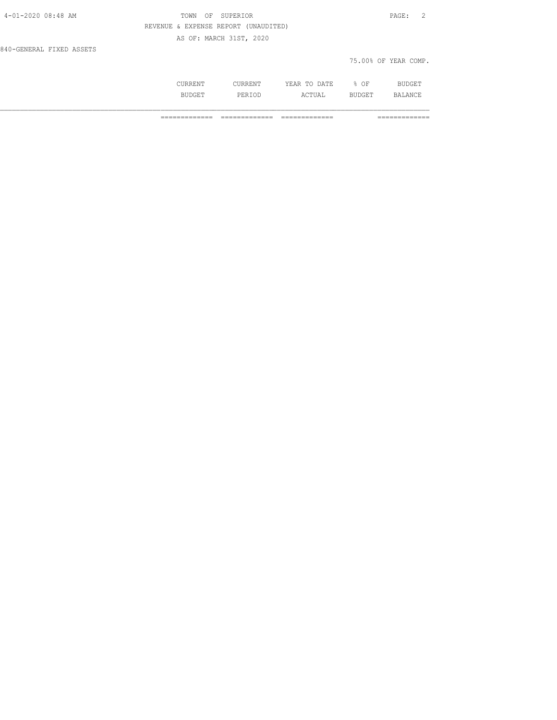| 4-01-2020 08:48 AM       | TOWN<br>OF                           | SUPERIOR                |              |      | $\overline{2}$<br>$\texttt{PAGE}$ : |  |
|--------------------------|--------------------------------------|-------------------------|--------------|------|-------------------------------------|--|
|                          | REVENUE & EXPENSE REPORT (UNAUDITED) |                         |              |      |                                     |  |
|                          |                                      | AS OF: MARCH 31ST, 2020 |              |      |                                     |  |
| 840-GENERAL FIXED ASSETS |                                      |                         |              |      |                                     |  |
|                          |                                      |                         |              |      | 75.00% OF YEAR COMP.                |  |
|                          |                                      |                         |              |      |                                     |  |
|                          | CURRENT                              | CURRENT                 | YEAR TO DATE | % OF | <b>BUDGET</b>                       |  |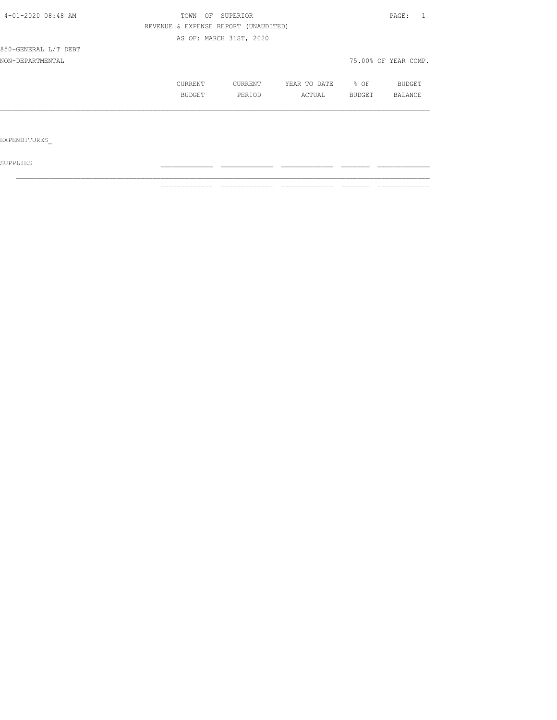| 4-01-2020 08:48 AM   | TOWN OF SUPERIOR |                                      |              |        | PAGE:                |
|----------------------|------------------|--------------------------------------|--------------|--------|----------------------|
|                      |                  | REVENUE & EXPENSE REPORT (UNAUDITED) |              |        |                      |
|                      |                  | AS OF: MARCH 31ST, 2020              |              |        |                      |
| 850-GENERAL L/T DEBT |                  |                                      |              |        |                      |
| NON-DEPARTMENTAL     |                  |                                      |              |        | 75.00% OF YEAR COMP. |
|                      | CURRENT          | CURRENT                              | YEAR TO DATE | % OF   | BUDGET               |
|                      | BUDGET           | PERIOD                               | ACTUAL       | BUDGET | BALANCE              |
|                      |                  |                                      |              |        |                      |
|                      |                  |                                      |              |        |                      |
| EXPENDITURES         |                  |                                      |              |        |                      |

 ${\tt SUPPLIES}$